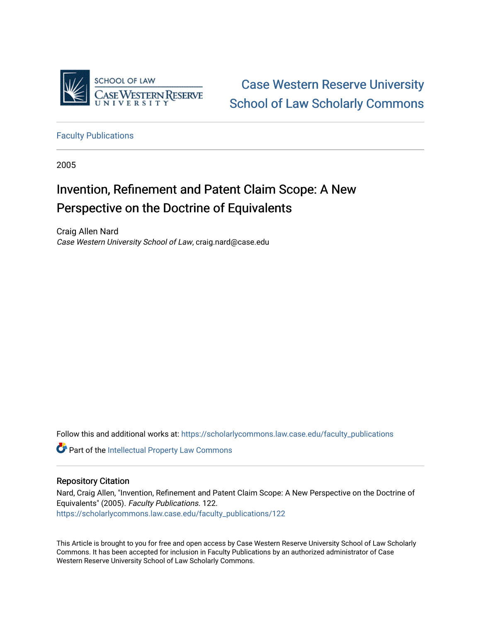

[Case Western Reserve University](https://scholarlycommons.law.case.edu/)  [School of Law Scholarly Commons](https://scholarlycommons.law.case.edu/) 

[Faculty Publications](https://scholarlycommons.law.case.edu/faculty_publications)

2005

# Invention, Refinement and Patent Claim Scope: A New Perspective on the Doctrine of Equivalents

Craig Allen Nard Case Western University School of Law, craig.nard@case.edu

Follow this and additional works at: [https://scholarlycommons.law.case.edu/faculty\\_publications](https://scholarlycommons.law.case.edu/faculty_publications?utm_source=scholarlycommons.law.case.edu%2Ffaculty_publications%2F122&utm_medium=PDF&utm_campaign=PDFCoverPages)

Part of the [Intellectual Property Law Commons](http://network.bepress.com/hgg/discipline/896?utm_source=scholarlycommons.law.case.edu%2Ffaculty_publications%2F122&utm_medium=PDF&utm_campaign=PDFCoverPages) 

# Repository Citation

Nard, Craig Allen, "Invention, Refinement and Patent Claim Scope: A New Perspective on the Doctrine of Equivalents" (2005). Faculty Publications. 122. [https://scholarlycommons.law.case.edu/faculty\\_publications/122](https://scholarlycommons.law.case.edu/faculty_publications/122?utm_source=scholarlycommons.law.case.edu%2Ffaculty_publications%2F122&utm_medium=PDF&utm_campaign=PDFCoverPages)

This Article is brought to you for free and open access by Case Western Reserve University School of Law Scholarly Commons. It has been accepted for inclusion in Faculty Publications by an authorized administrator of Case Western Reserve University School of Law Scholarly Commons.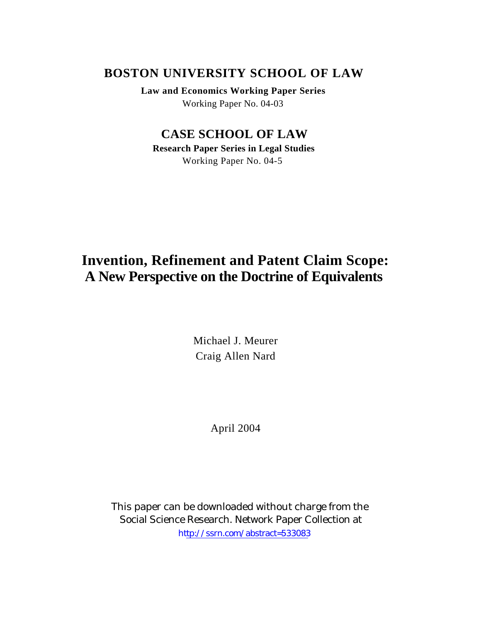# **BOSTON UNIVERSITY SCHOOL OF LAW**

**Law and Economics Working Paper Series** Working Paper No. 04-03

# **CASE SCHOOL OF LAW**

**Research Paper Series in Legal Studies** Working Paper No. 04-5

# **Invention, Refinement and Patent Claim Scope: A New Perspective on the Doctrine of Equivalents**

Michael J. Meurer Craig Allen Nard

April 2004

This paper can be downloaded without charge from the Social Science Research. Network Paper Collection at [http://ssrn.com/abstract=533083](http://papers.ssrn.com/abstract=475982)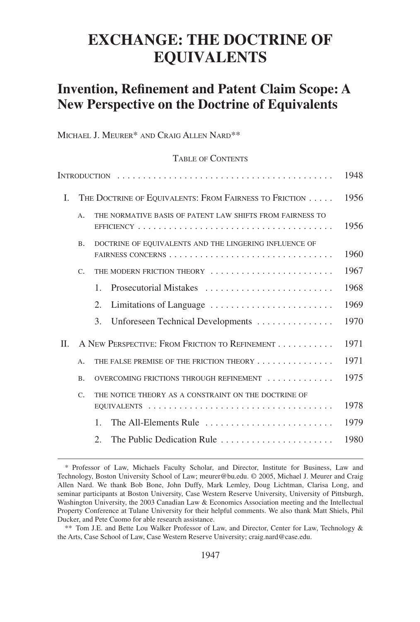# **EXCHANGE: THE DOCTRINE OF EQUIVALENTS**

# **Invention, Refinement and Patent Claim Scope: A New Perspective on the Doctrine of Equivalents**

MICHAEL J. MEURER\* AND CRAIG ALLEN NARD\*\*

### TABLE OF CONTENTS

|     |             |                                                           | 1948 |
|-----|-------------|-----------------------------------------------------------|------|
| I.  |             | THE DOCTRINE OF EQUIVALENTS: FROM FAIRNESS TO FRICTION    | 1956 |
|     | $A$ .       | THE NORMATIVE BASIS OF PATENT LAW SHIFTS FROM FAIRNESS TO | 1956 |
|     | <b>B.</b>   | DOCTRINE OF EQUIVALENTS AND THE LINGERING INFLUENCE OF    | 1960 |
|     | $C_{\cdot}$ | THE MODERN FRICTION THEORY                                | 1967 |
|     |             | Prosecutorial Mistakes<br>$\mathbf{1}$                    | 1968 |
|     |             | 2.<br>Limitations of Language                             | 1969 |
|     |             | Unforeseen Technical Developments<br>3.                   | 1970 |
| II. |             | A NEW PERSPECTIVE: FROM FRICTION TO REFINEMENT            | 1971 |
|     | $A$ .       | THE FALSE PREMISE OF THE FRICTION THEORY                  | 1971 |
|     | <b>B.</b>   | OVERCOMING FRICTIONS THROUGH REFINEMENT                   | 1975 |
|     | $C_{\cdot}$ | THE NOTICE THEORY AS A CONSTRAINT ON THE DOCTRINE OF      |      |
|     |             |                                                           | 1978 |
|     |             | The All-Elements Rule<br>$\mathbf{1}$                     | 1979 |
|     |             | The Public Dedication Rule<br>$\mathcal{D}_{\mathcal{L}}$ | 1980 |

<sup>\*</sup> Professor of Law, Michaels Faculty Scholar, and Director, Institute for Business, Law and Technology, Boston University School of Law; meurer@bu.edu. © 2005, Michael J. Meurer and Craig Allen Nard. We thank Bob Bone, John Duffy, Mark Lemley, Doug Lichtman, Clarisa Long, and seminar participants at Boston University, Case Western Reserve University, University of Pittsburgh, Washington University, the 2003 Canadian Law & Economics Association meeting and the Intellectual Property Conference at Tulane University for their helpful comments. We also thank Matt Shiels, Phil Ducker, and Pete Cuomo for able research assistance.

<sup>\*\*</sup> Tom J.E. and Bette Lou Walker Professor of Law, and Director, Center for Law, Technology & the Arts, Case School of Law, Case Western Reserve University; craig.nard@case.edu.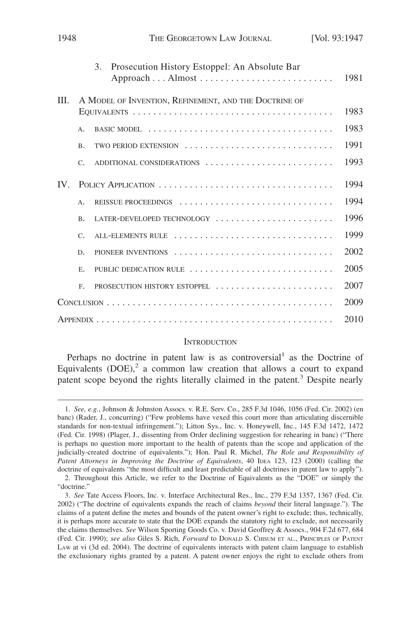|      |             | Prosecution History Estoppel: An Absolute Bar<br>3.                                        |      |  |
|------|-------------|--------------------------------------------------------------------------------------------|------|--|
|      |             |                                                                                            | 1981 |  |
| III. |             | A MODEL OF INVENTION, REFINEMENT, AND THE DOCTRINE OF                                      |      |  |
|      |             |                                                                                            | 1983 |  |
|      | A.          | BASIC MODEL $\ldots \ldots \ldots \ldots \ldots \ldots \ldots \ldots \ldots \ldots \ldots$ | 1983 |  |
|      | <b>B.</b>   | TWO PERIOD EXTENSION                                                                       | 1991 |  |
|      | $C_{\star}$ | ADDITIONAL CONSIDERATIONS                                                                  | 1993 |  |
| IV.  |             |                                                                                            | 1994 |  |
|      | A.          |                                                                                            | 1994 |  |
|      | <b>B.</b>   | LATER-DEVELOPED TECHNOLOGY                                                                 | 1996 |  |
|      | C.          | ALL-ELEMENTS RULE                                                                          | 1999 |  |
|      | D.          | PIONEER INVENTIONS                                                                         | 2002 |  |
|      | E.          | PUBLIC DEDICATION RULE                                                                     | 2005 |  |
|      | F.          | PROSECUTION HISTORY ESTOPPEL                                                               | 2007 |  |
|      |             |                                                                                            |      |  |
|      |             |                                                                                            | 2010 |  |

1948 **THE GEORGETOWN LAW JOURNAL** [Vol. 93:1947]

#### **INTRODUCTION**

Perhaps no doctrine in patent law is as controversial<sup>1</sup> as the Doctrine of Equivalents  $(DOE)$ ,<sup>2</sup> a common law creation that allows a court to expand patent scope beyond the rights literally claimed in the patent.<sup>3</sup> Despite nearly

<sup>1.</sup> *See, e.g.*, Johnson & Johnston Assocs. v. R.E. Serv. Co., 285 F.3d 1046, 1056 (Fed. Cir. 2002) (en banc) (Rader, J., concurring) ("Few problems have vexed this court more than articulating discernible standards for non-textual infringement."); Litton Sys., Inc. v. Honeywell, Inc., 145 F.3d 1472, 1472 (Fed. Cir. 1998) (Plager, J., dissenting from Order declining suggestion for rehearing in banc) ("There is perhaps no question more important to the health of patents than the scope and application of the judicially-created doctrine of equivalents."); Hon. Paul R. Michel, *The Role and Responsibility of Patent Attorneys in Improving the Doctrine of Equivalents*, 40 IDEA 123, 123 (2000) (calling the doctrine of equivalents "the most difficult and least predictable of all doctrines in patent law to apply").

<sup>2.</sup> Throughout this Article, we refer to the Doctrine of Equivalents as the "DOE" or simply the "doctrine."

<sup>3.</sup> *See* Tate Access Floors, Inc. v. Interface Architectural Res., Inc*.*, 279 F.3d 1357, 1367 (Fed. Cir. 2002) ("The doctrine of equivalents expands the reach of claims *beyond* their literal language."). The claims of a patent define the metes and bounds of the patent owner's right to exclude; thus, technically, it is perhaps more accurate to state that the DOE expands the statutory right to exclude, not necessarily the claims themselves. *See* Wilson Sporting Goods Co. v. David Geoffrey & Assocs., 904 F.2d 677, 684 (Fed. Cir. 1990); *see also* Giles S. Rich, *Forward* to DONALD S. CHISUM ET AL., PRINCIPLES OF PATENT LAW at vi (3d ed. 2004). The doctrine of equivalents interacts with patent claim language to establish the exclusionary rights granted by a patent. A patent owner enjoys the right to exclude others from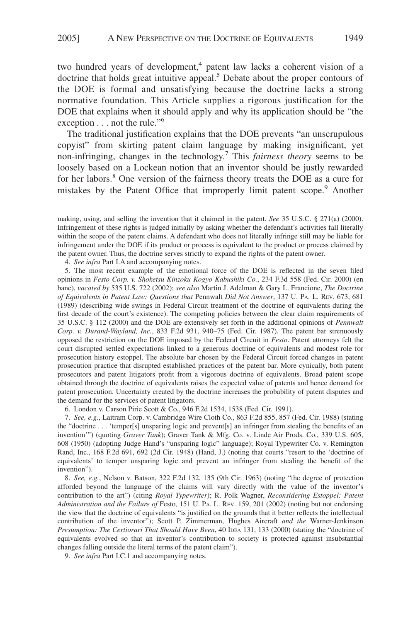two hundred years of development,<sup>4</sup> patent law lacks a coherent vision of a doctrine that holds great intuitive appeal.<sup>5</sup> Debate about the proper contours of the DOE is formal and unsatisfying because the doctrine lacks a strong normative foundation. This Article supplies a rigorous justification for the DOE that explains when it should apply and why its application should be "the exception  $\dots$  not the rule."<sup>6</sup>

The traditional justification explains that the DOE prevents "an unscrupulous copyist" from skirting patent claim language by making insignificant, yet non-infringing, changes in the technology.7 This *fairness theory* seems to be loosely based on a Lockean notion that an inventor should be justly rewarded for her labors.<sup>8</sup> One version of the fairness theory treats the DOE as a cure for mistakes by the Patent Office that improperly limit patent scope.<sup>9</sup> Another

4. *See infra* Part I.A and accompanying notes.

5. The most recent example of the emotional force of the DOE is reflected in the seven filed opinions in *Festo Corp. v. Shoketsu Kinzoku Kogyo Kabushiki Co.*, 234 F.3d 558 (Fed. Cir. 2000) (en banc), *vacated by* 535 U.S. 722 (2002); *see also* Martin J. Adelman & Gary L. Francione, *The Doctrine of Equivalents in Patent Law: Questions that* Pennwalt *Did Not Answer*, 137 U. PA. L. REV. 673, 681 (1989) (describing wide swings in Federal Circuit treatment of the doctrine of equivalents during the first decade of the court's existence). The competing policies between the clear claim requirements of 35 U.S.C. § 112 (2000) and the DOE are extensively set forth in the additional opinions of *Pennwalt Corp. v. Durand-Wayland, Inc.*, 833 F.2d 931, 940–75 (Fed. Cir. 1987). The patent bar strenuously opposed the restriction on the DOE imposed by the Federal Circuit in *Festo*. Patent attorneys felt the court disrupted settled expectations linked to a generous doctrine of equivalents and modest role for prosecution history estoppel. The absolute bar chosen by the Federal Circuit forced changes in patent prosecution practice that disrupted established practices of the patent bar. More cynically, both patent prosecutors and patent litigators profit from a vigorous doctrine of equivalents. Broad patent scope obtained through the doctrine of equivalents raises the expected value of patents and hence demand for patent prosecution. Uncertainty created by the doctrine increases the probability of patent disputes and the demand for the services of patent litigators.

6. London v. Carson Pirie Scott & Co*.*, 946 F.2d 1534, 1538 (Fed. Cir. 1991).

7. *See, e.g.*, Laitram Corp. v. Cambridge Wire Cloth Co., 863 F.2d 855, 857 (Fed. Cir. 1988) (stating the "doctrine . . . 'temper[s] unsparing logic and prevent[s] an infringer from stealing the benefits of an invention'") (quoting *Graver Tank*); Graver Tank & Mfg. Co. v. Linde Air Prods. Co., 339 U.S. 605, 608 (1950) (adopting Judge Hand's "unsparing logic" language); Royal Typewriter Co. v. Remington Rand, Inc., 168 F.2d 691, 692 (2d Cir. 1948) (Hand, J.) (noting that courts "resort to the 'doctrine of equivalents' to temper unsparing logic and prevent an infringer from stealing the benefit of the invention").

8. *See, e.g.*, Nelson v. Batson, 322 F.2d 132, 135 (9th Cir. 1963) (noting "the degree of protection afforded beyond the language of the claims will vary directly with the value of the inventor's contribution to the art") (citing *Royal Typewriter*); R. Polk Wagner, *Reconsidering Estoppel: Patent Administration and the Failure of* Festo*,* 151 U. PA. L. REV. 159, 201 (2002) (noting but not endorsing the view that the doctrine of equivalents "is justified on the grounds that it better reflects the intellectual contribution of the inventor"); Scott P. Zimmerman, Hughes Aircraft *and the* Warner-Jenkinson *Presumption: The Certiorari That Should Have Been*, 40 IDEA 131, 133 (2000) (stating the "doctrine of equivalents evolved so that an inventor's contribution to society is protected against insubstantial changes falling outside the literal terms of the patent claim").

9. *See infra* Part I.C.1 and accompanying notes.

making, using, and selling the invention that it claimed in the patent. *See* 35 U.S.C. § 271(a) (2000). Infringement of these rights is judged initially by asking whether the defendant's activities fall literally within the scope of the patent claims. A defendant who does not literally infringe still may be liable for infringement under the DOE if its product or process is equivalent to the product or process claimed by the patent owner. Thus, the doctrine serves strictly to expand the rights of the patent owner.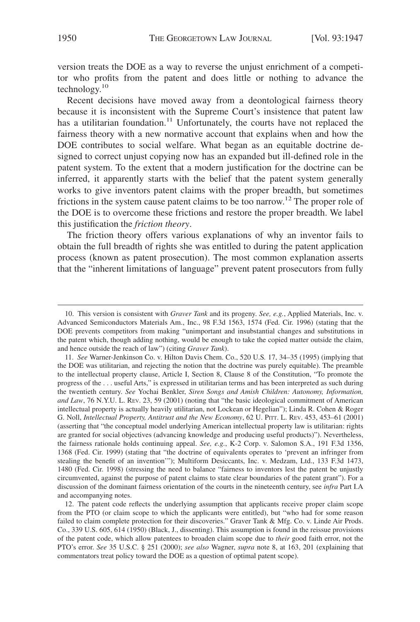version treats the DOE as a way to reverse the unjust enrichment of a competitor who profits from the patent and does little or nothing to advance the technology.10

Recent decisions have moved away from a deontological fairness theory because it is inconsistent with the Supreme Court's insistence that patent law has a utilitarian foundation.<sup>11</sup> Unfortunately, the courts have not replaced the fairness theory with a new normative account that explains when and how the DOE contributes to social welfare. What began as an equitable doctrine designed to correct unjust copying now has an expanded but ill-defined role in the patent system. To the extent that a modern justification for the doctrine can be inferred, it apparently starts with the belief that the patent system generally works to give inventors patent claims with the proper breadth, but sometimes frictions in the system cause patent claims to be too narrow.<sup>12</sup> The proper role of the DOE is to overcome these frictions and restore the proper breadth. We label this justification the *friction theory*.

The friction theory offers various explanations of why an inventor fails to obtain the full breadth of rights she was entitled to during the patent application process (known as patent prosecution). The most common explanation asserts that the "inherent limitations of language" prevent patent prosecutors from fully

<sup>10.</sup> This version is consistent with *Graver Tank* and its progeny. *See, e.g.*, Applied Materials, Inc. v. Advanced Semiconductors Materials Am., Inc., 98 F.3d 1563, 1574 (Fed. Cir. 1996) (stating that the DOE prevents competitors from making "unimportant and insubstantial changes and substitutions in the patent which, though adding nothing, would be enough to take the copied matter outside the claim, and hence outside the reach of law") (citing *Graver Tank*).

<sup>11.</sup> *See* Warner-Jenkinson Co. v. Hilton Davis Chem. Co., 520 U.S*.* 17, 34–35 (1995) (implying that the DOE was utilitarian, and rejecting the notion that the doctrine was purely equitable). The preamble to the intellectual property clause, Article I, Section 8, Clause 8 of the Constitution, "To promote the progress of the . . . useful Arts," is expressed in utilitarian terms and has been interpreted as such during the twentieth century. *See* Yochai Benkler, *Siren Songs and Amish Children: Autonomy, Information, and Law*, 76 N.Y.U. L. REV. 23, 59 (2001) (noting that "the basic ideological commitment of American intellectual property is actually heavily utilitarian, not Lockean or Hegelian"); Linda R. Cohen & Roger G. Noll, *Intellectual Property, Antitrust and the New Economy*, 62 U. PITT. L. REV. 453, 453–61 (2001) (asserting that "the conceptual model underlying American intellectual property law is utilitarian: rights are granted for social objectives (advancing knowledge and producing useful products)"). Nevertheless, the fairness rationale holds continuing appeal. *See, e.g.*, K-2 Corp. v. Salomon S.A., 191 F.3d 1356, 1368 (Fed. Cir. 1999) (stating that "the doctrine of equivalents operates to 'prevent an infringer from stealing the benefit of an invention'"); Multiform Desiccants, Inc. v. Medzam, Ltd., 133 F.3d 1473, 1480 (Fed. Cir. 1998) (stressing the need to balance "fairness to inventors lest the patent be unjustly circumvented, against the purpose of patent claims to state clear boundaries of the patent grant"). For a discussion of the dominant fairness orientation of the courts in the nineteenth century, see *infra* Part I.A and accompanying notes.

<sup>12.</sup> The patent code reflects the underlying assumption that applicants receive proper claim scope from the PTO (or claim scope to which the applicants were entitled), but "who had for some reason failed to claim complete protection for their discoveries." Graver Tank & Mfg. Co. v. Linde Air Prods. Co., 339 U.S. 605, 614 (1950) (Black, J., dissenting). This assumption is found in the reissue provisions of the patent code, which allow patentees to broaden claim scope due to *their* good faith error, not the PTO's error. *See* 35 U.S.C. § 251 (2000); *see also* Wagner, *supra* note 8, at 163, 201 (explaining that commentators treat policy toward the DOE as a question of optimal patent scope).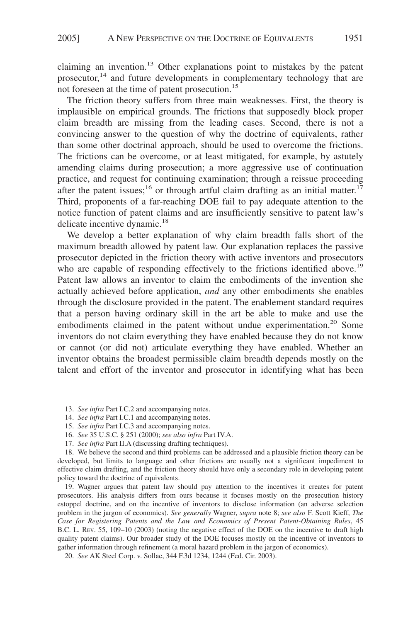claiming an invention.<sup>13</sup> Other explanations point to mistakes by the patent prosecutor,<sup>14</sup> and future developments in complementary technology that are not foreseen at the time of patent prosecution.<sup>15</sup>

The friction theory suffers from three main weaknesses. First, the theory is implausible on empirical grounds. The frictions that supposedly block proper claim breadth are missing from the leading cases. Second, there is not a convincing answer to the question of why the doctrine of equivalents, rather than some other doctrinal approach, should be used to overcome the frictions. The frictions can be overcome, or at least mitigated, for example, by astutely amending claims during prosecution; a more aggressive use of continuation practice, and request for continuing examination; through a reissue proceeding after the patent issues;<sup>16</sup> or through artful claim drafting as an initial matter.<sup>17</sup> Third, proponents of a far-reaching DOE fail to pay adequate attention to the notice function of patent claims and are insufficiently sensitive to patent law's delicate incentive dynamic.<sup>18</sup>

We develop a better explanation of why claim breadth falls short of the maximum breadth allowed by patent law. Our explanation replaces the passive prosecutor depicted in the friction theory with active inventors and prosecutors who are capable of responding effectively to the frictions identified above.<sup>19</sup> Patent law allows an inventor to claim the embodiments of the invention she actually achieved before application, *and* any other embodiments she enables through the disclosure provided in the patent. The enablement standard requires that a person having ordinary skill in the art be able to make and use the embodiments claimed in the patent without undue experimentation.<sup>20</sup> Some inventors do not claim everything they have enabled because they do not know or cannot (or did not) articulate everything they have enabled. Whether an inventor obtains the broadest permissible claim breadth depends mostly on the talent and effort of the inventor and prosecutor in identifying what has been

<sup>13.</sup> *See infra* Part I.C.2 and accompanying notes.

<sup>14.</sup> *See infra* Part I.C.1 and accompanying notes.

<sup>15.</sup> *See infra* Part I.C.3 and accompanying notes.

<sup>16.</sup> *See* 35 U.S.C. § 251 (2000); *see also infra* Part IV.A.

<sup>17.</sup> *See infra* Part II.A (discussing drafting techniques).

<sup>18.</sup> We believe the second and third problems can be addressed and a plausible friction theory can be developed, but limits to language and other frictions are usually not a significant impediment to effective claim drafting, and the friction theory should have only a secondary role in developing patent policy toward the doctrine of equivalents.

<sup>19.</sup> Wagner argues that patent law should pay attention to the incentives it creates for patent prosecutors. His analysis differs from ours because it focuses mostly on the prosecution history estoppel doctrine, and on the incentive of inventors to disclose information (an adverse selection problem in the jargon of economics). *See generally* Wagner, *supra* note 8; *see also* F. Scott Kieff, *The Case for Registering Patents and the Law and Economics of Present Patent-Obtaining Rules*, 45 B.C. L. REV. 55, 109–10 (2003) (noting the negative effect of the DOE on the incentive to draft high quality patent claims). Our broader study of the DOE focuses mostly on the incentive of inventors to gather information through refinement (a moral hazard problem in the jargon of economics).

<sup>20.</sup> *See* AK Steel Corp. v. Sollac, 344 F.3d 1234, 1244 (Fed. Cir. 2003).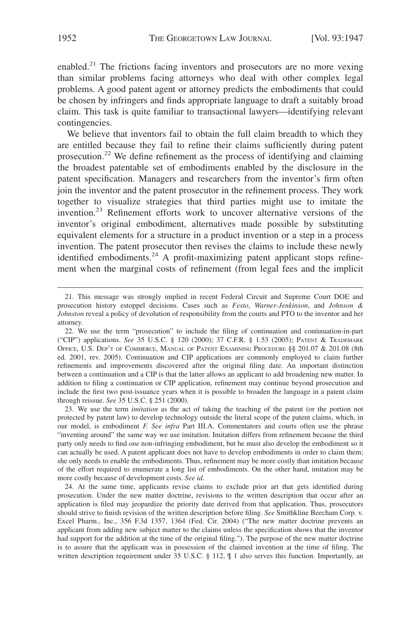enabled.<sup>21</sup> The frictions facing inventors and prosecutors are no more vexing than similar problems facing attorneys who deal with other complex legal problems. A good patent agent or attorney predicts the embodiments that could be chosen by infringers and finds appropriate language to draft a suitably broad claim. This task is quite familiar to transactional lawyers—identifying relevant contingencies.

We believe that inventors fail to obtain the full claim breadth to which they are entitled because they fail to refine their claims sufficiently during patent prosecution.<sup>22</sup> We define refinement as the process of identifying and claiming the broadest patentable set of embodiments enabled by the disclosure in the patent specification. Managers and researchers from the inventor's firm often join the inventor and the patent prosecutor in the refinement process. They work together to visualize strategies that third parties might use to imitate the invention.<sup>23</sup> Refinement efforts work to uncover alternative versions of the inventor's original embodiment, alternatives made possible by substituting equivalent elements for a structure in a product invention or a step in a process invention. The patent prosecutor then revises the claims to include these newly identified embodiments.<sup>24</sup> A profit-maximizing patent applicant stops refinement when the marginal costs of refinement (from legal fees and the implicit

23. We use the term *imitation* as the act of taking the teaching of the patent (or the portion not protected by patent law) to develop technology outside the literal scope of the patent claims, which, in our model, is embodiment *F. See infra* Part III.A. Commentators and courts often use the phrase "inventing around" the same way we use imitation. Imitation differs from refinement because the third party only needs to find *one* non-infringing embodiment, but he must also develop the embodiment so it can actually be used. A patent applicant does not have to develop embodiments in order to claim them; she only needs to enable the embodiments. Thus, refinement may be more costly than imitation because of the effort required to enumerate a long list of embodiments. On the other hand, imitation may be more costly because of development costs. *See id.*

24. At the same time, applicants revise claims to exclude prior art that gets identified during prosecution. Under the new matter doctrine, revisions to the written description that occur after an application is filed may jeopardize the priority date derived from that application. Thus, prosecutors should strive to finish revision of the written description before filing. *See* Smithkline Beecham Corp. v. Excel Pharm., Inc., 356 F.3d 1357, 1364 (Fed. Cir. 2004) ("The new matter doctrine prevents an applicant from adding new subject matter to the claims unless the specification shows that the inventor had support for the addition at the time of the original filing."). The purpose of the new matter doctrine is to assure that the applicant was in possession of the claimed invention at the time of filing. The written description requirement under 35 U.S.C. § 112,  $\P$  1 also serves this function. Importantly, an

<sup>21.</sup> This message was strongly implied in recent Federal Circuit and Supreme Court DOE and prosecution history estoppel decisions. Cases such as *Festo*, *Warner-Jenkinson*, and *Johnson & Johnston* reveal a policy of devolution of responsibility from the courts and PTO to the inventor and her attorney.

<sup>22.</sup> We use the term "prosecution" to include the filing of continuation and continuation-in-part ("CIP") applications. *See* 35 U.S.C. § 120 (2000); 37 C.F.R. § 1.53 (2005); PATENT & TRADEMARK OFFICE, U.S. DEP'T OF COMMERCE, MANUAL OF PATENT EXAMINING PROCEDURE §§ 201.07 & 201.08 (8th ed. 2001, rev. 2005). Continuation and CIP applications are commonly employed to claim further refinements and improvements discovered after the original filing date. An important distinction between a continuation and a CIP is that the latter allows an applicant to add broadening new matter. In addition to filing a continuation or CIP application, refinement may continue beyond prosecution and include the first two post-issuance years when it is possible to broaden the language in a patent claim through reissue. *See* 35 U.S.C. § 251 (2000).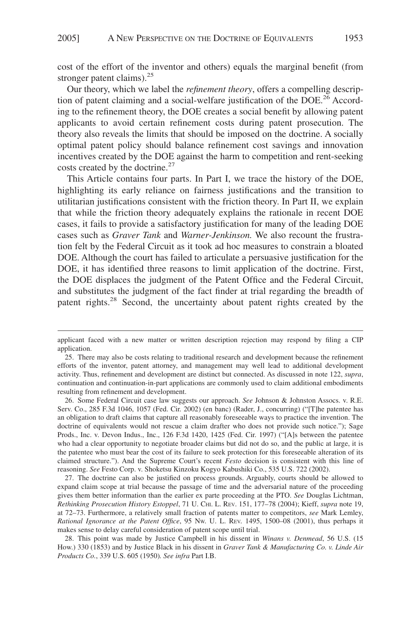cost of the effort of the inventor and others) equals the marginal benefit (from stronger patent claims). $^{25}$ 

Our theory, which we label the *refinement theory*, offers a compelling description of patent claiming and a social-welfare justification of the  $DOE<sup>26</sup>$  According to the refinement theory, the DOE creates a social benefit by allowing patent applicants to avoid certain refinement costs during patent prosecution. The theory also reveals the limits that should be imposed on the doctrine. A socially optimal patent policy should balance refinement cost savings and innovation incentives created by the DOE against the harm to competition and rent-seeking costs created by the doctrine.<sup>27</sup>

This Article contains four parts. In Part I, we trace the history of the DOE, highlighting its early reliance on fairness justifications and the transition to utilitarian justifications consistent with the friction theory. In Part II, we explain that while the friction theory adequately explains the rationale in recent DOE cases, it fails to provide a satisfactory justification for many of the leading DOE cases such as *Graver Tank* and *Warner-Jenkinson.* We also recount the frustration felt by the Federal Circuit as it took ad hoc measures to constrain a bloated DOE. Although the court has failed to articulate a persuasive justification for the DOE, it has identified three reasons to limit application of the doctrine. First, the DOE displaces the judgment of the Patent Office and the Federal Circuit, and substitutes the judgment of the fact finder at trial regarding the breadth of patent rights.<sup>28</sup> Second, the uncertainty about patent rights created by the

27. The doctrine can also be justified on process grounds. Arguably, courts should be allowed to expand claim scope at trial because the passage of time and the adversarial nature of the proceeding gives them better information than the earlier ex parte proceeding at the PTO. *See* Douglas Lichtman, *Rethinking Prosecution History Estoppel*, 71 U. CHI. L. REV. 151, 177–78 (2004); Kieff, *supra* note 19, at 72–73. Furthermore, a relatively small fraction of patents matter to competitors, *see* Mark Lemley, *Rational Ignorance at the Patent Office*, 95 NW. U. L. REV. 1495, 1500–08 (2001), thus perhaps it makes sense to delay careful consideration of patent scope until trial.

28. This point was made by Justice Campbell in his dissent in *Winans v. Denmead*, 56 U.S. (15 How.) 330 (1853) and by Justice Black in his dissent in *Graver Tank & Manufacturing Co. v. Linde Air Products Co.*, 339 U.S. 605 (1950)*. See infra* Part I.B.

applicant faced with a new matter or written description rejection may respond by filing a CIP application.

<sup>25.</sup> There may also be costs relating to traditional research and development because the refinement efforts of the inventor, patent attorney, and management may well lead to additional development activity. Thus, refinement and development are distinct but connected. As discussed in note 122, *supra*, continuation and continuation-in-part applications are commonly used to claim additional embodiments resulting from refinement and development.

<sup>26.</sup> Some Federal Circuit case law suggests our approach. *See* Johnson & Johnston Assocs. v. R.E. Serv. Co., 285 F.3d 1046, 1057 (Fed. Cir. 2002) (en banc) (Rader, J., concurring) ("[T]he patentee has an obligation to draft claims that capture all reasonably foreseeable ways to practice the invention. The doctrine of equivalents would not rescue a claim drafter who does not provide such notice."); Sage Prods., Inc. v. Devon Indus., Inc., 126 F.3d 1420, 1425 (Fed. Cir. 1997) ("[A]s between the patentee who had a clear opportunity to negotiate broader claims but did not do so, and the public at large, it is the patentee who must bear the cost of its failure to seek protection for this foreseeable alteration of its claimed structure."). And the Supreme Court's recent *Festo* decision is consistent with this line of reasoning. *See* Festo Corp. v. Shoketsu Kinzoku Kogyo Kabushiki Co., 535 U.S. 722 (2002).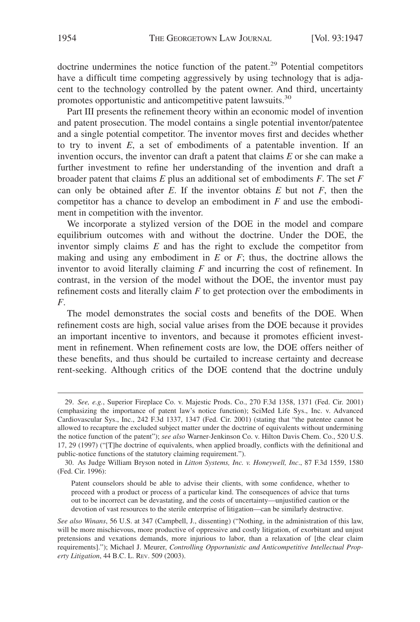doctrine undermines the notice function of the patent.<sup>29</sup> Potential competitors have a difficult time competing aggressively by using technology that is adjacent to the technology controlled by the patent owner. And third, uncertainty promotes opportunistic and anticompetitive patent lawsuits.<sup>30</sup>

Part III presents the refinement theory within an economic model of invention and patent prosecution. The model contains a single potential inventor/patentee and a single potential competitor. The inventor moves first and decides whether to try to invent *E*, a set of embodiments of a patentable invention. If an invention occurs, the inventor can draft a patent that claims *E* or she can make a further investment to refine her understanding of the invention and draft a broader patent that claims *E* plus an additional set of embodiments *F*. The set *F* can only be obtained after  $E$ . If the inventor obtains  $E$  but not  $F$ , then the competitor has a chance to develop an embodiment in *F* and use the embodiment in competition with the inventor.

We incorporate a stylized version of the DOE in the model and compare equilibrium outcomes with and without the doctrine. Under the DOE, the inventor simply claims *E* and has the right to exclude the competitor from making and using any embodiment in *E* or *F*; thus, the doctrine allows the inventor to avoid literally claiming *F* and incurring the cost of refinement. In contrast, in the version of the model without the DOE, the inventor must pay refinement costs and literally claim *F* to get protection over the embodiments in *F*.

The model demonstrates the social costs and benefits of the DOE. When refinement costs are high, social value arises from the DOE because it provides an important incentive to inventors, and because it promotes efficient investment in refinement. When refinement costs are low, the DOE offers neither of these benefits, and thus should be curtailed to increase certainty and decrease rent-seeking. Although critics of the DOE contend that the doctrine unduly

<sup>29.</sup> *See, e.g.*, Superior Fireplace Co. v. Majestic Prods. Co., 270 F.3d 1358, 1371 (Fed. Cir. 2001) (emphasizing the importance of patent law's notice function); SciMed Life Sys., Inc. v. Advanced Cardiovascular Sys., Inc., 242 F.3d 1337, 1347 (Fed. Cir. 2001) (stating that "the patentee cannot be allowed to recapture the excluded subject matter under the doctrine of equivalents without undermining the notice function of the patent"); *see also* Warner-Jenkinson Co. v. Hilton Davis Chem. Co., 520 U.S. 17, 29 (1997) ("[T]he doctrine of equivalents, when applied broadly, conflicts with the definitional and public-notice functions of the statutory claiming requirement.").

<sup>30.</sup> As Judge William Bryson noted in *Litton Systems, Inc. v. Honeywell, Inc*., 87 F.3d 1559, 1580 (Fed. Cir. 1996):

Patent counselors should be able to advise their clients, with some confidence, whether to proceed with a product or process of a particular kind. The consequences of advice that turns out to be incorrect can be devastating, and the costs of uncertainty—unjustified caution or the devotion of vast resources to the sterile enterprise of litigation—can be similarly destructive.

*See also Winans*, 56 U.S. at 347 (Campbell, J., dissenting) ("Nothing, in the administration of this law, will be more mischievous, more productive of oppressive and costly litigation, of exorbitant and unjust pretensions and vexations demands, more injurious to labor, than a relaxation of [the clear claim requirements]."); Michael J. Meurer, *Controlling Opportunistic and Anticompetitive Intellectual Property Litigation*, 44 B.C. L. REV. 509 (2003).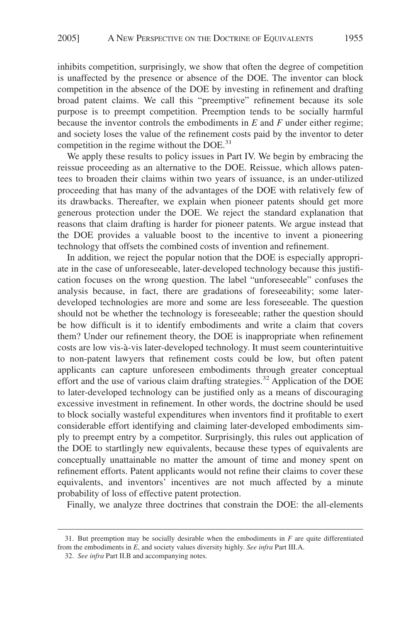inhibits competition, surprisingly, we show that often the degree of competition is unaffected by the presence or absence of the DOE. The inventor can block competition in the absence of the DOE by investing in refinement and drafting broad patent claims. We call this "preemptive" refinement because its sole purpose is to preempt competition. Preemption tends to be socially harmful because the inventor controls the embodiments in *E* and *F* under either regime; and society loses the value of the refinement costs paid by the inventor to deter competition in the regime without the  $DOE<sup>31</sup>$ 

We apply these results to policy issues in Part IV. We begin by embracing the reissue proceeding as an alternative to the DOE. Reissue, which allows patentees to broaden their claims within two years of issuance, is an under-utilized proceeding that has many of the advantages of the DOE with relatively few of its drawbacks. Thereafter, we explain when pioneer patents should get more generous protection under the DOE. We reject the standard explanation that reasons that claim drafting is harder for pioneer patents. We argue instead that the DOE provides a valuable boost to the incentive to invent a pioneering technology that offsets the combined costs of invention and refinement.

In addition, we reject the popular notion that the DOE is especially appropriate in the case of unforeseeable, later-developed technology because this justification focuses on the wrong question. The label "unforeseeable" confuses the analysis because, in fact, there are gradations of foreseeability; some laterdeveloped technologies are more and some are less foreseeable. The question should not be whether the technology is foreseeable; rather the question should be how difficult is it to identify embodiments and write a claim that covers them? Under our refinement theory, the DOE is inappropriate when refinement costs are low vis-à-vis later-developed technology. It must seem counterintuitive to non-patent lawyers that refinement costs could be low, but often patent applicants can capture unforeseen embodiments through greater conceptual effort and the use of various claim drafting strategies.<sup>32</sup> Application of the DOE to later-developed technology can be justified only as a means of discouraging excessive investment in refinement. In other words, the doctrine should be used to block socially wasteful expenditures when inventors find it profitable to exert considerable effort identifying and claiming later-developed embodiments simply to preempt entry by a competitor. Surprisingly, this rules out application of the DOE to startlingly new equivalents, because these types of equivalents are conceptually unattainable no matter the amount of time and money spent on refinement efforts. Patent applicants would not refine their claims to cover these equivalents, and inventors' incentives are not much affected by a minute probability of loss of effective patent protection.

Finally, we analyze three doctrines that constrain the DOE: the all-elements

<sup>31.</sup> But preemption may be socially desirable when the embodiments in *F* are quite differentiated from the embodiments in *E*, and society values diversity highly. *See infra* Part III.A.

<sup>32.</sup> *See infra* Part II.B and accompanying notes.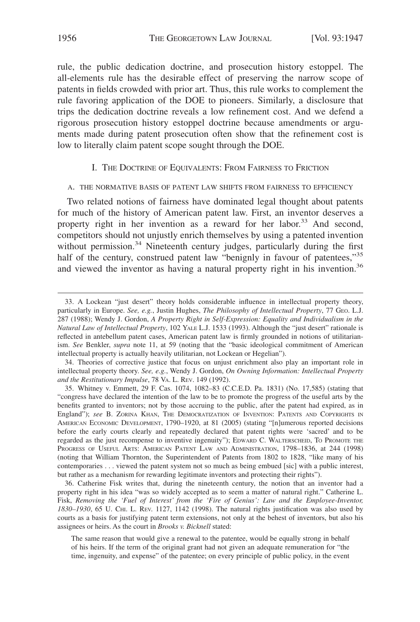rule, the public dedication doctrine, and prosecution history estoppel. The all-elements rule has the desirable effect of preserving the narrow scope of patents in fields crowded with prior art. Thus, this rule works to complement the rule favoring application of the DOE to pioneers. Similarly, a disclosure that trips the dedication doctrine reveals a low refinement cost. And we defend a rigorous prosecution history estoppel doctrine because amendments or arguments made during patent prosecution often show that the refinement cost is low to literally claim patent scope sought through the DOE.

#### I. THE DOCTRINE OF EQUIVALENTS: FROM FAIRNESS TO FRICTION

#### A. THE NORMATIVE BASIS OF PATENT LAW SHIFTS FROM FAIRNESS TO EFFICIENCY

Two related notions of fairness have dominated legal thought about patents for much of the history of American patent law. First, an inventor deserves a property right in her invention as a reward for her labor.<sup>33</sup> And second, competitors should not unjustly enrich themselves by using a patented invention without permission.<sup>34</sup> Nineteenth century judges, particularly during the first half of the century, construed patent law "benignly in favour of patentees,"<sup>35</sup> and viewed the inventor as having a natural property right in his invention.<sup>36</sup>

<sup>33.</sup> A Lockean "just desert" theory holds considerable influence in intellectual property theory, particularly in Europe. *See, e.g.*, Justin Hughes, *The Philosophy of Intellectual Property*, 77 GEO. L.J. 287 (1988); Wendy J. Gordon, *A Property Right in Self-Expression: Equality and Individualism in the Natural Law of Intellectual Property*, 102 YALE L.J. 1533 (1993). Although the "just desert" rationale is reflected in antebellum patent cases, American patent law is firmly grounded in notions of utilitarianism. *See* Benkler, *supra* note 11, at 59 (noting that the "basic ideological commitment of American intellectual property is actually heavily utilitarian, not Lockean or Hegelian").

<sup>34.</sup> Theories of corrective justice that focus on unjust enrichment also play an important role in intellectual property theory. *See, e.g.*, Wendy J. Gordon, *On Owning Information: Intellectual Property and the Restitutionary Impulse*, 78 VA. L. REV. 149 (1992).

<sup>35.</sup> Whitney v. Emmett, 29 F. Cas. 1074, 1082–83 (C.C.E.D. Pa. 1831) (No. 17,585) (stating that "congress have declared the intention of the law to be to promote the progress of the useful arts by the benefits granted to inventors; not by those accruing to the public, after the patent had expired, as in England"); *see* B. ZORINA KHAN, THE DEMOCRATIZATION OF INVENTION: PATENTS AND COPYRIGHTS IN AMERICAN ECONOMIC DEVELOPMENT, 1790–1920, at 81 (2005) (stating "[n]umerous reported decisions before the early courts clearly and repeatedly declared that patent rights were 'sacred' and to be regarded as the just recompense to inventive ingenuity"); EDWARD C. WALTERSCHEID, TO PROMOTE THE PROGRESS OF USEFUL ARTS: AMERICAN PATENT LAW AND ADMINISTRATION, 1798–1836, at 244 (1998) (noting that William Thornton, the Superintendent of Patents from 1802 to 1828, "like many of his contemporaries . . . viewed the patent system not so much as being embued [sic] with a public interest, but rather as a mechanism for rewarding legitimate inventors and protecting their rights").

<sup>36.</sup> Catherine Fisk writes that, during the nineteenth century, the notion that an inventor had a property right in his idea "was so widely accepted as to seem a matter of natural right." Catherine L. Fisk, *Removing the 'Fuel of Interest' from the 'Fire of Genius': Law and the Employee-Inventor, 1830–1930*, 65 U. CHI. L. REV. 1127, 1142 (1998). The natural rights justification was also used by courts as a basis for justifying patent term extensions, not only at the behest of inventors, but also his assignees or heirs. As the court in *Brooks v. Bicknell* stated:

The same reason that would give a renewal to the patentee, would be equally strong in behalf of his heirs. If the term of the original grant had not given an adequate remuneration for "the time, ingenuity, and expense" of the patentee; on every principle of public policy, in the event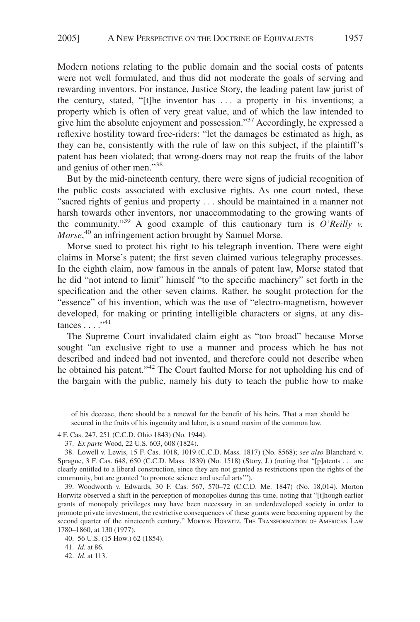Modern notions relating to the public domain and the social costs of patents were not well formulated, and thus did not moderate the goals of serving and rewarding inventors. For instance, Justice Story, the leading patent law jurist of the century, stated, "[t]he inventor has . . . a property in his inventions; a property which is often of very great value, and of which the law intended to give him the absolute enjoyment and possession."37 Accordingly, he expressed a reflexive hostility toward free-riders: "let the damages be estimated as high, as they can be, consistently with the rule of law on this subject, if the plaintiff's patent has been violated; that wrong-doers may not reap the fruits of the labor and genius of other men."38

But by the mid-nineteenth century, there were signs of judicial recognition of the public costs associated with exclusive rights. As one court noted, these "sacred rights of genius and property . . . should be maintained in a manner not harsh towards other inventors, nor unaccommodating to the growing wants of the community."39 A good example of this cautionary turn is *O'Reilly v. Morse*, <sup>40</sup> an infringement action brought by Samuel Morse.

Morse sued to protect his right to his telegraph invention. There were eight claims in Morse's patent; the first seven claimed various telegraphy processes. In the eighth claim, now famous in the annals of patent law, Morse stated that he did "not intend to limit" himself "to the specific machinery" set forth in the specification and the other seven claims. Rather, he sought protection for the "essence" of his invention, which was the use of "electro-magnetism, however developed, for making or printing intelligible characters or signs, at any dis $tances \ldots$ ."41

The Supreme Court invalidated claim eight as "too broad" because Morse sought "an exclusive right to use a manner and process which he has not described and indeed had not invented, and therefore could not describe when he obtained his patent."<sup>42</sup> The Court faulted Morse for not upholding his end of the bargain with the public, namely his duty to teach the public how to make

41. *Id.* at 86.

42. *Id*. at 113.

of his decease, there should be a renewal for the benefit of his heirs. That a man should be secured in the fruits of his ingenuity and labor, is a sound maxim of the common law.

<sup>4</sup> F. Cas. 247, 251 (C.C.D. Ohio 1843) (No. 1944).

<sup>37.</sup> *Ex parte* Wood, 22 U.S. 603, 608 (1824).

<sup>38.</sup> Lowell v. Lewis, 15 F. Cas. 1018, 1019 (C.C.D. Mass. 1817) (No. 8568); *see also* Blanchard v. Sprague, 3 F. Cas. 648, 650 (C.C.D. Mass. 1839) (No. 1518) (Story, J.) (noting that "[p]atents . . . are clearly entitled to a liberal construction, since they are not granted as restrictions upon the rights of the community, but are granted 'to promote science and useful arts'").

<sup>39.</sup> Woodworth v. Edwards, 30 F. Cas. 567, 570–72 (C.C.D. Me. 1847) (No. 18,014). Morton Horwitz observed a shift in the perception of monopolies during this time, noting that "[t]hough earlier grants of monopoly privileges may have been necessary in an underdeveloped society in order to promote private investment, the restrictive consequences of these grants were becoming apparent by the second quarter of the nineteenth century." MORTON HORWITZ, THE TRANSFORMATION OF AMERICAN LAW 1780–1860, at 130 (1977).

<sup>40. 56</sup> U.S. (15 How.) 62 (1854).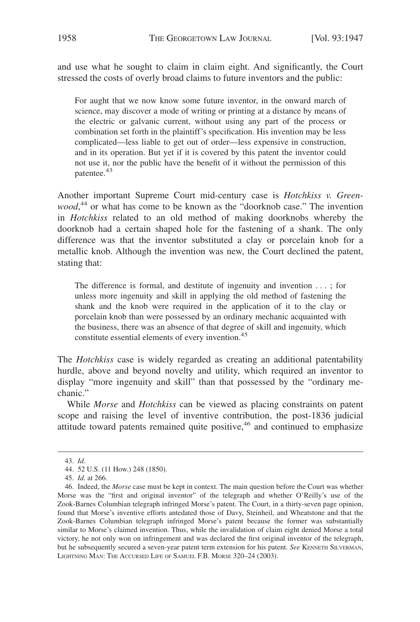and use what he sought to claim in claim eight. And significantly, the Court stressed the costs of overly broad claims to future inventors and the public:

For aught that we now know some future inventor, in the onward march of science, may discover a mode of writing or printing at a distance by means of the electric or galvanic current, without using any part of the process or combination set forth in the plaintiff's specification. His invention may be less complicated—less liable to get out of order—less expensive in construction, and in its operation. But yet if it is covered by this patent the inventor could not use it, nor the public have the benefit of it without the permission of this patentee.43

Another important Supreme Court mid-century case is *Hotchkiss v. Greenwood*, <sup>44</sup> or what has come to be known as the "doorknob case." The invention in *Hotchkiss* related to an old method of making doorknobs whereby the doorknob had a certain shaped hole for the fastening of a shank. The only difference was that the inventor substituted a clay or porcelain knob for a metallic knob. Although the invention was new, the Court declined the patent, stating that:

The difference is formal, and destitute of ingenuity and invention . . . ; for unless more ingenuity and skill in applying the old method of fastening the shank and the knob were required in the application of it to the clay or porcelain knob than were possessed by an ordinary mechanic acquainted with the business, there was an absence of that degree of skill and ingenuity, which constitute essential elements of every invention.<sup>45</sup>

The *Hotchkiss* case is widely regarded as creating an additional patentability hurdle, above and beyond novelty and utility, which required an inventor to display "more ingenuity and skill" than that possessed by the "ordinary mechanic."

While *Morse* and *Hotchkiss* can be viewed as placing constraints on patent scope and raising the level of inventive contribution, the post-1836 judicial attitude toward patents remained quite positive, $46$  and continued to emphasize

<sup>43.</sup> *Id*.

<sup>44. 52</sup> U.S. (11 How.) 248 (1850).

<sup>45.</sup> *Id.* at 266.

<sup>46.</sup> Indeed, the *Morse* case must be kept in context. The main question before the Court was whether Morse was the "first and original inventor" of the telegraph and whether O'Reilly's use of the Zook-Barnes Columbian telegraph infringed Morse's patent. The Court, in a thirty-seven page opinion, found that Morse's inventive efforts antedated those of Davy, Steinheil, and Wheatstone and that the Zook-Barnes Columbian telegraph infringed Morse's patent because the former was substantially similar to Morse's claimed invention. Thus, while the invalidation of claim eight denied Morse a total victory, he not only won on infringement and was declared the first original inventor of the telegraph, but he subsequently secured a seven-year patent term extension for his patent. *See* KENNETH SILVERMAN, LIGHTNING MAN: THE ACCURSED LIFE OF SAMUEL F.B. MORSE 320–24 (2003).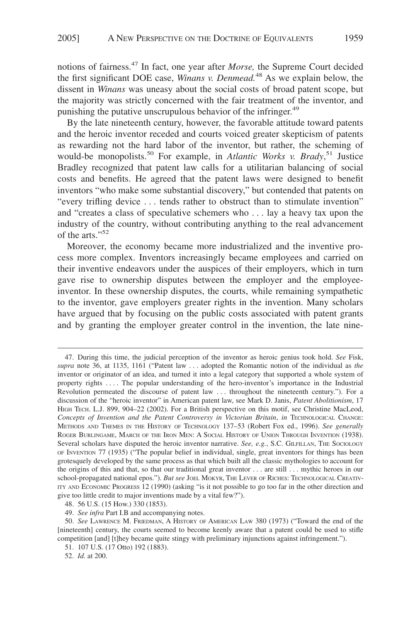notions of fairness.47 In fact, one year after *Morse,* the Supreme Court decided the first significant DOE case, *Winans v. Denmead.*<sup>48</sup> As we explain below, the dissent in *Winans* was uneasy about the social costs of broad patent scope, but the majority was strictly concerned with the fair treatment of the inventor, and punishing the putative unscrupulous behavior of the infringer.<sup>49</sup>

By the late nineteenth century, however, the favorable attitude toward patents and the heroic inventor receded and courts voiced greater skepticism of patents as rewarding not the hard labor of the inventor, but rather, the scheming of would-be monopolists.<sup>50</sup> For example, in *Atlantic Works v. Brady*,<sup>51</sup> Justice Bradley recognized that patent law calls for a utilitarian balancing of social costs and benefits. He agreed that the patent laws were designed to benefit inventors "who make some substantial discovery," but contended that patents on "every trifling device . . . tends rather to obstruct than to stimulate invention" and "creates a class of speculative schemers who . . . lay a heavy tax upon the industry of the country, without contributing anything to the real advancement of the arts."<sup>52</sup>

Moreover, the economy became more industrialized and the inventive process more complex. Inventors increasingly became employees and carried on their inventive endeavors under the auspices of their employers, which in turn gave rise to ownership disputes between the employer and the employeeinventor. In these ownership disputes, the courts, while remaining sympathetic to the inventor, gave employers greater rights in the invention. Many scholars have argued that by focusing on the public costs associated with patent grants and by granting the employer greater control in the invention, the late nine-

<sup>47.</sup> During this time, the judicial perception of the inventor as heroic genius took hold. *See* Fisk, *supra* note 36, at 1135, 1161 ("Patent law . . . adopted the Romantic notion of the individual as *the* inventor or originator of an idea, and turned it into a legal category that supported a whole system of property rights . . . . The popular understanding of the hero-inventor's importance in the Industrial Revolution permeated the discourse of patent law . . . throughout the nineteenth century."). For a discussion of the "heroic inventor" in American patent law, see Mark D. Janis, *Patent Abolitionism*, 17 HIGH TECH. L.J. 899, 904-22 (2002). For a British perspective on this motif, see Christine MacLeod, *Concepts of Invention and the Patent Controversy in Victorian Britain*, *in* TECHNOLOGICAL CHANGE: METHODS AND THEMES IN THE HISTORY OF TECHNOLOGY 137–53 (Robert Fox ed., 1996). *See generally* ROGER BURLINGAME, MARCH OF THE IRON MEN: A SOCIAL HISTORY OF UNION THROUGH INVENTION (1938). Several scholars have disputed the heroic inventor narrative. *See, e.g.*, S.C. GILFILLAN, THE SOCIOLOGY OF INVENTION 77 (1935) ("The popular belief in individual, single, great inventors for things has been grotesquely developed by the same process as that which built all the classic mythologies to account for the origins of this and that, so that our traditional great inventor . . . are still . . . mythic heroes in our school-propagated national epos."). But see JOEL MOKYR, THE LEVER OF RICHES: TECHNOLOGICAL CREATIV-ITY AND ECONOMIC PROGRESS 12 (1990) (asking "is it not possible to go too far in the other direction and give too little credit to major inventions made by a vital few?").

<sup>48. 56</sup> U.S. (15 How.) 330 (1853).

<sup>49.</sup> *See infra* Part I.B and accompanying notes.

<sup>50.</sup> *See* LAWRENCE M. FRIEDMAN,AHISTORY OF AMERICAN LAW 380 (1973) ("Toward the end of the [nineteenth] century, the courts seemed to become keenly aware that a patent could be used to stifle competition [and] [t]hey became quite stingy with preliminary injunctions against infringement.").

<sup>51. 107</sup> U.S. (17 Otto) 192 (1883).

<sup>52.</sup> *Id.* at 200.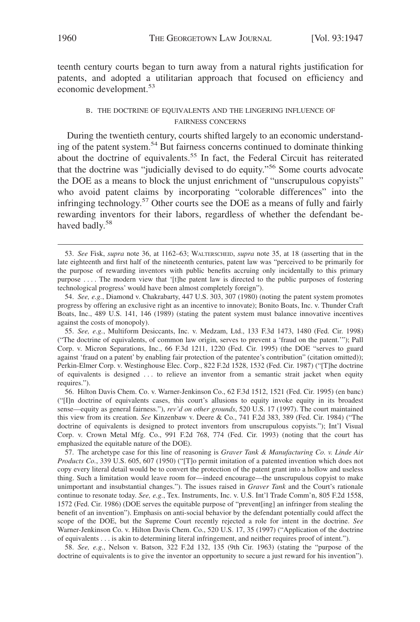teenth century courts began to turn away from a natural rights justification for patents, and adopted a utilitarian approach that focused on efficiency and economic development.<sup>53</sup>

## B. THE DOCTRINE OF EQUIVALENTS AND THE LINGERING INFLUENCE OF FAIRNESS CONCERNS

During the twentieth century, courts shifted largely to an economic understanding of the patent system.54 But fairness concerns continued to dominate thinking about the doctrine of equivalents.<sup>55</sup> In fact, the Federal Circuit has reiterated that the doctrine was "judicially devised to do equity."56 Some courts advocate the DOE as a means to block the unjust enrichment of "unscrupulous copyists" who avoid patent claims by incorporating "colorable differences" into the infringing technology.<sup>57</sup> Other courts see the DOE as a means of fully and fairly rewarding inventors for their labors, regardless of whether the defendant behaved badly.<sup>58</sup>

55. *See, e.g.*, Multiform Desiccants, Inc. v. Medzam, Ltd., 133 F.3d 1473, 1480 (Fed. Cir. 1998) ("The doctrine of equivalents, of common law origin, serves to prevent a 'fraud on the patent.'"); Pall Corp. v. Micron Separations, Inc., 66 F.3d 1211, 1220 (Fed. Cir. 1995) (the DOE "serves to guard against 'fraud on a patent' by enabling fair protection of the patentee's contribution" (citation omitted)); Perkin-Elmer Corp. v. Westinghouse Elec. Corp., 822 F.2d 1528, 1532 (Fed. Cir. 1987) ("[T]he doctrine of equivalents is designed . . . to relieve an inventor from a semantic strait jacket when equity requires.").

56. Hilton Davis Chem. Co. v. Warner-Jenkinson Co., 62 F.3d 1512, 1521 (Fed. Cir. 1995) (en banc) ("[I]n doctrine of equivalents cases, this court's allusions to equity invoke equity in its broadest sense—equity as general fairness."), *rev'd on other grounds*, 520 U.S. 17 (1997). The court maintained this view from its creation. *See* Kinzenbaw v. Deere & Co., 741 F.2d 383, 389 (Fed. Cir. 1984) ("The doctrine of equivalents is designed to protect inventors from unscrupulous copyists."); Int'l Visual Corp. v. Crown Metal Mfg. Co., 991 F.2d 768, 774 (Fed. Cir. 1993) (noting that the court has emphasized the equitable nature of the DOE).

57. The archetype case for this line of reasoning is *Graver Tank & Manufacturing Co. v. Linde Air Products Co.*, 339 U.S. 605, 607 (1950) ("[T]o permit imitation of a patented invention which does not copy every literal detail would be to convert the protection of the patent grant into a hollow and useless thing. Such a limitation would leave room for—indeed encourage—the unscrupulous copyist to make unimportant and insubstantial changes."). The issues raised in *Graver Tank* and the Court's rationale continue to resonate today. *See, e.g.*, Tex. Instruments, Inc. v. U.S. Int'l Trade Comm'n, 805 F.2d 1558, 1572 (Fed. Cir. 1986) (DOE serves the equitable purpose of "prevent[ing] an infringer from stealing the benefit of an invention"). Emphasis on anti-social behavior by the defendant potentially could affect the scope of the DOE, but the Supreme Court recently rejected a role for intent in the doctrine. *See* Warner-Jenkinson Co. v. Hilton Davis Chem. Co., 520 U.S. 17, 35 (1997) ("Application of the doctrine of equivalents . . . is akin to determining literal infringement, and neither requires proof of intent.").

58. *See, e.g.*, Nelson v. Batson, 322 F.2d 132, 135 (9th Cir. 1963) (stating the "purpose of the doctrine of equivalents is to give the inventor an opportunity to secure a just reward for his invention").

<sup>53.</sup> *See* Fisk, *supra* note 36, at 1162–63; WALTERSCHEID, *supra* note 35, at 18 (asserting that in the late eighteenth and first half of the nineteenth centuries, patent law was "perceived to be primarily for the purpose of rewarding inventors with public benefits accruing only incidentally to this primary purpose . . . . The modern view that '[t]he patent law is directed to the public purposes of fostering technological progress' would have been almost completely foreign").

<sup>54.</sup> *See, e.g.*, Diamond v. Chakrabarty, 447 U.S. 303, 307 (1980) (noting the patent system promotes progress by offering an exclusive right as an incentive to innovate); Bonito Boats, Inc. v. Thunder Craft Boats, Inc., 489 U.S. 141, 146 (1989) (stating the patent system must balance innovative incentives against the costs of monopoly).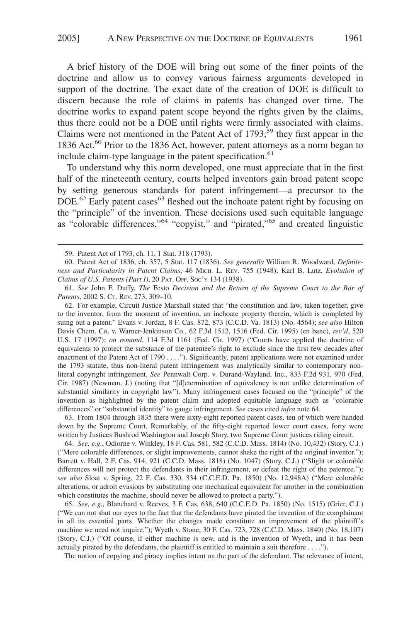A brief history of the DOE will bring out some of the finer points of the doctrine and allow us to convey various fairness arguments developed in support of the doctrine. The exact date of the creation of DOE is difficult to discern because the role of claims in patents has changed over time. The doctrine works to expand patent scope beyond the rights given by the claims, thus there could not be a DOE until rights were firmly associated with claims. Claims were not mentioned in the Patent Act of  $1793$ ;<sup>59</sup> they first appear in the 1836 Act.<sup>60</sup> Prior to the 1836 Act, however, patent attorneys as a norm began to include claim-type language in the patent specification. $61$ 

To understand why this norm developed, one must appreciate that in the first half of the nineteenth century, courts helped inventors gain broad patent scope by setting generous standards for patent infringement—a precursor to the DOE.<sup>62</sup> Early patent cases<sup>63</sup> fleshed out the inchoate patent right by focusing on the "principle" of the invention. These decisions used such equitable language as "colorable differences,"64 "copyist," and "pirated,"65 and created linguistic

62. For example, Circuit Justice Marshall stated that "the constitution and law, taken together, give to the inventor, from the moment of invention, an inchoate property therein, which is completed by suing out a patent." Evans v. Jordan, 8 F. Cas. 872, 873 (C.C.D. Va. 1813) (No. 4564); *see also* Hilton Davis Chem. Co. v. Warner-Jenkinson Co., 62 F.3d 1512, 1516 (Fed. Cir. 1995) (en banc), *rev'd*, 520 U.S. 17 (1997); *on remand*, 114 F.3d 1161 (Fed. Cir. 1997) ("Courts have applied the doctrine of equivalents to protect the substance of the patentee's right to exclude since the first few decades after enactment of the Patent Act of 1790 . . . ."). Significantly, patent applications were not examined under the 1793 statute, thus non-literal patent infringement was analytically similar to contemporary nonliteral copyright infringement. *See* Pennwalt Corp. v. Durand-Wayland, Inc., 833 F.2d 931, 970 (Fed. Cir. 1987) (Newman, J.) (noting that "[d]etermination of equivalency is not unlike determination of substantial similarity in copyright law"). Many infringement cases focused on the "principle" of the invention as highlighted by the patent claim and adopted equitable language such as "colorable differences" or "substantial identity" to gauge infringement. *See* cases cited *infra* note 64.

63. From 1804 through 1835 there were sixty-eight reported patent cases, ten of which were handed down by the Supreme Court. Remarkably, of the fifty-eight reported lower court cases, forty were written by Justices Bushrod Washington and Joseph Story, two Supreme Court justices riding circuit.

64. *See, e.g.*, Odiorne v. Winkley, 18 F. Cas. 581, 582 (C.C.D. Mass. 1814) (No. 10,432) (Story, C.J.) ("Mere colorable differences, or slight improvements, cannot shake the right of the original inventor."); Barrett v. Hall, 2 F. Cas. 914, 921 (C.C.D. Mass. 1818) (No. 1047) (Story, C.J.) ("Slight or colorable differences will not protect the defendants in their infringement, or defeat the right of the patentee."); *see also* Sloat v. Spring, 22 F. Cas. 330, 334 (C.C.E.D. Pa. 1850) (No. 12,948A) ("Mere colorable alterations, or adroit evasions by substituting one mechanical equivalent for another in the combination which constitutes the machine, should never be allowed to protect a party.").

65. *See, e.g.*, Blanchard v. Reeves, 3 F. Cas. 638, 640 (C.C.E.D. Pa. 1850) (No. 1515) (Grier, C.J.) ("We can not shut our eyes to the fact that the defendants have pirated the invention of the complainant in all its essential parts. Whether the changes made constitute an improvement of the plaintiff's machine we need not inquire."); Wyeth v. Stone, 30 F. Cas. 723, 728 (C.C.D. Mass. 1840) (No. 18,107) (Story, C.J.) ("Of course, if either machine is new, and is the invention of Wyeth, and it has been actually pirated by the defendants, the plaintiff is entitled to maintain a suit therefore . . . .").

The notion of copying and piracy implies intent on the part of the defendant. The relevance of intent,

<sup>59.</sup> Patent Act of 1793, ch. 11, 1 Stat. 318 (1793).

<sup>60.</sup> Patent Act of 1836, ch. 357, 5 Stat. 117 (1836). *See generally* William R. Woodward, *Definiteness and Particularity in Patent Claims*, 46 MICH. L. REV. 755 (1948); Karl B. Lutz, *Evolution of Claims of U.S. Patents (Part I)*, 20 PAT. OFF. SOC'Y 134 (1938).

<sup>61.</sup> *See* John F. Duffy, *The* Festo *Decision and the Return of the Supreme Court to the Bar of Patents*, 2002 S. CT. REV. 273, 309–10.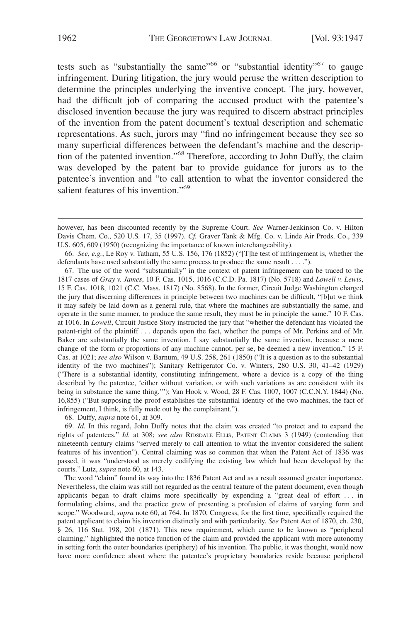tests such as "substantially the same"<sup>66</sup> or "substantial identity"<sup>67</sup> to gauge infringement. During litigation, the jury would peruse the written description to determine the principles underlying the inventive concept. The jury, however, had the difficult job of comparing the accused product with the patentee's disclosed invention because the jury was required to discern abstract principles of the invention from the patent document's textual description and schematic representations. As such, jurors may "find no infringement because they see so many superficial differences between the defendant's machine and the description of the patented invention."68 Therefore, according to John Duffy, the claim was developed by the patent bar to provide guidance for jurors as to the patentee's invention and "to call attention to what the inventor considered the salient features of his invention."<sup>69</sup>

67. The use of the word "substantially" in the context of patent infringement can be traced to the 1817 cases of *Gray v. James*, 10 F. Cas. 1015, 1016 (C.C.D. Pa. 1817) (No. 5718) and *Lowell v. Lewis*, 15 F. Cas. 1018, 1021 (C.C. Mass. 1817) (No. 8568). In the former, Circuit Judge Washington charged the jury that discerning differences in principle between two machines can be difficult, "[b]ut we think it may safely be laid down as a general rule, that where the machines are substantially the same, and operate in the same manner, to produce the same result, they must be in principle the same." 10 F. Cas. at 1016. In *Lowell*, Circuit Justice Story instructed the jury that "whether the defendant has violated the patent-right of the plaintiff . . . depends upon the fact, whether the pumps of Mr. Perkins and of Mr. Baker are substantially the same invention. I say substantially the same invention, because a mere change of the form or proportions of any machine cannot, per se, be deemed a new invention." 15 F. Cas. at 1021; *see also* Wilson v. Barnum, 49 U.S. 258, 261 (1850) ("It is a question as to the substantial identity of the two machines"); Sanitary Refrigerator Co. v. Winters, 280 U.S. 30, 41–42 (1929) ("There is a substantial identity, constituting infringement, where a device is a copy of the thing described by the patentee, 'either without variation, or with such variations as are consistent with its being in substance the same thing.""); Van Hook v. Wood, 28 F. Cas. 1007, 1007 (C.C.N.Y. 1844) (No. 16,855) ("But supposing the proof establishes the substantial identity of the two machines, the fact of infringement, I think, is fully made out by the complainant.").

68. Duffy, *supra* note 61, at 309.

69. *Id.* In this regard, John Duffy notes that the claim was created "to protect and to expand the rights of patentees." *Id.* at 308; *see also* RIDSDALE ELLIS, PATENT CLAIMS 3 (1949) (contending that nineteenth century claims "served merely to call attention to what the inventor considered the salient features of his invention"). Central claiming was so common that when the Patent Act of 1836 was passed, it was "understood as merely codifying the existing law which had been developed by the courts." Lutz, *supra* note 60, at 143.

The word "claim" found its way into the 1836 Patent Act and as a result assumed greater importance. Nevertheless, the claim was still not regarded as the central feature of the patent document, even though applicants began to draft claims more specifically by expending a "great deal of effort . . . in formulating claims, and the practice grew of presenting a profusion of claims of varying form and scope." Woodward, *supra* note 60, at 764. In 1870, Congress, for the first time, specifically required the patent applicant to claim his invention distinctly and with particularity. *See* Patent Act of 1870, ch. 230, § 26, 116 Stat. 198, 201 (1871). This new requirement, which came to be known as "peripheral claiming," highlighted the notice function of the claim and provided the applicant with more autonomy in setting forth the outer boundaries (periphery) of his invention. The public, it was thought, would now have more confidence about where the patentee's proprietary boundaries reside because peripheral

however, has been discounted recently by the Supreme Court. *See* Warner-Jenkinson Co. v. Hilton Davis Chem. Co., 520 U.S*.* 17, 35 (1997). *Cf.* Graver Tank & Mfg. Co. v. Linde Air Prods. Co., 339 U.S. 605, 609 (1950) (recognizing the importance of known interchangeability).

<sup>66.</sup> *See, e.g.*, Le Roy v. Tatham, 55 U.S. 156, 176 (1852) ("[T]he test of infringement is, whether the defendants have used substantially the same process to produce the same result . . . .").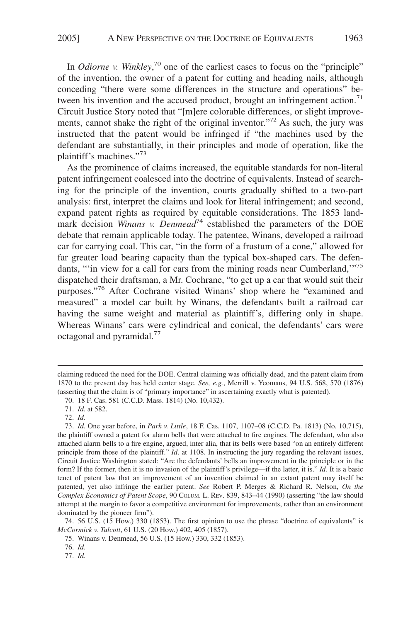In *Odiorne v. Winkley*<sup>70</sup> one of the earliest cases to focus on the "principle" of the invention, the owner of a patent for cutting and heading nails, although conceding "there were some differences in the structure and operations" between his invention and the accused product, brought an infringement action.<sup>71</sup> Circuit Justice Story noted that "[m]ere colorable differences, or slight improvements, cannot shake the right of the original inventor."<sup>72</sup> As such, the jury was instructed that the patent would be infringed if "the machines used by the defendant are substantially, in their principles and mode of operation, like the plaintiff's machines."73

As the prominence of claims increased, the equitable standards for non-literal patent infringement coalesced into the doctrine of equivalents. Instead of searching for the principle of the invention, courts gradually shifted to a two-part analysis: first, interpret the claims and look for literal infringement; and second, expand patent rights as required by equitable considerations. The 1853 landmark decision *Winans v. Denmead*<sup>74</sup> established the parameters of the DOE debate that remain applicable today. The patentee, Winans, developed a railroad car for carrying coal. This car, "in the form of a frustum of a cone," allowed for far greater load bearing capacity than the typical box-shaped cars. The defendants, ""in view for a call for cars from the mining roads near Cumberland,"<sup>75</sup> dispatched their draftsman, a Mr. Cochrane, "to get up a car that would suit their purposes."<sup>76</sup> After Cochrane visited Winans' shop where he "examined and measured" a model car built by Winans, the defendants built a railroad car having the same weight and material as plaintiff's, differing only in shape. Whereas Winans' cars were cylindrical and conical, the defendants' cars were octagonal and pyramidal.77

claiming reduced the need for the DOE. Central claiming was officially dead, and the patent claim from 1870 to the present day has held center stage. *See, e.g.*, Merrill v. Yeomans, 94 U.S. 568, 570 (1876) (asserting that the claim is of "primary importance" in ascertaining exactly what is patented).

<sup>70. 18</sup> F. Cas. 581 (C.C.D. Mass. 1814) (No. 10,432).

<sup>71.</sup> *Id.* at 582.

<sup>72.</sup> *Id.*

<sup>73.</sup> *Id.* One year before, in *Park v. Little*, 18 F. Cas. 1107, 1107–08 (C.C.D. Pa. 1813) (No. 10,715), the plaintiff owned a patent for alarm bells that were attached to fire engines. The defendant, who also attached alarm bells to a fire engine, argued, inter alia, that its bells were based "on an entirely different principle from those of the plaintiff." *Id*. at 1108. In instructing the jury regarding the relevant issues, Circuit Justice Washington stated: "Are the defendants' bells an improvement in the principle or in the form? If the former, then it is no invasion of the plaintiff's privilege—if the latter, it is." *Id.* It is a basic tenet of patent law that an improvement of an invention claimed in an extant patent may itself be patented, yet also infringe the earlier patent. *See* Robert P. Merges & Richard R. Nelson, *On the Complex Economics of Patent Scope*, 90 COLUM. L. REV. 839, 843–44 (1990) (asserting "the law should attempt at the margin to favor a competitive environment for improvements, rather than an environment dominated by the pioneer firm").

<sup>74. 56</sup> U.S. (15 How.) 330 (1853). The first opinion to use the phrase "doctrine of equivalents" is *McCormick v. Talcott*, 61 U.S. (20 How.) 402, 405 (1857).

<sup>75.</sup> Winans v. Denmead, 56 U.S. (15 How.) 330, 332 (1853).

<sup>76.</sup> *Id*.

<sup>77.</sup> *Id.*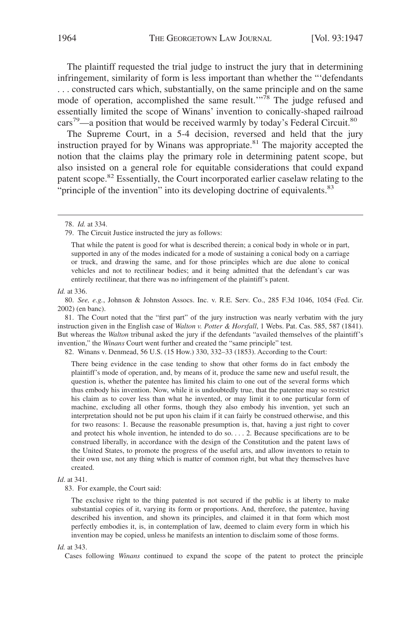The plaintiff requested the trial judge to instruct the jury that in determining infringement, similarity of form is less important than whether the "'defendants . . . constructed cars which, substantially, on the same principle and on the same mode of operation, accomplished the same result."<sup>78</sup> The judge refused and essentially limited the scope of Winans' invention to conically-shaped railroad cars<sup>79</sup>—a position that would be received warmly by today's Federal Circuit.<sup>80</sup>

The Supreme Court, in a 5-4 decision, reversed and held that the jury instruction prayed for by Winans was appropriate. $81$  The majority accepted the notion that the claims play the primary role in determining patent scope, but also insisted on a general role for equitable considerations that could expand patent scope.<sup>82</sup> Essentially, the Court incorporated earlier caselaw relating to the "principle of the invention" into its developing doctrine of equivalents.<sup>83</sup>

79. The Circuit Justice instructed the jury as follows:

That while the patent is good for what is described therein; a conical body in whole or in part, supported in any of the modes indicated for a mode of sustaining a conical body on a carriage or truck, and drawing the same, and for those principles which are due alone to conical vehicles and not to rectilinear bodies; and it being admitted that the defendant's car was entirely rectilinear, that there was no infringement of the plaintiff's patent.

#### *Id.* at 336.

81. The Court noted that the "first part" of the jury instruction was nearly verbatim with the jury instruction given in the English case of *Walton v. Potter & Horsfall*, 1 Webs. Pat. Cas. 585, 587 (1841). But whereas the *Walton* tribunal asked the jury if the defendants "availed themselves of the plaintiff's invention," the *Winans* Court went further and created the "same principle" test.

82. Winans v. Denmead, 56 U.S. (15 How.) 330, 332–33 (1853). According to the Court:

There being evidence in the case tending to show that other forms do in fact embody the plaintiff's mode of operation, and, by means of it, produce the same new and useful result, the question is, whether the patentee has limited his claim to one out of the several forms which thus embody his invention. Now, while it is undoubtedly true, that the patentee may so restrict his claim as to cover less than what he invented, or may limit it to one particular form of machine, excluding all other forms, though they also embody his invention, yet such an interpretation should not be put upon his claim if it can fairly be construed otherwise, and this for two reasons: 1. Because the reasonable presumption is, that, having a just right to cover and protect his whole invention, he intended to do so. . . . 2. Because specifications are to be construed liberally, in accordance with the design of the Constitution and the patent laws of the United States, to promote the progress of the useful arts, and allow inventors to retain to their own use, not any thing which is matter of common right, but what they themselves have created.

#### *Id*. at 341.

83. For example, the Court said:

The exclusive right to the thing patented is not secured if the public is at liberty to make substantial copies of it, varying its form or proportions. And, therefore, the patentee, having described his invention, and shown its principles, and claimed it in that form which most perfectly embodies it, is, in contemplation of law, deemed to claim every form in which his invention may be copied, unless he manifests an intention to disclaim some of those forms.

#### *Id.* at 343.

Cases following *Winans* continued to expand the scope of the patent to protect the principle

<sup>78.</sup> *Id.* at 334.

<sup>80.</sup> *See, e.g.*, Johnson & Johnston Assocs. Inc. v. R.E. Serv. Co., 285 F.3d 1046, 1054 (Fed. Cir. 2002) (en banc).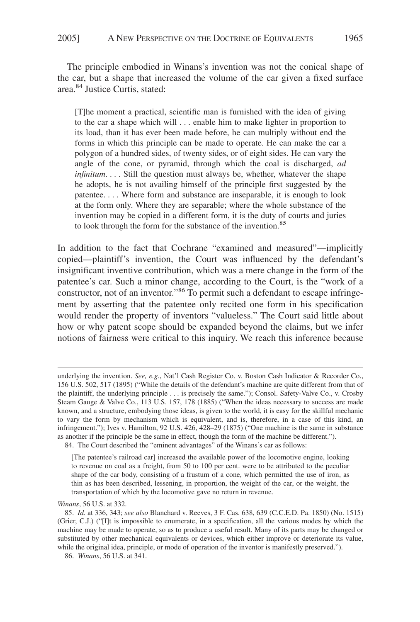The principle embodied in Winans's invention was not the conical shape of the car, but a shape that increased the volume of the car given a fixed surface area.84 Justice Curtis, stated:

[T]he moment a practical, scientific man is furnished with the idea of giving to the car a shape which will . . . enable him to make lighter in proportion to its load, than it has ever been made before, he can multiply without end the forms in which this principle can be made to operate. He can make the car a polygon of a hundred sides, of twenty sides, or of eight sides. He can vary the angle of the cone, or pyramid, through which the coal is discharged, *ad infinitum....* Still the question must always be, whether, whatever the shape he adopts, he is not availing himself of the principle first suggested by the patentee....Where form and substance are inseparable, it is enough to look at the form only. Where they are separable; where the whole substance of the invention may be copied in a different form, it is the duty of courts and juries to look through the form for the substance of the invention.<sup>85</sup>

In addition to the fact that Cochrane "examined and measured"—implicitly copied—plaintiff's invention, the Court was influenced by the defendant's insignificant inventive contribution, which was a mere change in the form of the patentee's car. Such a minor change, according to the Court, is the "work of a constructor, not of an inventor."<sup>86</sup> To permit such a defendant to escape infringement by asserting that the patentee only recited one form in his specification would render the property of inventors "valueless." The Court said little about how or why patent scope should be expanded beyond the claims, but we infer notions of fairness were critical to this inquiry. We reach this inference because

underlying the invention. *See, e.g.*, Nat'l Cash Register Co. v. Boston Cash Indicator & Recorder Co., 156 U.S. 502, 517 (1895) ("While the details of the defendant's machine are quite different from that of the plaintiff, the underlying principle . . . is precisely the same."); Consol. Safety-Valve Co., v. Crosby Steam Gauge & Valve Co., 113 U.S. 157, 178 (1885) ("When the ideas necessary to success are made known, and a structure, embodying those ideas, is given to the world, it is easy for the skillful mechanic to vary the form by mechanism which is equivalent, and is, therefore, in a case of this kind, an infringement."); Ives v. Hamilton, 92 U.S. 426, 428–29 (1875) ("One machine is the same in substance as another if the principle be the same in effect, though the form of the machine be different."). 84. The Court described the "eminent advantages" of the Winans's car as follows:

<sup>[</sup>The patentee's railroad car] increased the available power of the locomotive engine, looking to revenue on coal as a freight, from 50 to 100 per cent. were to be attributed to the peculiar shape of the car body, consisting of a frustum of a cone, which permitted the use of iron, as thin as has been described, lessening, in proportion, the weight of the car, or the weight, the transportation of which by the locomotive gave no return in revenue.

*Winans*, 56 U.S. at 332.

<sup>85.</sup> *Id.* at 336, 343; *see also* Blanchard v. Reeves, 3 F. Cas. 638, 639 (C.C.E.D. Pa. 1850) (No. 1515) (Grier, C.J.) ("[I]t is impossible to enumerate, in a specification, all the various modes by which the machine may be made to operate, so as to produce a useful result. Many of its parts may be changed or substituted by other mechanical equivalents or devices, which either improve or deteriorate its value, while the original idea, principle, or mode of operation of the inventor is manifestly preserved.").

<sup>86.</sup> *Winans*, 56 U.S. at 341.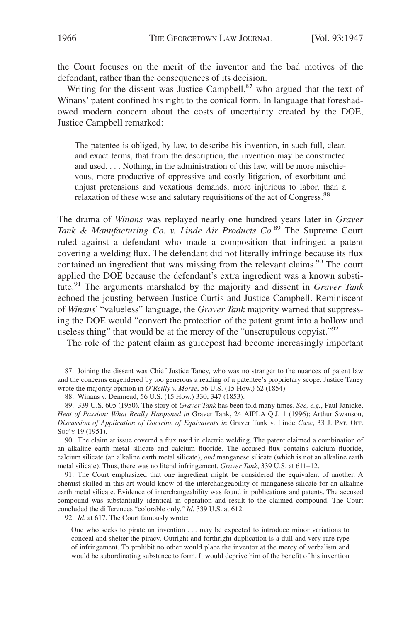the Court focuses on the merit of the inventor and the bad motives of the defendant, rather than the consequences of its decision.

Writing for the dissent was Justice Campbell,<sup>87</sup> who argued that the text of Winans' patent confined his right to the conical form. In language that foreshadowed modern concern about the costs of uncertainty created by the DOE, Justice Campbell remarked:

The patentee is obliged, by law, to describe his invention, in such full, clear, and exact terms, that from the description, the invention may be constructed and used.... Nothing, in the administration of this law, will be more mischievous, more productive of oppressive and costly litigation, of exorbitant and unjust pretensions and vexatious demands, more injurious to labor, than a relaxation of these wise and salutary requisitions of the act of Congress.<sup>88</sup>

The drama of *Winans* was replayed nearly one hundred years later in *Graver Tank & Manufacturing Co. v. Linde Air Products Co.*<sup>89</sup> The Supreme Court ruled against a defendant who made a composition that infringed a patent covering a welding flux. The defendant did not literally infringe because its flux contained an ingredient that was missing from the relevant claims.<sup>90</sup> The court applied the DOE because the defendant's extra ingredient was a known substitute.91 The arguments marshaled by the majority and dissent in *Graver Tank* echoed the jousting between Justice Curtis and Justice Campbell. Reminiscent of *Winans*' "valueless" language, the *Graver Tank* majority warned that suppressing the DOE would "convert the protection of the patent grant into a hollow and useless thing" that would be at the mercy of the "unscrupulous copyist."<sup>92</sup>

The role of the patent claim as guidepost had become increasingly important

91. The Court emphasized that one ingredient might be considered the equivalent of another. A chemist skilled in this art would know of the interchangeability of manganese silicate for an alkaline earth metal silicate. Evidence of interchangeability was found in publications and patents. The accused compound was substantially identical in operation and result to the claimed compound. The Court concluded the differences "colorable only." *Id*. 339 U.S. at 612.

92. *Id*. at 617. The Court famously wrote:

<sup>87.</sup> Joining the dissent was Chief Justice Taney, who was no stranger to the nuances of patent law and the concerns engendered by too generous a reading of a patentee's proprietary scope. Justice Taney wrote the majority opinion in *O'Reilly v. Morse*, 56 U.S. (15 How.) 62 (1854).

<sup>88.</sup> Winans v. Denmead, 56 U.S. (15 How.) 330, 347 (1853).

<sup>89. 339</sup> U.S. 605 (1950). The story of *Graver Tank* has been told many times. *See, e.g.*, Paul Janicke, *Heat of Passion: What Really Happened in* Graver Tank, 24 AIPLA Q.J. 1 (1996); Arthur Swanson, *Discussion of Application of Doctrine of Equivalents in* Graver Tank v. Linde *Case*, 33 J. PAT. OFF. Soc'y 19 (1951).

<sup>90.</sup> The claim at issue covered a flux used in electric welding. The patent claimed a combination of an alkaline earth metal silicate and calcium fluoride. The accused flux contains calcium fluoride, calcium silicate (an alkaline earth metal silicate), *and* manganese silicate (which is not an alkaline earth metal silicate). Thus, there was no literal infringement. *Graver Tank*, 339 U.S. at 611–12.

One who seeks to pirate an invention . . . may be expected to introduce minor variations to conceal and shelter the piracy. Outright and forthright duplication is a dull and very rare type of infringement. To prohibit no other would place the inventor at the mercy of verbalism and would be subordinating substance to form. It would deprive him of the benefit of his invention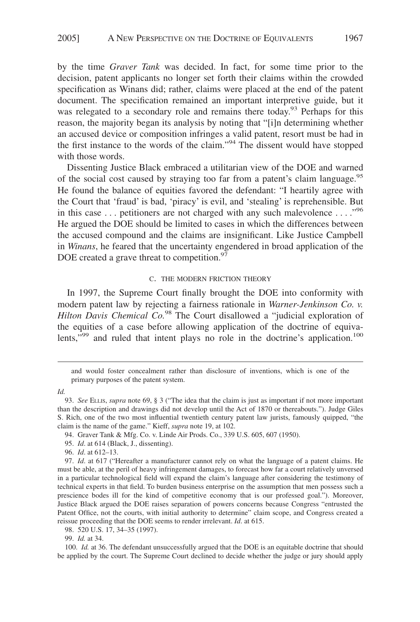by the time *Graver Tank* was decided. In fact, for some time prior to the decision, patent applicants no longer set forth their claims within the crowded specification as Winans did; rather, claims were placed at the end of the patent document. The specification remained an important interpretive guide, but it was relegated to a secondary role and remains there today.<sup>93</sup> Perhaps for this reason, the majority began its analysis by noting that "[i]n determining whether an accused device or composition infringes a valid patent, resort must be had in the first instance to the words of the claim."94 The dissent would have stopped with those words.

Dissenting Justice Black embraced a utilitarian view of the DOE and warned of the social cost caused by straying too far from a patent's claim language.<sup>95</sup> He found the balance of equities favored the defendant: "I heartily agree with the Court that 'fraud' is bad, 'piracy' is evil, and 'stealing' is reprehensible. But in this case  $\dots$  petitioners are not charged with any such malevolence  $\dots$ ."<sup>96</sup> He argued the DOE should be limited to cases in which the differences between the accused compound and the claims are insignificant. Like Justice Campbell in *Winans*, he feared that the uncertainty engendered in broad application of the DOE created a grave threat to competition.<sup>97</sup>

#### C. THE MODERN FRICTION THEORY

In 1997, the Supreme Court finally brought the DOE into conformity with modern patent law by rejecting a fairness rationale in *Warner-Jenkinson Co. v. Hilton Davis Chemical Co.*<sup>98</sup> The Court disallowed a "judicial exploration of the equities of a case before allowing application of the doctrine of equivalents,"<sup>99</sup> and ruled that intent plays no role in the doctrine's application.<sup>100</sup>

*Id.*

and would foster concealment rather than disclosure of inventions, which is one of the primary purposes of the patent system.

<sup>93.</sup> *See* ELLIS, *supra* note 69, § 3 ("The idea that the claim is just as important if not more important than the description and drawings did not develop until the Act of 1870 or thereabouts."). Judge Giles S. Rich, one of the two most influential twentieth century patent law jurists, famously quipped, "the claim is the name of the game." Kieff, *supra* note 19, at 102.

<sup>94.</sup> Graver Tank & Mfg. Co. v. Linde Air Prods. Co., 339 U.S. 605, 607 (1950).

<sup>95.</sup> *Id*. at 614 (Black, J., dissenting).

<sup>96.</sup> *Id*. at 612–13.

<sup>97.</sup> *Id*. at 617 ("Hereafter a manufacturer cannot rely on what the language of a patent claims. He must be able, at the peril of heavy infringement damages, to forecast how far a court relatively unversed in a particular technological field will expand the claim's language after considering the testimony of technical experts in that field. To burden business enterprise on the assumption that men possess such a prescience bodes ill for the kind of competitive economy that is our professed goal."). Moreover, Justice Black argued the DOE raises separation of powers concerns because Congress "entrusted the Patent Office, not the courts, with initial authority to determine" claim scope, and Congress created a reissue proceeding that the DOE seems to render irrelevant. *Id*. at 615.

<sup>98. 520</sup> U.S. 17, 34–35 (1997).

<sup>99.</sup> *Id.* at 34.

<sup>100.</sup> *Id.* at 36. The defendant unsuccessfully argued that the DOE is an equitable doctrine that should be applied by the court. The Supreme Court declined to decide whether the judge or jury should apply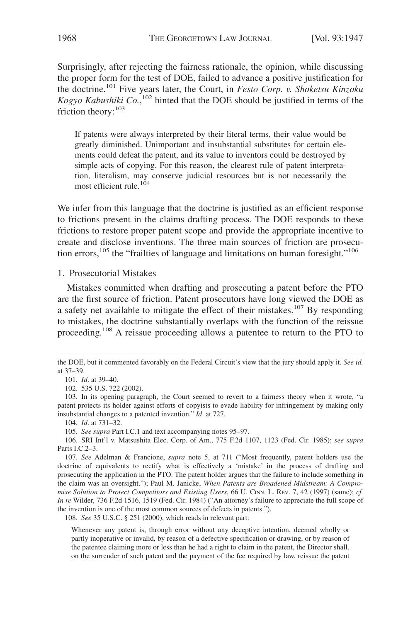Surprisingly, after rejecting the fairness rationale, the opinion, while discussing the proper form for the test of DOE, failed to advance a positive justification for the doctrine.101 Five years later, the Court, in *Festo Corp. v. Shoketsu Kinzoku Kogyo Kabushiki Co.*, <sup>102</sup> hinted that the DOE should be justified in terms of the friction theory:<sup>103</sup>

If patents were always interpreted by their literal terms, their value would be greatly diminished. Unimportant and insubstantial substitutes for certain elements could defeat the patent, and its value to inventors could be destroyed by simple acts of copying. For this reason, the clearest rule of patent interpretation, literalism, may conserve judicial resources but is not necessarily the most efficient rule.104

We infer from this language that the doctrine is justified as an efficient response to frictions present in the claims drafting process. The DOE responds to these frictions to restore proper patent scope and provide the appropriate incentive to create and disclose inventions. The three main sources of friction are prosecution errors,<sup>105</sup> the "frailties of language and limitations on human foresight."<sup>106</sup>

1. Prosecutorial Mistakes

Mistakes committed when drafting and prosecuting a patent before the PTO are the first source of friction. Patent prosecutors have long viewed the DOE as a safety net available to mitigate the effect of their mistakes.<sup>107</sup> By responding to mistakes, the doctrine substantially overlaps with the function of the reissue proceeding.108 A reissue proceeding allows a patentee to return to the PTO to

104. *Id*. at 731–32.

105. *See supra* Part I.C.1 and text accompanying notes 95–97.

106. SRI Int'l v. Matsushita Elec. Corp. of Am., 775 F.2d 1107, 1123 (Fed. Cir. 1985); *see supra* Parts I.C.2–3.

107. *See* Adelman & Francione, *supra* note 5, at 711 ("Most frequently, patent holders use the doctrine of equivalents to rectify what is effectively a 'mistake' in the process of drafting and prosecuting the application in the PTO. The patent holder argues that the failure to include something in the claim was an oversight."); Paul M. Janicke, *When Patents are Broadened Midstream: A Compromise Solution to Protect Competitors and Existing Users*, 66 U. CINN. L. REV. 7, 42 (1997) (same); *cf. In re* Wilder, 736 F.2d 1516, 1519 (Fed. Cir. 1984) ("An attorney's failure to appreciate the full scope of the invention is one of the most common sources of defects in patents.").

108. *See* 35 U.S.C. § 251 (2000), which reads in relevant part:

Whenever any patent is, through error without any deceptive intention, deemed wholly or partly inoperative or invalid, by reason of a defective specification or drawing, or by reason of the patentee claiming more or less than he had a right to claim in the patent, the Director shall, on the surrender of such patent and the payment of the fee required by law, reissue the patent

the DOE, but it commented favorably on the Federal Circuit's view that the jury should apply it. *See id.* at 37–39.

<sup>101.</sup> *Id*. at 39–40.

<sup>102. 535</sup> U.S. 722 (2002).

<sup>103.</sup> In its opening paragraph, the Court seemed to revert to a fairness theory when it wrote, "a patent protects its holder against efforts of copyists to evade liability for infringement by making only insubstantial changes to a patented invention." *Id*. at 727.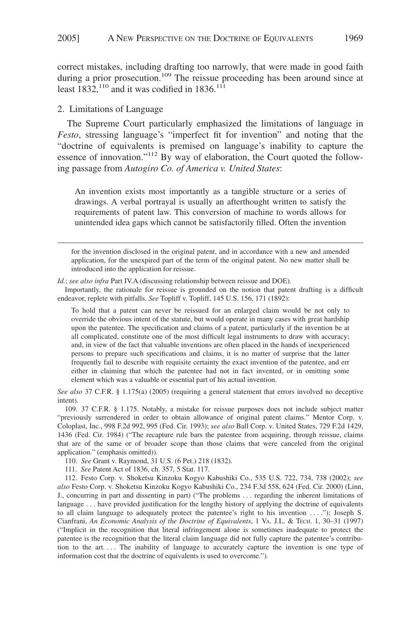correct mistakes, including drafting too narrowly, that were made in good faith during a prior prosecution.<sup>109</sup> The reissue proceeding has been around since at least  $1832$ ,<sup>110</sup> and it was codified in 1836.<sup>111</sup>

#### 2. Limitations of Language

The Supreme Court particularly emphasized the limitations of language in *Festo*, stressing language's "imperfect fit for invention" and noting that the "doctrine of equivalents is premised on language's inability to capture the essence of innovation."<sup>112</sup> By way of elaboration, the Court quoted the following passage from *Autogiro Co. of America v. United States*:

An invention exists most importantly as a tangible structure or a series of drawings. A verbal portrayal is usually an afterthought written to satisfy the requirements of patent law. This conversion of machine to words allows for unintended idea gaps which cannot be satisfactorily filled. Often the invention

for the invention disclosed in the original patent, and in accordance with a new and amended application, for the unexpired part of the term of the original patent. No new matter shall be introduced into the application for reissue.

*Id.*; *see also infra* Part IV.A (discussing relationship between reissue and DOE).

Importantly, the rationale for reissue is grounded on the notion that patent drafting is a difficult endeavor, replete with pitfalls. *See* Topliff v. Topliff, 145 U.S. 156, 171 (1892):

To hold that a patent can never be reissued for an enlarged claim would be not only to override the obvious intent of the statute, but would operate in many cases with great hardship upon the patentee. The specification and claims of a patent, particularly if the invention be at all complicated, constitute one of the most difficult legal instruments to draw with accuracy; and, in view of the fact that valuable inventions are often placed in the hands of inexperienced persons to prepare such specifications and claims, it is no matter of surprise that the latter frequently fail to describe with requisite certainty the exact invention of the patentee, and err either in claiming that which the patentee had not in fact invented, or in omitting some element which was a valuable or essential part of his actual invention.

*See also* 37 C.F.R. § 1.175(a) (2005) (requiring a general statement that errors involved no deceptive intent).

109. 37 C.F.R. § 1.175. Notably, a mistake for reissue purposes does not include subject matter "previously surrendered in order to obtain allowance of original patent claims." Mentor Corp. v. Coloplast, Inc., 998 F.2d 992, 995 (Fed. Cir. 1993); *see also* Ball Corp. v. United States, 729 F.2d 1429, 1436 (Fed. Cir. 1984) ("The recapture rule bars the patentee from acquiring, through reissue, claims that are of the same or of broader scope than those claims that were canceled from the original application." (emphasis omitted)).

110. *See* Grant v. Raymond, 31 U.S. (6 Pet.) 218 (1832).

111. *See* Patent Act of 1836, ch. 357, 5 Stat. 117.

112. Festo Corp. v. Shoketsu Kinzoku Kogyo Kabushiki Co., 535 U.S. 722, 734, 738 (2002); *see also* Festo Corp. v. Shoketsu Kinzoku Kogyo Kabushiki Co., 234 F.3d 558, 624 (Fed. Cir. 2000) (Linn, J., concurring in part and dissenting in part) ("The problems . . . regarding the inherent limitations of language . . . have provided justification for the lengthy history of applying the doctrine of equivalents to all claim language to adequately protect the patentee's right to his invention . . . ."); Joseph S. Cianfrani, *An Economic Analysis of the Doctrine of Equivalents*,1VA. J.L. & TECH. 1, 30–31 (1997) ("Implicit in the recognition that literal infringement alone is sometimes inadequate to protect the patentee is the recognition that the literal claim language did not fully capture the patentee's contribution to the art. . . . The inability of language to accurately capture the invention is one type of information cost that the doctrine of equivalents is used to overcome.").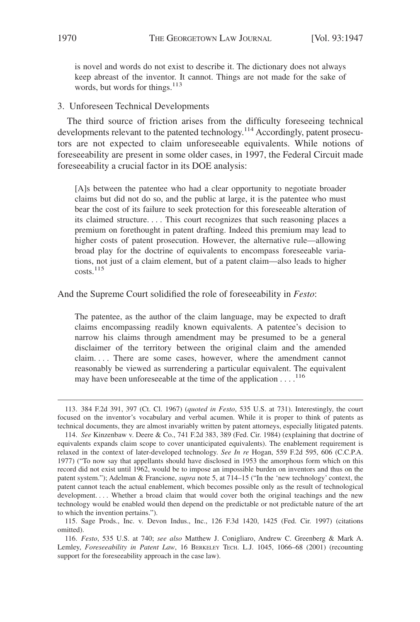is novel and words do not exist to describe it. The dictionary does not always keep abreast of the inventor. It cannot. Things are not made for the sake of words, but words for things.<sup>113</sup>

### 3. Unforeseen Technical Developments

The third source of friction arises from the difficulty foreseeing technical developments relevant to the patented technology.<sup>114</sup> Accordingly, patent prosecutors are not expected to claim unforeseeable equivalents. While notions of foreseeability are present in some older cases, in 1997, the Federal Circuit made foreseeability a crucial factor in its DOE analysis:

[A]s between the patentee who had a clear opportunity to negotiate broader claims but did not do so, and the public at large, it is the patentee who must bear the cost of its failure to seek protection for this foreseeable alteration of its claimed structure.... This court recognizes that such reasoning places a premium on forethought in patent drafting. Indeed this premium may lead to higher costs of patent prosecution. However, the alternative rule—allowing broad play for the doctrine of equivalents to encompass foreseeable variations, not just of a claim element, but of a patent claim—also leads to higher costs.115

#### And the Supreme Court solidified the role of foreseeability in *Festo*:

The patentee, as the author of the claim language, may be expected to draft claims encompassing readily known equivalents. A patentee's decision to narrow his claims through amendment may be presumed to be a general disclaimer of the territory between the original claim and the amended claim.... There are some cases, however, where the amendment cannot reasonably be viewed as surrendering a particular equivalent. The equivalent may have been unforeseeable at the time of the application . . . .<sup>116</sup>

<sup>113. 384</sup> F.2d 391, 397 (Ct. Cl. 1967) (*quoted in Festo*, 535 U.S. at 731). Interestingly, the court focused on the inventor's vocabulary and verbal acumen. While it is proper to think of patents as technical documents, they are almost invariably written by patent attorneys, especially litigated patents.

<sup>114.</sup> *See* Kinzenbaw v. Deere & Co., 741 F.2d 383, 389 (Fed. Cir. 1984) (explaining that doctrine of equivalents expands claim scope to cover unanticipated equivalents). The enablement requirement is relaxed in the context of later-developed technology. *See In re* Hogan, 559 F.2d 595, 606 (C.C.P.A. 1977) ("To now say that appellants should have disclosed in 1953 the amorphous form which on this record did not exist until 1962, would be to impose an impossible burden on inventors and thus on the patent system."); Adelman & Francione, *supra* note 5, at 714–15 ("In the 'new technology' context, the patent cannot teach the actual enablement, which becomes possible only as the result of technological development.... Whether a broad claim that would cover both the original teachings and the new technology would be enabled would then depend on the predictable or not predictable nature of the art to which the invention pertains.").

<sup>115.</sup> Sage Prods., Inc. v. Devon Indus., Inc., 126 F.3d 1420, 1425 (Fed. Cir. 1997) (citations omitted).

<sup>116.</sup> *Festo*, 535 U.S. at 740; *see also* Matthew J. Conigliaro, Andrew C. Greenberg & Mark A. Lemley, *Foreseeability in Patent Law*, 16 BERKELEY TECH. L.J. 1045, 1066–68 (2001) (recounting support for the foreseeability approach in the case law).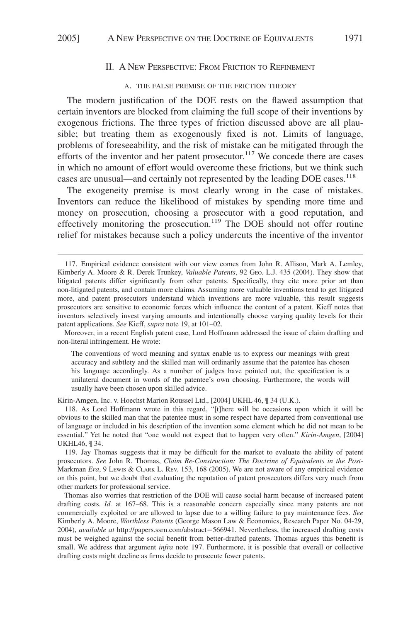## II. A NEW PERSPECTIVE: FROM FRICTION TO REFINEMENT

#### A. THE FALSE PREMISE OF THE FRICTION THEORY

The modern justification of the DOE rests on the flawed assumption that certain inventors are blocked from claiming the full scope of their inventions by exogenous frictions. The three types of friction discussed above are all plausible; but treating them as exogenously fixed is not. Limits of language, problems of foreseeability, and the risk of mistake can be mitigated through the efforts of the inventor and her patent prosecutor.<sup>117</sup> We concede there are cases in which no amount of effort would overcome these frictions, but we think such cases are unusual—and certainly not represented by the leading DOE cases.<sup>118</sup>

The exogeneity premise is most clearly wrong in the case of mistakes. Inventors can reduce the likelihood of mistakes by spending more time and money on prosecution, choosing a prosecutor with a good reputation, and effectively monitoring the prosecution.<sup>119</sup> The DOE should not offer routine relief for mistakes because such a policy undercuts the incentive of the inventor

Moreover, in a recent English patent case, Lord Hoffmann addressed the issue of claim drafting and non-literal infringement. He wrote:

The conventions of word meaning and syntax enable us to express our meanings with great accuracy and subtlety and the skilled man will ordinarily assume that the patentee has chosen his language accordingly. As a number of judges have pointed out, the specification is a unilateral document in words of the patentee's own choosing. Furthermore, the words will usually have been chosen upon skilled advice.

Kirin-Amgen, Inc. v. Hoechst Marion Roussel Ltd., [2004] UKHL 46, ¶ 34 (U.K.).

118. As Lord Hoffmann wrote in this regard, "[t]here will be occasions upon which it will be obvious to the skilled man that the patentee must in some respect have departed from conventional use of language or included in his description of the invention some element which he did not mean to be essential." Yet he noted that "one would not expect that to happen very often." *Kirin-Amgen*, [2004] UKHL46, ¶ 34.

119. Jay Thomas suggests that it may be difficult for the market to evaluate the ability of patent prosecutors. *See* John R. Thomas, *Claim Re-Construction: The Doctrine of Equivalents in the Post-*Markman *Era*,9LEWIS & CLARK L. REV. 153, 168 (2005). We are not aware of any empirical evidence on this point, but we doubt that evaluating the reputation of patent prosecutors differs very much from other markets for professional service.

Thomas also worries that restriction of the DOE will cause social harm because of increased patent drafting costs. *Id.* at 167–68. This is a reasonable concern especially since many patents are not commercially exploited or are allowed to lapse due to a willing failure to pay maintenance fees. *See* Kimberly A. Moore, *Worthless Patents* (George Mason Law & Economics, Research Paper No. 04-29, 2004), *available at* http://papers.ssrn.com/abstract=566941. Nevertheless, the increased drafting costs must be weighed against the social benefit from better-drafted patents. Thomas argues this benefit is small. We address that argument *infra* note 197. Furthermore, it is possible that overall or collective drafting costs might decline as firms decide to prosecute fewer patents.

<sup>117.</sup> Empirical evidence consistent with our view comes from John R. Allison, Mark A. Lemley, Kimberly A. Moore & R. Derek Trunkey, *Valuable Patents*, 92 GEO. L.J. 435 (2004). They show that litigated patents differ significantly from other patents. Specifically, they cite more prior art than non-litigated patents, and contain more claims. Assuming more valuable inventions tend to get litigated more, and patent prosecutors understand which inventions are more valuable, this result suggests prosecutors are sensitive to economic forces which influence the content of a patent. Kieff notes that inventors selectively invest varying amounts and intentionally choose varying quality levels for their patent applications. *See* Kieff, *supra* note 19, at 101–02.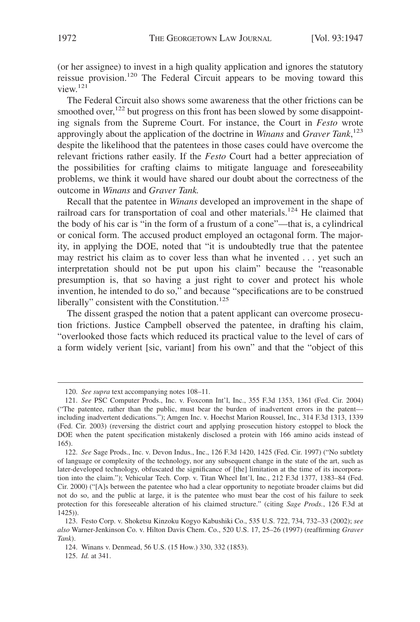(or her assignee) to invest in a high quality application and ignores the statutory reissue provision.<sup>120</sup> The Federal Circuit appears to be moving toward this view.121

The Federal Circuit also shows some awareness that the other frictions can be smoothed over, $122$  but progress on this front has been slowed by some disappointing signals from the Supreme Court. For instance, the Court in *Festo* wrote approvingly about the application of the doctrine in *Winans* and *Graver Tank*, 123 despite the likelihood that the patentees in those cases could have overcome the relevant frictions rather easily. If the *Festo* Court had a better appreciation of the possibilities for crafting claims to mitigate language and foreseeability problems, we think it would have shared our doubt about the correctness of the outcome in *Winans* and *Graver Tank.*

Recall that the patentee in *Winans* developed an improvement in the shape of railroad cars for transportation of coal and other materials.<sup>124</sup> He claimed that the body of his car is "in the form of a frustum of a cone"—that is, a cylindrical or conical form. The accused product employed an octagonal form. The majority, in applying the DOE, noted that "it is undoubtedly true that the patentee may restrict his claim as to cover less than what he invented . . . yet such an interpretation should not be put upon his claim" because the "reasonable presumption is, that so having a just right to cover and protect his whole invention, he intended to do so," and because "specifications are to be construed liberally" consistent with the Constitution.<sup>125</sup>

The dissent grasped the notion that a patent applicant can overcome prosecution frictions. Justice Campbell observed the patentee, in drafting his claim, "overlooked those facts which reduced its practical value to the level of cars of a form widely verient [sic, variant] from his own" and that the "object of this

<sup>120.</sup> *See supra* text accompanying notes 108–11.

<sup>121.</sup> *See* PSC Computer Prods., Inc. v. Foxconn Int'l, Inc., 355 F.3d 1353, 1361 (Fed. Cir. 2004) ("The patentee, rather than the public, must bear the burden of inadvertent errors in the patent including inadvertent dedications."); Amgen Inc. v. Hoechst Marion Roussel, Inc., 314 F.3d 1313, 1339 (Fed. Cir. 2003) (reversing the district court and applying prosecution history estoppel to block the DOE when the patent specification mistakenly disclosed a protein with 166 amino acids instead of 165).

<sup>122.</sup> *See* Sage Prods., Inc. v. Devon Indus., Inc., 126 F.3d 1420, 1425 (Fed. Cir. 1997) ("No subtlety of language or complexity of the technology, nor any subsequent change in the state of the art, such as later-developed technology, obfuscated the significance of [the] limitation at the time of its incorporation into the claim."); Vehicular Tech. Corp. v. Titan Wheel Int'l, Inc*.*, 212 F.3d 1377, 1383–84 (Fed. Cir. 2000) ("[A]s between the patentee who had a clear opportunity to negotiate broader claims but did not do so, and the public at large, it is the patentee who must bear the cost of his failure to seek protection for this foreseeable alteration of his claimed structure." (citing *Sage Prods.*, 126 F.3d at 1425)).

<sup>123.</sup> Festo Corp. v. Shoketsu Kinzoku Kogyo Kabushiki Co., 535 U.S. 722, 734, 732–33 (2002); *see also* Warner-Jenkinson Co. v. Hilton Davis Chem. Co., 520 U.S. 17, 25–26 (1997) (reaffirming *Graver Tank*).

<sup>124.</sup> Winans v. Denmead, 56 U.S. (15 How.) 330, 332 (1853).

<sup>125.</sup> *Id.* at 341.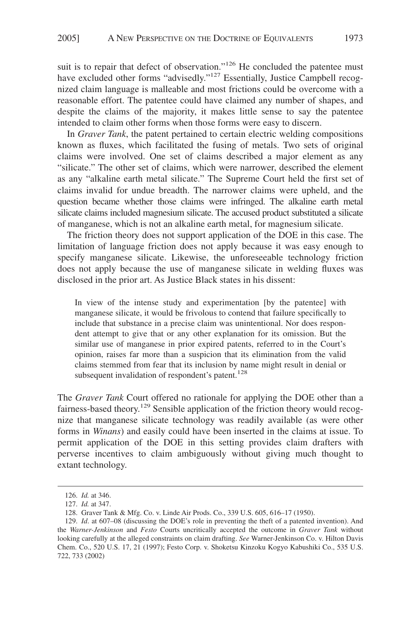suit is to repair that defect of observation."<sup>126</sup> He concluded the patentee must have excluded other forms "advisedly."<sup>127</sup> Essentially, Justice Campbell recognized claim language is malleable and most frictions could be overcome with a reasonable effort. The patentee could have claimed any number of shapes, and despite the claims of the majority, it makes little sense to say the patentee intended to claim other forms when those forms were easy to discern.

In *Graver Tank*, the patent pertained to certain electric welding compositions known as fluxes, which facilitated the fusing of metals. Two sets of original claims were involved. One set of claims described a major element as any "silicate." The other set of claims, which were narrower, described the element as any "alkaline earth metal silicate." The Supreme Court held the first set of claims invalid for undue breadth. The narrower claims were upheld, and the question became whether those claims were infringed. The alkaline earth metal silicate claims included magnesium silicate. The accused product substituted a silicate of manganese, which is not an alkaline earth metal, for magnesium silicate.

The friction theory does not support application of the DOE in this case. The limitation of language friction does not apply because it was easy enough to specify manganese silicate. Likewise, the unforeseeable technology friction does not apply because the use of manganese silicate in welding fluxes was disclosed in the prior art. As Justice Black states in his dissent:

In view of the intense study and experimentation [by the patentee] with manganese silicate, it would be frivolous to contend that failure specifically to include that substance in a precise claim was unintentional. Nor does respondent attempt to give that or any other explanation for its omission. But the similar use of manganese in prior expired patents, referred to in the Court's opinion, raises far more than a suspicion that its elimination from the valid claims stemmed from fear that its inclusion by name might result in denial or subsequent invalidation of respondent's patent.<sup>128</sup>

The *Graver Tank* Court offered no rationale for applying the DOE other than a fairness-based theory.<sup>129</sup> Sensible application of the friction theory would recognize that manganese silicate technology was readily available (as were other forms in *Winans*) and easily could have been inserted in the claims at issue. To permit application of the DOE in this setting provides claim drafters with perverse incentives to claim ambiguously without giving much thought to extant technology.

<sup>126.</sup> *Id.* at 346.

<sup>127.</sup> *Id.* at 347.

<sup>128.</sup> Graver Tank & Mfg. Co. v. Linde Air Prods. Co., 339 U.S. 605, 616–17 (1950).

<sup>129.</sup> *Id*. at 607–08 (discussing the DOE's role in preventing the theft of a patented invention). And the *Warner-Jenkinson* and *Festo* Courts uncritically accepted the outcome in *Graver Tank* without looking carefully at the alleged constraints on claim drafting. *See* Warner-Jenkinson Co. v. Hilton Davis Chem. Co., 520 U.S. 17, 21 (1997); Festo Corp. v. Shoketsu Kinzoku Kogyo Kabushiki Co., 535 U.S. 722, 733 (2002)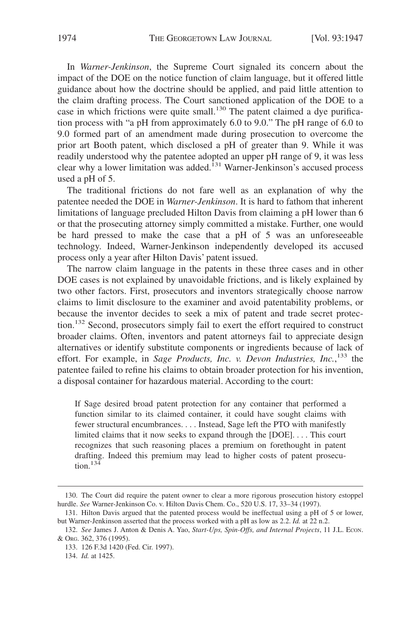In *Warner-Jenkinson*, the Supreme Court signaled its concern about the impact of the DOE on the notice function of claim language, but it offered little guidance about how the doctrine should be applied, and paid little attention to the claim drafting process. The Court sanctioned application of the DOE to a case in which frictions were quite small.<sup>130</sup> The patent claimed a dye purification process with "a pH from approximately 6.0 to 9.0." The pH range of 6.0 to 9.0 formed part of an amendment made during prosecution to overcome the prior art Booth patent, which disclosed a pH of greater than 9. While it was readily understood why the patentee adopted an upper pH range of 9, it was less clear why a lower limitation was added.<sup>131</sup> Warner-Jenkinson's accused process used a pH of 5.

The traditional frictions do not fare well as an explanation of why the patentee needed the DOE in *Warner-Jenkinson*. It is hard to fathom that inherent limitations of language precluded Hilton Davis from claiming a pH lower than 6 or that the prosecuting attorney simply committed a mistake. Further, one would be hard pressed to make the case that a pH of 5 was an unforeseeable technology. Indeed, Warner-Jenkinson independently developed its accused process only a year after Hilton Davis' patent issued.

The narrow claim language in the patents in these three cases and in other DOE cases is not explained by unavoidable frictions, and is likely explained by two other factors. First, prosecutors and inventors strategically choose narrow claims to limit disclosure to the examiner and avoid patentability problems, or because the inventor decides to seek a mix of patent and trade secret protection.<sup>132</sup> Second, prosecutors simply fail to exert the effort required to construct broader claims. Often, inventors and patent attorneys fail to appreciate design alternatives or identify substitute components or ingredients because of lack of effort. For example, in Sage Products, Inc. v. Devon Industries, Inc.,<sup>133</sup> the patentee failed to refine his claims to obtain broader protection for his invention, a disposal container for hazardous material. According to the court:

If Sage desired broad patent protection for any container that performed a function similar to its claimed container, it could have sought claims with fewer structural encumbrances.... Instead, Sage left the PTO with manifestly limited claims that it now seeks to expand through the [DOE].... This court recognizes that such reasoning places a premium on forethought in patent drafting. Indeed this premium may lead to higher costs of patent prosecution.<sup>134</sup>

<sup>130.</sup> The Court did require the patent owner to clear a more rigorous prosecution history estoppel hurdle. *See* Warner-Jenkinson Co. v. Hilton Davis Chem. Co., 520 U.S. 17, 33–34 (1997).

<sup>131.</sup> Hilton Davis argued that the patented process would be ineffectual using a pH of 5 or lower, but Warner-Jenkinson asserted that the process worked with a pH as low as 2.2. *Id.* at 22 n.2.

<sup>132.</sup> *See* James J. Anton & Denis A. Yao, *Start-Ups, Spin-Offs, and Internal Projects*, 11 J.L. ECON. & ORG. 362, 376 (1995).

<sup>133. 126</sup> F.3d 1420 (Fed. Cir. 1997).

<sup>134.</sup> *Id.* at 1425.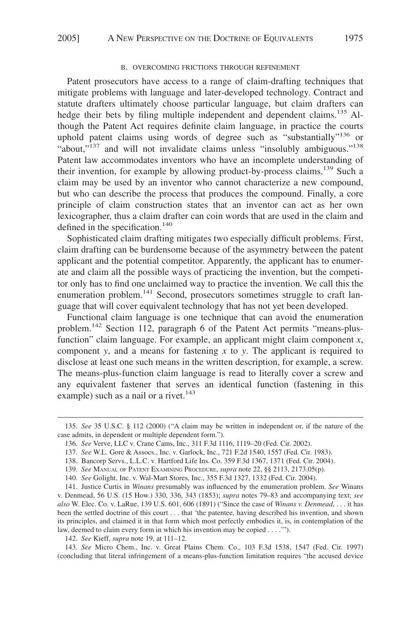#### B. OVERCOMING FRICTIONS THROUGH REFINEMENT

Patent prosecutors have access to a range of claim-drafting techniques that mitigate problems with language and later-developed technology. Contract and statute drafters ultimately choose particular language, but claim drafters can hedge their bets by filing multiple independent and dependent claims.<sup>135</sup> Although the Patent Act requires definite claim language, in practice the courts uphold patent claims using words of degree such as "substantially"<sup>136</sup> or "about,"<sup>137</sup> and will not invalidate claims unless "insolubly ambiguous."<sup>138</sup> Patent law accommodates inventors who have an incomplete understanding of their invention, for example by allowing product-by-process claims.<sup>139</sup> Such a claim may be used by an inventor who cannot characterize a new compound, but who can describe the process that produces the compound. Finally, a core principle of claim construction states that an inventor can act as her own lexicographer, thus a claim drafter can coin words that are used in the claim and defined in the specification.<sup>140</sup>

Sophisticated claim drafting mitigates two especially difficult problems. First, claim drafting can be burdensome because of the asymmetry between the patent applicant and the potential competitor. Apparently, the applicant has to enumerate and claim all the possible ways of practicing the invention, but the competitor only has to find one unclaimed way to practice the invention. We call this the enumeration problem.<sup>141</sup> Second, prosecutors sometimes struggle to craft language that will cover equivalent technology that has not yet been developed.

Functional claim language is one technique that can avoid the enumeration problem.<sup>142</sup> Section 112, paragraph 6 of the Patent Act permits "means-plusfunction" claim language. For example, an applicant might claim component *x*, component *y*, and a means for fastening *x* to *y*. The applicant is required to disclose at least one such means in the written description, for example, a screw. The means-plus-function claim language is read to literally cover a screw and any equivalent fastener that serves an identical function (fastening in this example) such as a nail or a rivet.<sup>143</sup>

142. *See* Kieff, *supra* note 19, at 111–12.

143. *See* Micro Chem., Inc. v. Great Plains Chem. Co., 103 F.3d 1538, 1547 (Fed. Cir. 1997) (concluding that literal infringement of a means-plus-function limitation requires "the accused device

<sup>135.</sup> *See* 35 U.S.C. § 112 (2000) ("A claim may be written in independent or, if the nature of the case admits, in dependent or multiple dependent form.").

<sup>136.</sup> *See* Verve, LLC v. Crane Cams, Inc., 311 F.3d 1116, 1119–20 (Fed. Cir. 2002).

<sup>137.</sup> *See* W.L. Gore & Assocs., Inc. v. Garlock, Inc., 721 F.2d 1540, 1557 (Fed. Cir. 1983).

<sup>138.</sup> Bancorp Servs., L.L.C. v. Hartford Life Ins. Co. 359 F.3d 1367, 1371 (Fed. Cir. 2004).

<sup>139.</sup> *See* MANUAL OF PATENT EXAMINING PROCEDURE, *supra* note 22, §§ 2113, 2173.05(p).

<sup>140.</sup> *See* Golight, Inc. v. Wal-Mart Stores, Inc., 355 F.3d 1327, 1332 (Fed. Cir. 2004).

<sup>141.</sup> Justice Curtis in *Winans* presumably was influenced by the enumeration problem. *See* Winans v. Denmead, 56 U.S. (15 How.) 330, 336, 343 (1853); *supra* notes 79–83 and accompanying text; *see also* W. Elec. Co. v. LaRue, 139 U.S. 601, 606 (1891) ("Since the case of *Winans v. Denmead*, . . . it has been the settled doctrine of this court . . . that 'the patentee, having described his invention, and shown its principles, and claimed it in that form which most perfectly embodies it, is, in contemplation of the law, deemed to claim every form in which his invention may be copied . . . .'").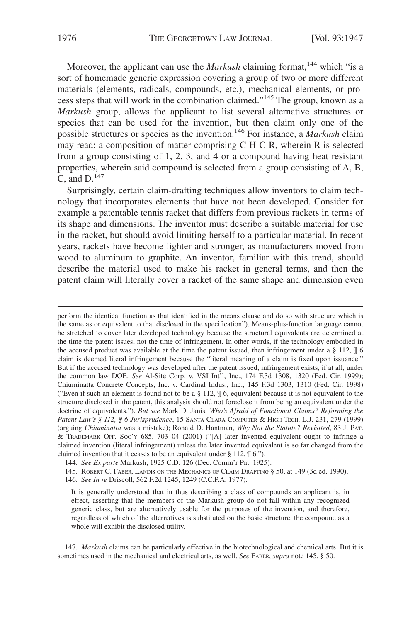Moreover, the applicant can use the *Markush* claiming format,<sup>144</sup> which "is a sort of homemade generic expression covering a group of two or more different materials (elements, radicals, compounds, etc.), mechanical elements, or process steps that will work in the combination claimed."145 The group, known as a *Markush* group, allows the applicant to list several alternative structures or species that can be used for the invention, but then claim only one of the possible structures or species as the invention.146 For instance, a *Markush* claim may read: a composition of matter comprising C-H-C-R, wherein R is selected from a group consisting of 1, 2, 3, and 4 or a compound having heat resistant properties, wherein said compound is selected from a group consisting of A, B, C, and  $D^{147}$ 

Surprisingly, certain claim-drafting techniques allow inventors to claim technology that incorporates elements that have not been developed. Consider for example a patentable tennis racket that differs from previous rackets in terms of its shape and dimensions. The inventor must describe a suitable material for use in the racket, but should avoid limiting herself to a particular material. In recent years, rackets have become lighter and stronger, as manufacturers moved from wood to aluminum to graphite. An inventor, familiar with this trend, should describe the material used to make his racket in general terms, and then the patent claim will literally cover a racket of the same shape and dimension even

perform the identical function as that identified in the means clause and do so with structure which is the same as or equivalent to that disclosed in the specification"). Means-plus-function language cannot be stretched to cover later developed technology because the structural equivalents are determined at the time the patent issues, not the time of infringement. In other words, if the technology embodied in the accused product was available at the time the patent issued, then infringement under a  $\S 112$ ,  $\P 6$ claim is deemed literal infringement because the "literal meaning of a claim is fixed upon issuance." But if the accused technology was developed after the patent issued, infringement exists, if at all, under the common law DOE. *See* Al-Site Corp. v. VSI Int'l, Inc., 174 F.3d 1308, 1320 (Fed. Cir. 1999); Chiuminatta Concrete Concepts, Inc. v. Cardinal Indus., Inc., 145 F.3d 1303, 1310 (Fed. Cir. 1998) ("Even if such an element is found not to be a  $\S$  112,  $\P$  6, equivalent because it is not equivalent to the structure disclosed in the patent, this analysis should not foreclose it from being an equivalent under the doctrine of equivalents."). *But see* Mark D. Janis, *Who's Afraid of Functional Claims? Reforming the Patent Law's § 112, ¶ 6 Jurisprudence*, 15 SANTA CLARA COMPUTER & HIGH TECH. L.J. 231, 279 (1999) (arguing *Chiuminatta* was a mistake); Ronald D. Hantman, *Why Not the Statute? Revisited*, 83 J. PAT. & TRADEMARK OFF. SOC'Y 685, 703–04 (2001) ("[A] later invented equivalent ought to infringe a claimed invention (literal infringement) unless the later invented equivalent is so far changed from the claimed invention that it ceases to be an equivalent under  $\S 112$ ,  $\S 6$ .").

144. *See Ex parte* Markush, 1925 C.D. 126 (Dec. Comm'r Pat. 1925).

145. ROBERT C. FABER, LANDIS ON THE MECHANICS OF CLAIM DRAFTING § 50, at 149 (3d ed. 1990).

146. *See In re* Driscoll, 562 F.2d 1245, 1249 (C.C.P.A. 1977):

It is generally understood that in thus describing a class of compounds an applicant is, in effect, asserting that the members of the Markush group do not fall within any recognized generic class, but are alternatively usable for the purposes of the invention, and therefore, regardless of which of the alternatives is substituted on the basic structure, the compound as a whole will exhibit the disclosed utility.

147. *Markush* claims can be particularly effective in the biotechnological and chemical arts. But it is sometimes used in the mechanical and electrical arts, as well. *See* FABER, *supra* note 145, § 50.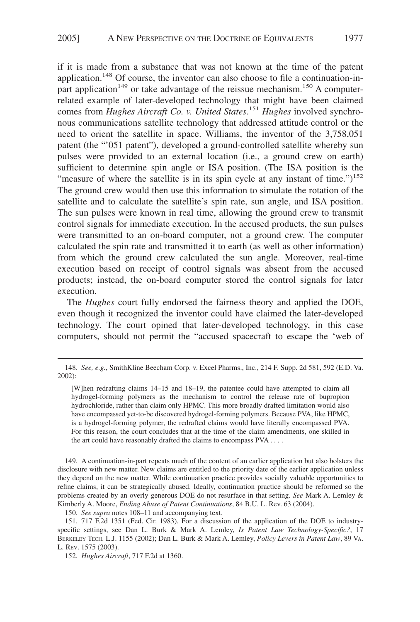if it is made from a substance that was not known at the time of the patent application.<sup>148</sup> Of course, the inventor can also choose to file a continuation-inpart application<sup>149</sup> or take advantage of the reissue mechanism.<sup>150</sup> A computerrelated example of later-developed technology that might have been claimed comes from *Hughes Aircraft Co. v. United States*. <sup>151</sup> *Hughes* involved synchronous communications satellite technology that addressed attitude control or the need to orient the satellite in space. Williams, the inventor of the 3,758,051 patent (the "'051 patent"), developed a ground-controlled satellite whereby sun pulses were provided to an external location (i.e., a ground crew on earth) sufficient to determine spin angle or ISA position. (The ISA position is the "measure of where the satellite is in its spin cycle at any instant of time." $)^{152}$ The ground crew would then use this information to simulate the rotation of the satellite and to calculate the satellite's spin rate, sun angle, and ISA position. The sun pulses were known in real time, allowing the ground crew to transmit control signals for immediate execution. In the accused products, the sun pulses were transmitted to an on-board computer, not a ground crew. The computer calculated the spin rate and transmitted it to earth (as well as other information) from which the ground crew calculated the sun angle. Moreover, real-time execution based on receipt of control signals was absent from the accused products; instead, the on-board computer stored the control signals for later execution.

The *Hughes* court fully endorsed the fairness theory and applied the DOE, even though it recognized the inventor could have claimed the later-developed technology. The court opined that later-developed technology, in this case computers, should not permit the "accused spacecraft to escape the 'web of

149. A continuation-in-part repeats much of the content of an earlier application but also bolsters the disclosure with new matter. New claims are entitled to the priority date of the earlier application unless they depend on the new matter. While continuation practice provides socially valuable opportunities to refine claims, it can be strategically abused. Ideally, continuation practice should be reformed so the problems created by an overly generous DOE do not resurface in that setting. *See* Mark A. Lemley & Kimberly A. Moore, *Ending Abuse of Patent Continuations*, 84 B.U. L. Rev. 63 (2004).

150. *See supra* notes 108–11 and accompanying text.

151. 717 F.2d 1351 (Fed. Cir. 1983). For a discussion of the application of the DOE to industryspecific settings, see Dan L. Burk & Mark A. Lemley, *Is Patent Law Technology-Specific?*, 17 BERKELEY TECH. L.J. 1155 (2002); Dan L. Burk & Mark A. Lemley, *Policy Levers in Patent Law*, 89 VA. L. REV. 1575 (2003).

152. *Hughes Aircraft*, 717 F.2d at 1360.

<sup>148.</sup> *See, e.g.*, SmithKline Beecham Corp. v. Excel Pharms., Inc., 214 F. Supp. 2d 581, 592 (E.D. Va. 2002):

<sup>[</sup>W]hen redrafting claims 14–15 and 18–19, the patentee could have attempted to claim all hydrogel-forming polymers as the mechanism to control the release rate of bupropion hydrochloride, rather than claim only HPMC. This more broadly drafted limitation would also have encompassed yet-to-be discovered hydrogel-forming polymers. Because PVA, like HPMC, is a hydrogel-forming polymer, the redrafted claims would have literally encompassed PVA. For this reason, the court concludes that at the time of the claim amendments, one skilled in the art could have reasonably drafted the claims to encompass PVA ....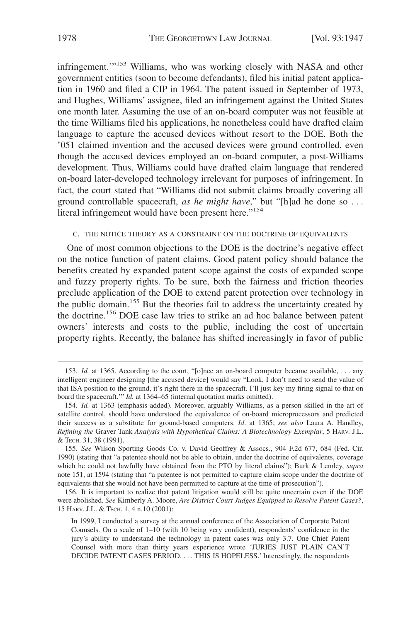infringement."<sup>153</sup> Williams, who was working closely with NASA and other government entities (soon to become defendants), filed his initial patent application in 1960 and filed a CIP in 1964. The patent issued in September of 1973, and Hughes, Williams' assignee, filed an infringement against the United States one month later. Assuming the use of an on-board computer was not feasible at the time Williams filed his applications, he nonetheless could have drafted claim language to capture the accused devices without resort to the DOE. Both the '051 claimed invention and the accused devices were ground controlled, even though the accused devices employed an on-board computer, a post-Williams development. Thus, Williams could have drafted claim language that rendered on-board later-developed technology irrelevant for purposes of infringement. In fact, the court stated that "Williams did not submit claims broadly covering all ground controllable spacecraft, *as he might have*," but "[h]ad he done so . . . literal infringement would have been present here."<sup>154</sup>

#### C. THE NOTICE THEORY AS A CONSTRAINT ON THE DOCTRINE OF EQUIVALENTS

One of most common objections to the DOE is the doctrine's negative effect on the notice function of patent claims. Good patent policy should balance the benefits created by expanded patent scope against the costs of expanded scope and fuzzy property rights. To be sure, both the fairness and friction theories preclude application of the DOE to extend patent protection over technology in the public domain.<sup>155</sup> But the theories fail to address the uncertainty created by the doctrine.156 DOE case law tries to strike an ad hoc balance between patent owners' interests and costs to the public, including the cost of uncertain property rights. Recently, the balance has shifted increasingly in favor of public

<sup>153.</sup> *Id.* at 1365. According to the court, "[o]nce an on-board computer became available, . . . any intelligent engineer designing [the accused device] would say "Look, I don't need to send the value of that ISA position to the ground, it's right there in the spacecraft. I'll just key my firing signal to that on board the spacecraft.'" *Id.* at 1364–65 (internal quotation marks omitted).

<sup>154.</sup> *Id.* at 1363 (emphasis added). Moreover, arguably Williams, as a person skilled in the art of satellite control, should have understood the equivalence of on-board microprocessors and predicted their success as a substitute for ground-based computers. *Id*. at 1365; *see also* Laura A. Handley, *Refining the* Graver Tank *Analysis with Hypothetical Claims: A Biotechnology Exemplar*,5HARV. J.L. & TECH. 31, 38 (1991).

<sup>155.</sup> *See* Wilson Sporting Goods Co. v. David Geoffrey & Assocs., 904 F.2d 677, 684 (Fed. Cir. 1990) (stating that "a patentee should not be able to obtain, under the doctrine of equivalents, coverage which he could not lawfully have obtained from the PTO by literal claims"); Burk & Lemley, *supra* note 151, at 1594 (stating that "a patentee is not permitted to capture claim scope under the doctrine of equivalents that she would not have been permitted to capture at the time of prosecution").

<sup>156.</sup> It is important to realize that patent litigation would still be quite uncertain even if the DOE were abolished. *See* Kimberly A. Moore, *Are District Court Judges Equipped to Resolve Patent Cases?*, 15 HARV. J.L. & TECH. 1, 4 n.10 (2001):

In 1999, I conducted a survey at the annual conference of the Association of Corporate Patent Counsels. On a scale of 1–10 (with 10 being very confident), respondents' confidence in the jury's ability to understand the technology in patent cases was only 3.7. One Chief Patent Counsel with more than thirty years experience wrote 'JURIES JUST PLAIN CAN'T DECIDE PATENT CASES PERIOD.... THIS IS HOPELESS.' Interestingly, the respondents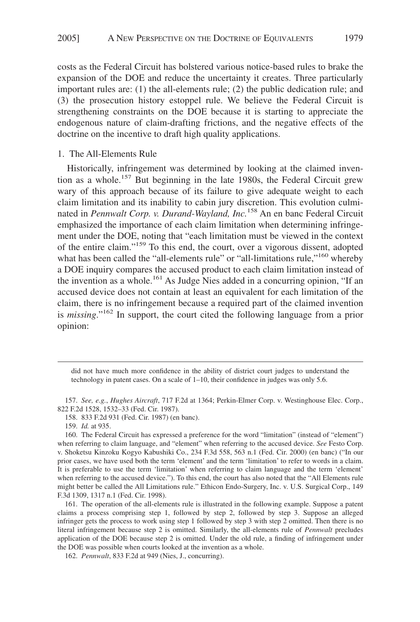costs as the Federal Circuit has bolstered various notice-based rules to brake the expansion of the DOE and reduce the uncertainty it creates. Three particularly important rules are: (1) the all-elements rule; (2) the public dedication rule; and (3) the prosecution history estoppel rule. We believe the Federal Circuit is strengthening constraints on the DOE because it is starting to appreciate the endogenous nature of claim-drafting frictions, and the negative effects of the doctrine on the incentive to draft high quality applications.

## 1. The All-Elements Rule

Historically, infringement was determined by looking at the claimed invention as a whole.<sup>157</sup> But beginning in the late 1980s, the Federal Circuit grew wary of this approach because of its failure to give adequate weight to each claim limitation and its inability to cabin jury discretion. This evolution culminated in *Pennwalt Corp. v. Durand-Wayland, Inc.*<sup>158</sup> An en banc Federal Circuit emphasized the importance of each claim limitation when determining infringement under the DOE, noting that "each limitation must be viewed in the context of the entire claim."159 To this end, the court, over a vigorous dissent, adopted what has been called the "all-elements rule" or "all-limitations rule,"<sup>160</sup> whereby a DOE inquiry compares the accused product to each claim limitation instead of the invention as a whole.<sup>161</sup> As Judge Nies added in a concurring opinion, "If an accused device does not contain at least an equivalent for each limitation of the claim, there is no infringement because a required part of the claimed invention is *missing*."162 In support, the court cited the following language from a prior opinion:

did not have much more confidence in the ability of district court judges to understand the technology in patent cases. On a scale of 1–10, their confidence in judges was only 5.6.

<sup>157.</sup> *See, e.g.*, *Hughes Aircraft*, 717 F.2d at 1364; Perkin-Elmer Corp. v. Westinghouse Elec. Corp., 822 F.2d 1528, 1532–33 (Fed. Cir. 1987).

<sup>158. 833</sup> F.2d 931 (Fed. Cir. 1987) (en banc).

<sup>159.</sup> *Id.* at 935.

<sup>160.</sup> The Federal Circuit has expressed a preference for the word "limitation" (instead of "element") when referring to claim language, and "element" when referring to the accused device. *See* Festo Corp. v. Shoketsu Kinzoku Kogyo Kabushiki Co., 234 F.3d 558, 563 n.1 (Fed. Cir. 2000) (en banc) ("In our prior cases, we have used both the term 'element' and the term 'limitation' to refer to words in a claim. It is preferable to use the term 'limitation' when referring to claim language and the term 'element' when referring to the accused device."). To this end, the court has also noted that the "All Elements rule might better be called the All Limitations rule." Ethicon Endo-Surgery, Inc. v. U.S. Surgical Corp., 149 F.3d 1309, 1317 n.1 (Fed. Cir. 1998).

<sup>161.</sup> The operation of the all-elements rule is illustrated in the following example. Suppose a patent claims a process comprising step 1, followed by step 2, followed by step 3. Suppose an alleged infringer gets the process to work using step 1 followed by step 3 with step 2 omitted. Then there is no literal infringement because step 2 is omitted. Similarly, the all-elements rule of *Pennwalt* precludes application of the DOE because step 2 is omitted. Under the old rule, a finding of infringement under the DOE was possible when courts looked at the invention as a whole.

<sup>162.</sup> *Pennwalt*, 833 F.2d at 949 (Nies, J., concurring).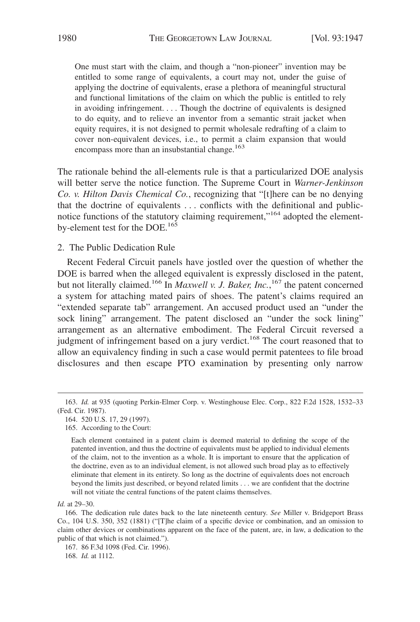One must start with the claim, and though a "non-pioneer" invention may be entitled to some range of equivalents, a court may not, under the guise of applying the doctrine of equivalents, erase a plethora of meaningful structural and functional limitations of the claim on which the public is entitled to rely in avoiding infringement.... Though the doctrine of equivalents is designed to do equity, and to relieve an inventor from a semantic strait jacket when equity requires, it is not designed to permit wholesale redrafting of a claim to cover non-equivalent devices, i.e., to permit a claim expansion that would encompass more than an insubstantial change.<sup>163</sup>

The rationale behind the all-elements rule is that a particularized DOE analysis will better serve the notice function. The Supreme Court in *Warner-Jenkinson Co. v. Hilton Davis Chemical Co.*, recognizing that "[t]here can be no denying that the doctrine of equivalents . . . conflicts with the definitional and publicnotice functions of the statutory claiming requirement,"<sup>164</sup> adopted the elementby-element test for the DOE.<sup>165</sup>

2. The Public Dedication Rule

Recent Federal Circuit panels have jostled over the question of whether the DOE is barred when the alleged equivalent is expressly disclosed in the patent, but not literally claimed.<sup>166</sup> In *Maxwell v. J. Baker, Inc.*,<sup>167</sup> the patent concerned a system for attaching mated pairs of shoes. The patent's claims required an "extended separate tab" arrangement. An accused product used an "under the sock lining" arrangement. The patent disclosed an "under the sock lining" arrangement as an alternative embodiment. The Federal Circuit reversed a judgment of infringement based on a jury verdict.<sup>168</sup> The court reasoned that to allow an equivalency finding in such a case would permit patentees to file broad disclosures and then escape PTO examination by presenting only narrow

168. *Id.* at 1112.

<sup>163.</sup> *Id.* at 935 (quoting Perkin-Elmer Corp. v. Westinghouse Elec. Corp., 822 F.2d 1528, 1532–33 (Fed. Cir. 1987).

<sup>164. 520</sup> U.S. 17, 29 (1997).

<sup>165.</sup> According to the Court:

Each element contained in a patent claim is deemed material to defining the scope of the patented invention, and thus the doctrine of equivalents must be applied to individual elements of the claim, not to the invention as a whole. It is important to ensure that the application of the doctrine, even as to an individual element, is not allowed such broad play as to effectively eliminate that element in its entirety. So long as the doctrine of equivalents does not encroach beyond the limits just described, or beyond related limits . . . we are confident that the doctrine will not vitiate the central functions of the patent claims themselves.

*Id.* at 29–30.

<sup>166.</sup> The dedication rule dates back to the late nineteenth century. *See* Miller v. Bridgeport Brass Co., 104 U.S. 350, 352 (1881) ("[T]he claim of a specific device or combination, and an omission to claim other devices or combinations apparent on the face of the patent, are, in law, a dedication to the public of that which is not claimed.").

<sup>167. 86</sup> F.3d 1098 (Fed. Cir. 1996).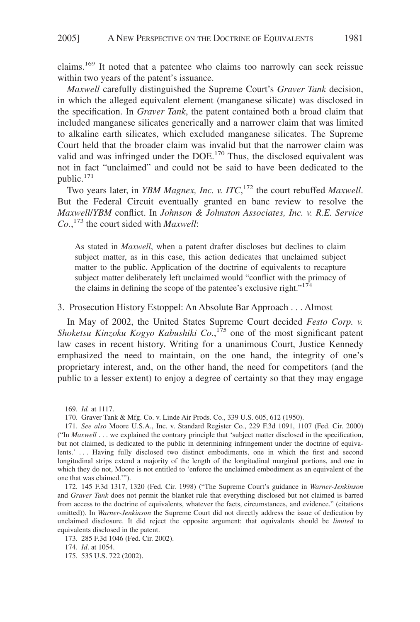claims.169 It noted that a patentee who claims too narrowly can seek reissue within two years of the patent's issuance.

*Maxwell* carefully distinguished the Supreme Court's *Graver Tank* decision, in which the alleged equivalent element (manganese silicate) was disclosed in the specification. In *Graver Tank*, the patent contained both a broad claim that included manganese silicates generically and a narrower claim that was limited to alkaline earth silicates, which excluded manganese silicates. The Supreme Court held that the broader claim was invalid but that the narrower claim was valid and was infringed under the DOE.<sup>170</sup> Thus, the disclosed equivalent was not in fact "unclaimed" and could not be said to have been dedicated to the public.<sup>171</sup>

Two years later, in *YBM Magnex, Inc. v. ITC*, <sup>172</sup> the court rebuffed *Maxwell*. But the Federal Circuit eventually granted en banc review to resolve the *Maxwell*/*YBM* conflict. In *Johnson & Johnston Associates, Inc. v. R.E. Service Co.*, <sup>173</sup> the court sided with *Maxwell*:

As stated in *Maxwell*, when a patent drafter discloses but declines to claim subject matter, as in this case, this action dedicates that unclaimed subject matter to the public. Application of the doctrine of equivalents to recapture subject matter deliberately left unclaimed would "conflict with the primacy of the claims in defining the scope of the patentee's exclusive right."<sup>174</sup>

## 3. Prosecution History Estoppel: An Absolute Bar Approach . . . Almost

In May of 2002, the United States Supreme Court decided *Festo Corp. v. Shoketsu Kinzoku Kogyo Kabushiki Co.*, <sup>175</sup> one of the most significant patent law cases in recent history. Writing for a unanimous Court, Justice Kennedy emphasized the need to maintain, on the one hand, the integrity of one's proprietary interest, and, on the other hand, the need for competitors (and the public to a lesser extent) to enjoy a degree of certainty so that they may engage

<sup>169.</sup> *Id.* at 1117.

<sup>170.</sup> Graver Tank & Mfg. Co. v. Linde Air Prods. Co., 339 U.S. 605, 612 (1950).

<sup>171.</sup> *See also* Moore U.S.A., Inc. v. Standard Register Co*.*, 229 F.3d 1091, 1107 (Fed. Cir. 2000) ("In *Maxwell* . . . we explained the contrary principle that 'subject matter disclosed in the specification, but not claimed, is dedicated to the public in determining infringement under the doctrine of equivalents.' ... Having fully disclosed two distinct embodiments, one in which the first and second longitudinal strips extend a majority of the length of the longitudinal marginal portions, and one in which they do not, Moore is not entitled to 'enforce the unclaimed embodiment as an equivalent of the one that was claimed.'").

<sup>172. 145</sup> F.3d 1317, 1320 (Fed. Cir. 1998) ("The Supreme Court's guidance in *Warner-Jenkinson* and *Graver Tank* does not permit the blanket rule that everything disclosed but not claimed is barred from access to the doctrine of equivalents, whatever the facts, circumstances, and evidence." (citations omitted)). In *Warner-Jenkinson* the Supreme Court did not directly address the issue of dedication by unclaimed disclosure. It did reject the opposite argument: that equivalents should be *limited* to equivalents disclosed in the patent.

<sup>173. 285</sup> F.3d 1046 (Fed. Cir. 2002).

<sup>174.</sup> *Id*. at 1054.

<sup>175. 535</sup> U.S. 722 (2002).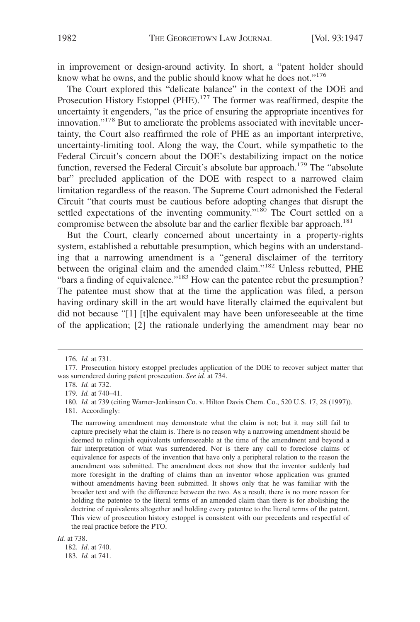in improvement or design-around activity. In short, a "patent holder should know what he owns, and the public should know what he does not."<sup>176</sup>

The Court explored this "delicate balance" in the context of the DOE and Prosecution History Estoppel (PHE).<sup>177</sup> The former was reaffirmed, despite the uncertainty it engenders, "as the price of ensuring the appropriate incentives for innovation."178 But to ameliorate the problems associated with inevitable uncertainty, the Court also reaffirmed the role of PHE as an important interpretive, uncertainty-limiting tool. Along the way, the Court, while sympathetic to the Federal Circuit's concern about the DOE's destabilizing impact on the notice function, reversed the Federal Circuit's absolute bar approach.<sup>179</sup> The "absolute" bar" precluded application of the DOE with respect to a narrowed claim limitation regardless of the reason. The Supreme Court admonished the Federal Circuit "that courts must be cautious before adopting changes that disrupt the settled expectations of the inventing community."<sup>180</sup> The Court settled on a compromise between the absolute bar and the earlier flexible bar approach.<sup>181</sup>

But the Court, clearly concerned about uncertainty in a property-rights system, established a rebuttable presumption, which begins with an understanding that a narrowing amendment is a "general disclaimer of the territory between the original claim and the amended claim."182 Unless rebutted, PHE "bars a finding of equivalence."<sup>183</sup> How can the patentee rebut the presumption? The patentee must show that at the time the application was filed, a person having ordinary skill in the art would have literally claimed the equivalent but did not because "[1] [t]he equivalent may have been unforeseeable at the time of the application; [2] the rationale underlying the amendment may bear no

181. Accordingly:

The narrowing amendment may demonstrate what the claim is not; but it may still fail to capture precisely what the claim is. There is no reason why a narrowing amendment should be deemed to relinquish equivalents unforeseeable at the time of the amendment and beyond a fair interpretation of what was surrendered. Nor is there any call to foreclose claims of equivalence for aspects of the invention that have only a peripheral relation to the reason the amendment was submitted. The amendment does not show that the inventor suddenly had more foresight in the drafting of claims than an inventor whose application was granted without amendments having been submitted. It shows only that he was familiar with the broader text and with the difference between the two. As a result, there is no more reason for holding the patentee to the literal terms of an amended claim than there is for abolishing the doctrine of equivalents altogether and holding every patentee to the literal terms of the patent. This view of prosecution history estoppel is consistent with our precedents and respectful of the real practice before the PTO.

*Id.* at 738.

182. *Id*. at 740. 183. *Id.* at 741.

<sup>176.</sup> *Id.* at 731.

<sup>177.</sup> Prosecution history estoppel precludes application of the DOE to recover subject matter that was surrendered during patent prosecution. *See id.* at 734.

<sup>178.</sup> *Id.* at 732.

<sup>179.</sup> *Id.* at 740–41.

<sup>180.</sup> *Id.* at 739 (citing Warner-Jenkinson Co. v. Hilton Davis Chem. Co., 520 U.S. 17, 28 (1997)).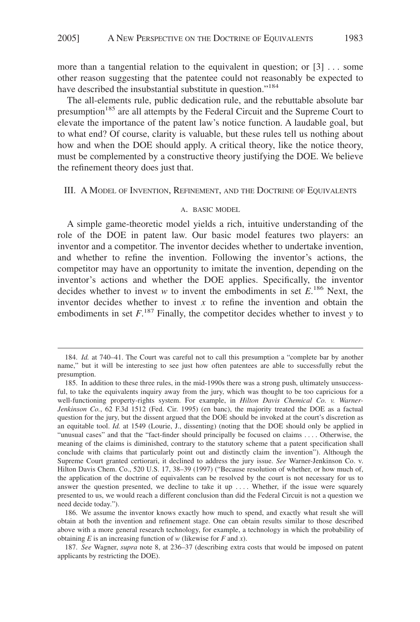more than a tangential relation to the equivalent in question; or [3] . . . some other reason suggesting that the patentee could not reasonably be expected to have described the insubstantial substitute in question."<sup>184</sup>

The all-elements rule, public dedication rule, and the rebuttable absolute bar presumption<sup>185</sup> are all attempts by the Federal Circuit and the Supreme Court to elevate the importance of the patent law's notice function. A laudable goal, but to what end? Of course, clarity is valuable, but these rules tell us nothing about how and when the DOE should apply. A critical theory, like the notice theory, must be complemented by a constructive theory justifying the DOE. We believe the refinement theory does just that.

III. A MODEL OF INVENTION, REFINEMENT, AND THE DOCTRINE OF EQUIVALENTS

#### A. BASIC MODEL

A simple game-theoretic model yields a rich, intuitive understanding of the role of the DOE in patent law. Our basic model features two players: an inventor and a competitor. The inventor decides whether to undertake invention, and whether to refine the invention. Following the inventor's actions, the competitor may have an opportunity to imitate the invention, depending on the inventor's actions and whether the DOE applies. Specifically, the inventor decides whether to invest *w* to invent the embodiments in set  $E^{186}$  Next, the inventor decides whether to invest  $x$  to refine the invention and obtain the embodiments in set  $F^{187}$  Finally, the competitor decides whether to invest *y* to

<sup>184.</sup> *Id.* at 740–41. The Court was careful not to call this presumption a "complete bar by another name," but it will be interesting to see just how often patentees are able to successfully rebut the presumption.

<sup>185.</sup> In addition to these three rules, in the mid-1990s there was a strong push, ultimately unsuccessful, to take the equivalents inquiry away from the jury, which was thought to be too capricious for a well-functioning property-rights system. For example, in *Hilton Davis Chemical Co. v. Warner-Jenkinson Co.*, 62 F.3d 1512 (Fed. Cir. 1995) (en banc), the majority treated the DOE as a factual question for the jury, but the dissent argued that the DOE should be invoked at the court's discretion as an equitable tool. *Id.* at 1549 (Lourie, J., dissenting) (noting that the DOE should only be applied in "unusual cases" and that the "fact-finder should principally be focused on claims .... Otherwise, the meaning of the claims is diminished, contrary to the statutory scheme that a patent specification shall conclude with claims that particularly point out and distinctly claim the invention"). Although the Supreme Court granted certiorari, it declined to address the jury issue. *See* Warner-Jenkinson Co. v. Hilton Davis Chem. Co., 520 U.S. 17, 38–39 (1997) ("Because resolution of whether, or how much of, the application of the doctrine of equivalents can be resolved by the court is not necessary for us to answer the question presented, we decline to take it up .... Whether, if the issue were squarely presented to us, we would reach a different conclusion than did the Federal Circuit is not a question we need decide today.").

<sup>186.</sup> We assume the inventor knows exactly how much to spend, and exactly what result she will obtain at both the invention and refinement stage. One can obtain results similar to those described above with a more general research technology, for example, a technology in which the probability of obtaining *E* is an increasing function of *w* (likewise for *F* and *x*).

<sup>187.</sup> *See* Wagner, *supra* note 8, at 236–37 (describing extra costs that would be imposed on patent applicants by restricting the DOE).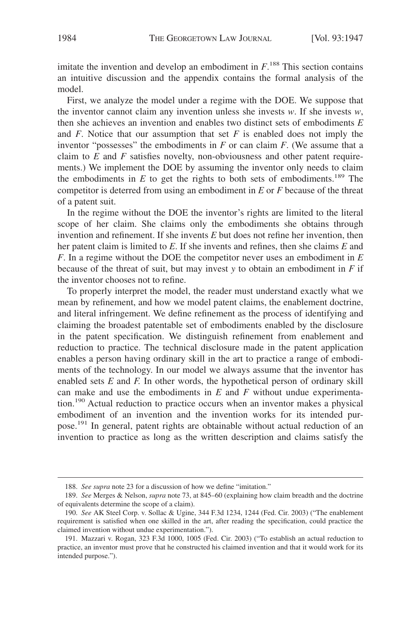imitate the invention and develop an embodiment in  $F<sup>188</sup>$ . This section contains an intuitive discussion and the appendix contains the formal analysis of the model.

First, we analyze the model under a regime with the DOE. We suppose that the inventor cannot claim any invention unless she invests  $w$ . If she invests  $w$ , then she achieves an invention and enables two distinct sets of embodiments *E* and  $F$ . Notice that our assumption that set  $F$  is enabled does not imply the inventor "possesses" the embodiments in  $F$  or can claim  $F$ . (We assume that a claim to *E* and *F* satisfies novelty, non-obviousness and other patent requirements.) We implement the DOE by assuming the inventor only needs to claim the embodiments in  $E$  to get the rights to both sets of embodiments.<sup>189</sup> The competitor is deterred from using an embodiment in *E* or *F* because of the threat of a patent suit.

In the regime without the DOE the inventor's rights are limited to the literal scope of her claim. She claims only the embodiments she obtains through invention and refinement. If she invents *E* but does not refine her invention, then her patent claim is limited to *E*. If she invents and refines, then she claims *E* and *F*. In a regime without the DOE the competitor never uses an embodiment in *E* because of the threat of suit, but may invest *y* to obtain an embodiment in *F* if the inventor chooses not to refine.

To properly interpret the model, the reader must understand exactly what we mean by refinement, and how we model patent claims, the enablement doctrine, and literal infringement. We define refinement as the process of identifying and claiming the broadest patentable set of embodiments enabled by the disclosure in the patent specification. We distinguish refinement from enablement and reduction to practice. The technical disclosure made in the patent application enables a person having ordinary skill in the art to practice a range of embodiments of the technology. In our model we always assume that the inventor has enabled sets *E* and *F.* In other words, the hypothetical person of ordinary skill can make and use the embodiments in *E* and *F* without undue experimentation.<sup>190</sup> Actual reduction to practice occurs when an inventor makes a physical embodiment of an invention and the invention works for its intended purpose.191 In general, patent rights are obtainable without actual reduction of an invention to practice as long as the written description and claims satisfy the

<sup>188.</sup> *See supra* note 23 for a discussion of how we define "imitation."

<sup>189.</sup> *See* Merges & Nelson, *supra* note 73, at 845–60 (explaining how claim breadth and the doctrine of equivalents determine the scope of a claim).

<sup>190.</sup> *See* AK Steel Corp. v. Sollac & Ugine, 344 F.3d 1234, 1244 (Fed. Cir. 2003) ("The enablement requirement is satisfied when one skilled in the art, after reading the specification, could practice the claimed invention without undue experimentation.").

<sup>191.</sup> Mazzari v. Rogan, 323 F.3d 1000, 1005 (Fed. Cir. 2003) ("To establish an actual reduction to practice, an inventor must prove that he constructed his claimed invention and that it would work for its intended purpose.").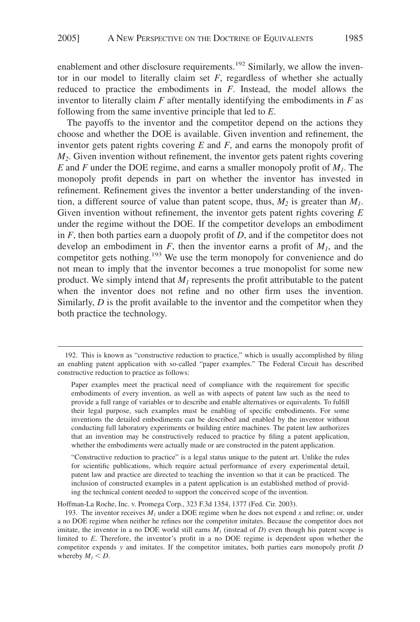enablement and other disclosure requirements.<sup>192</sup> Similarly, we allow the inventor in our model to literally claim set  $F$ , regardless of whether she actually reduced to practice the embodiments in *F*. Instead, the model allows the inventor to literally claim *F* after mentally identifying the embodiments in *F* as following from the same inventive principle that led to *E*.

The payoffs to the inventor and the competitor depend on the actions they choose and whether the DOE is available. Given invention and refinement, the inventor gets patent rights covering *E* and *F*, and earns the monopoly profit of *M2*. Given invention without refinement, the inventor gets patent rights covering *E* and *F* under the DOE regime, and earns a smaller monopoly profit of  $M_1$ . The monopoly profit depends in part on whether the inventor has invested in refinement. Refinement gives the inventor a better understanding of the invention, a different source of value than patent scope, thus,  $M_2$  is greater than  $M_1$ . Given invention without refinement, the inventor gets patent rights covering *E* under the regime without the DOE. If the competitor develops an embodiment in *F*, then both parties earn a duopoly profit of *D*, and if the competitor does not develop an embodiment in  $F$ , then the inventor earns a profit of  $M<sub>1</sub>$ , and the competitor gets nothing.<sup>193</sup> We use the term monopoly for convenience and do not mean to imply that the inventor becomes a true monopolist for some new product. We simply intend that  $M_l$  represents the profit attributable to the patent when the inventor does not refine and no other firm uses the invention. Similarly, *D* is the profit available to the inventor and the competitor when they both practice the technology.

"Constructive reduction to practice" is a legal status unique to the patent art. Unlike the rules for scientific publications, which require actual performance of every experimental detail, patent law and practice are directed to teaching the invention so that it can be practiced. The inclusion of constructed examples in a patent application is an established method of providing the technical content needed to support the conceived scope of the invention.

Hoffman-La Roche, Inc. v. Promega Corp*.*, 323 F.3d 1354, 1377 (Fed. Cir. 2003).

<sup>192.</sup> This is known as "constructive reduction to practice," which is usually accomplished by filing an enabling patent application with so-called "paper examples." The Federal Circuit has described constructive reduction to practice as follows:

Paper examples meet the practical need of compliance with the requirement for specific embodiments of every invention, as well as with aspects of patent law such as the need to provide a full range of variables or to describe and enable alternatives or equivalents. To fulfill their legal purpose, such examples must be enabling of specific embodiments. For some inventions the detailed embodiments can be described and enabled by the inventor without conducting full laboratory experiments or building entire machines. The patent law authorizes that an invention may be constructively reduced to practice by filing a patent application, whether the embodiments were actually made or are constructed in the patent application.

<sup>193.</sup> The inventor receives  $M_l$  under a DOE regime when he does not expend x and refine; or, under a no DOE regime when neither he refines nor the competitor imitates. Because the competitor does not imitate, the inventor in a no DOE world still earns  $M<sub>1</sub>$  (instead of  $D$ ) even though his patent scope is limited to *E*. Therefore, the inventor's profit in a no DOE regime is dependent upon whether the competitor expends *y* and imitates. If the competitor imitates, both parties earn monopoly profit *D* whereby  $M<sub>1</sub> < D$ .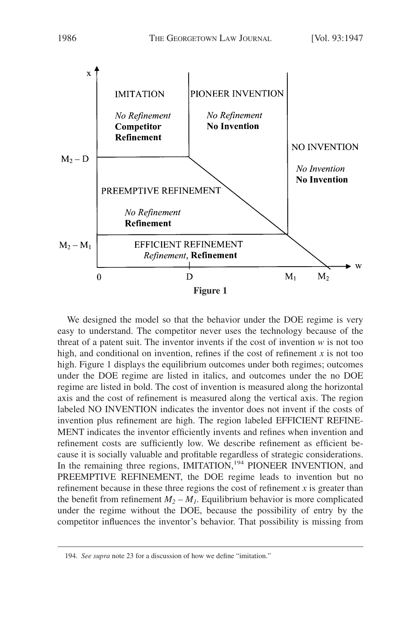

We designed the model so that the behavior under the DOE regime is very easy to understand. The competitor never uses the technology because of the threat of a patent suit. The inventor invents if the cost of invention *w* is not too high, and conditional on invention, refines if the cost of refinement *x* is not too high. Figure 1 displays the equilibrium outcomes under both regimes; outcomes under the DOE regime are listed in italics, and outcomes under the no DOE regime are listed in bold. The cost of invention is measured along the horizontal axis and the cost of refinement is measured along the vertical axis. The region labeled NO INVENTION indicates the inventor does not invent if the costs of invention plus refinement are high. The region labeled EFFICIENT REFINE-MENT indicates the inventor efficiently invents and refines when invention and refinement costs are sufficiently low. We describe refinement as efficient because it is socially valuable and profitable regardless of strategic considerations. In the remaining three regions, IMITATION,<sup>194</sup> PIONEER INVENTION, and PREEMPTIVE REFINEMENT, the DOE regime leads to invention but no refinement because in these three regions the cost of refinement *x* is greater than the benefit from refinement  $M_2 - M_1$ . Equilibrium behavior is more complicated under the regime without the DOE, because the possibility of entry by the competitor influences the inventor's behavior. That possibility is missing from

<sup>194.</sup> *See supra* note 23 for a discussion of how we define "imitation."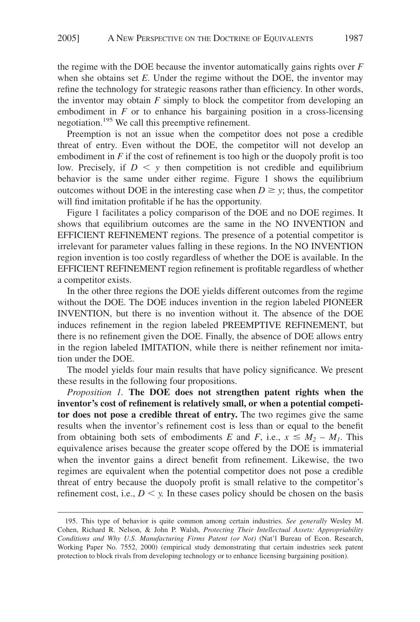the regime with the DOE because the inventor automatically gains rights over *F* when she obtains set *E*. Under the regime without the DOE, the inventor may refine the technology for strategic reasons rather than efficiency. In other words, the inventor may obtain *F* simply to block the competitor from developing an embodiment in *F* or to enhance his bargaining position in a cross-licensing negotiation.195 We call this preemptive refinement.

Preemption is not an issue when the competitor does not pose a credible threat of entry. Even without the DOE, the competitor will not develop an embodiment in *F* if the cost of refinement is too high or the duopoly profit is too low. Precisely, if  $D \leq y$  then competition is not credible and equilibrium behavior is the same under either regime. Figure 1 shows the equilibrium outcomes without DOE in the interesting case when  $D \geq y$ ; thus, the competitor will find imitation profitable if he has the opportunity.

Figure 1 facilitates a policy comparison of the DOE and no DOE regimes. It shows that equilibrium outcomes are the same in the NO INVENTION and EFFICIENT REFINEMENT regions. The presence of a potential competitor is irrelevant for parameter values falling in these regions. In the NO INVENTION region invention is too costly regardless of whether the DOE is available. In the EFFICIENT REFINEMENT region refinement is profitable regardless of whether a competitor exists.

In the other three regions the DOE yields different outcomes from the regime without the DOE. The DOE induces invention in the region labeled PIONEER INVENTION, but there is no invention without it. The absence of the DOE induces refinement in the region labeled PREEMPTIVE REFINEMENT, but there is no refinement given the DOE. Finally, the absence of DOE allows entry in the region labeled IMITATION, while there is neither refinement nor imitation under the DOE.

The model yields four main results that have policy significance. We present these results in the following four propositions.

*Proposition 1.* **The DOE does not strengthen patent rights when the inventor's cost of refinement is relatively small, or when a potential competitor does not pose a credible threat of entry.** The two regimes give the same results when the inventor's refinement cost is less than or equal to the benefit from obtaining both sets of embodiments *E* and *F*, i.e.,  $x \leq M_2 - M_1$ . This equivalence arises because the greater scope offered by the DOE is immaterial when the inventor gains a direct benefit from refinement. Likewise, the two regimes are equivalent when the potential competitor does not pose a credible threat of entry because the duopoly profit is small relative to the competitor's refinement cost, i.e.,  $D \le y$ . In these cases policy should be chosen on the basis

<sup>195.</sup> This type of behavior is quite common among certain industries. *See generally* Wesley M. Cohen, Richard R. Nelson, & John P. Walsh, *Protecting Their Intellectual Assets: Appropriability Conditions and Why U.S. Manufacturing Firms Patent (or Not)* (Nat'l Bureau of Econ. Research, Working Paper No. 7552, 2000) (empirical study demonstrating that certain industries seek patent protection to block rivals from developing technology or to enhance licensing bargaining position).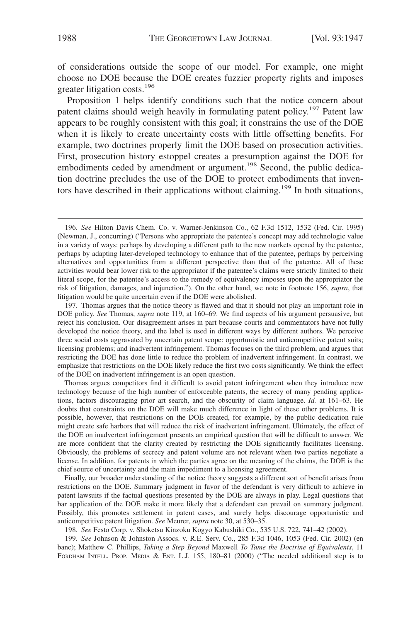of considerations outside the scope of our model. For example, one might choose no DOE because the DOE creates fuzzier property rights and imposes greater litigation costs.<sup>196</sup>

Proposition 1 helps identify conditions such that the notice concern about patent claims should weigh heavily in formulating patent policy.<sup>197</sup> Patent law appears to be roughly consistent with this goal; it constrains the use of the DOE when it is likely to create uncertainty costs with little offsetting benefits. For example, two doctrines properly limit the DOE based on prosecution activities. First, prosecution history estoppel creates a presumption against the DOE for embodiments ceded by amendment or argument.<sup>198</sup> Second, the public dedication doctrine precludes the use of the DOE to protect embodiments that inventors have described in their applications without claiming.<sup>199</sup> In both situations,

197. Thomas argues that the notice theory is flawed and that it should not play an important role in DOE policy. *See* Thomas, *supra* note 119, at 160–69. We find aspects of his argument persuasive, but reject his conclusion. Our disagreement arises in part because courts and commentators have not fully developed the notice theory, and the label is used in different ways by different authors. We perceive three social costs aggravated by uncertain patent scope: opportunistic and anticompetitive patent suits; licensing problems; and inadvertent infringement. Thomas focuses on the third problem, and argues that restricting the DOE has done little to reduce the problem of inadvertent infringement. In contrast, we emphasize that restrictions on the DOE likely reduce the first two costs significantly. We think the effect of the DOE on inadvertent infringement is an open question.

Thomas argues competitors find it difficult to avoid patent infringement when they introduce new technology because of the high number of enforceable patents, the secrecy of many pending applications, factors discouraging prior art search, and the obscurity of claim language. *Id.* at 161–63. He doubts that constraints on the DOE will make much difference in light of these other problems. It is possible, however, that restrictions on the DOE created, for example, by the public dedication rule might create safe harbors that will reduce the risk of inadvertent infringement. Ultimately, the effect of the DOE on inadvertent infringement presents an empirical question that will be difficult to answer. We are more confident that the clarity created by restricting the DOE significantly facilitates licensing. Obviously, the problems of secrecy and patent volume are not relevant when two parties negotiate a license. In addition, for patents in which the parties agree on the meaning of the claims, the DOE is the chief source of uncertainty and the main impediment to a licensing agreement.

Finally, our broader understanding of the notice theory suggests a different sort of benefit arises from restrictions on the DOE. Summary judgment in favor of the defendant is very difficult to achieve in patent lawsuits if the factual questions presented by the DOE are always in play. Legal questions that bar application of the DOE make it more likely that a defendant can prevail on summary judgment. Possibly, this promotes settlement in patent cases, and surely helps discourage opportunistic and anticompetitive patent litigation. *See* Meurer, *supra* note 30, at 530–35.

198. *See* Festo Corp. v. Shoketsu Kinzoku Kogyo Kabushiki Co., 535 U.S. 722, 741–42 (2002).

199. *See* Johnson & Johnston Assocs. v. R.E. Serv. Co., 285 F.3d 1046, 1053 (Fed. Cir. 2002) (en banc); Matthew C. Phillips, *Taking a Step Beyond* Maxwell *To Tame the Doctrine of Equivalents*, 11 FORDHAM INTELL. PROP. MEDIA & ENT. L.J. 155, 180–81 (2000) ("The needed additional step is to

<sup>196.</sup> *See* Hilton Davis Chem. Co. v. Warner-Jenkinson Co., 62 F.3d 1512, 1532 (Fed. Cir. 1995) (Newman, J., concurring) ("Persons who appropriate the patentee's concept may add technologic value in a variety of ways: perhaps by developing a different path to the new markets opened by the patentee, perhaps by adapting later-developed technology to enhance that of the patentee, perhaps by perceiving alternatives and opportunities from a different perspective than that of the patentee. All of these activities would bear lower risk to the appropriator if the patentee's claims were strictly limited to their literal scope, for the patentee's access to the remedy of equivalency imposes upon the appropriator the risk of litigation, damages, and injunction."). On the other hand, we note in footnote 156, *supra*, that litigation would be quite uncertain even if the DOE were abolished.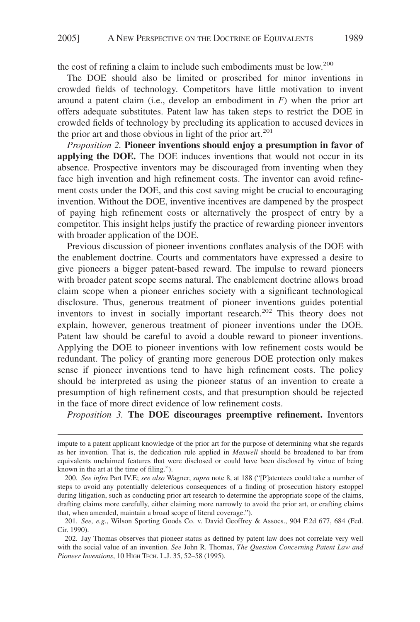the cost of refining a claim to include such embodiments must be low.200

The DOE should also be limited or proscribed for minor inventions in crowded fields of technology. Competitors have little motivation to invent around a patent claim (i.e., develop an embodiment in *F*) when the prior art offers adequate substitutes. Patent law has taken steps to restrict the DOE in crowded fields of technology by precluding its application to accused devices in the prior art and those obvious in light of the prior art.<sup>201</sup>

*Proposition 2.* **Pioneer inventions should enjoy a presumption in favor of applying the DOE.** The DOE induces inventions that would not occur in its absence. Prospective inventors may be discouraged from inventing when they face high invention and high refinement costs. The inventor can avoid refinement costs under the DOE, and this cost saving might be crucial to encouraging invention. Without the DOE, inventive incentives are dampened by the prospect of paying high refinement costs or alternatively the prospect of entry by a competitor. This insight helps justify the practice of rewarding pioneer inventors with broader application of the DOE.

Previous discussion of pioneer inventions conflates analysis of the DOE with the enablement doctrine. Courts and commentators have expressed a desire to give pioneers a bigger patent-based reward. The impulse to reward pioneers with broader patent scope seems natural. The enablement doctrine allows broad claim scope when a pioneer enriches society with a significant technological disclosure. Thus, generous treatment of pioneer inventions guides potential inventors to invest in socially important research.<sup>202</sup> This theory does not explain, however, generous treatment of pioneer inventions under the DOE. Patent law should be careful to avoid a double reward to pioneer inventions. Applying the DOE to pioneer inventions with low refinement costs would be redundant. The policy of granting more generous DOE protection only makes sense if pioneer inventions tend to have high refinement costs. The policy should be interpreted as using the pioneer status of an invention to create a presumption of high refinement costs, and that presumption should be rejected in the face of more direct evidence of low refinement costs.

*Proposition 3.* **The DOE discourages preemptive refinement.** Inventors

impute to a patent applicant knowledge of the prior art for the purpose of determining what she regards as her invention. That is, the dedication rule applied in *Maxwell* should be broadened to bar from equivalents unclaimed features that were disclosed or could have been disclosed by virtue of being known in the art at the time of filing.").

<sup>200.</sup> *See infra* Part IV.E; *see also* Wagner, *supra* note 8, at 188 ("[P]atentees could take a number of steps to avoid any potentially deleterious consequences of a finding of prosecution history estoppel during litigation, such as conducting prior art research to determine the appropriate scope of the claims, drafting claims more carefully, either claiming more narrowly to avoid the prior art, or crafting claims that, when amended, maintain a broad scope of literal coverage.").

<sup>201.</sup> *See, e.g.*, Wilson Sporting Goods Co. v. David Geoffrey & Assocs., 904 F.2d 677, 684 (Fed. Cir. 1990).

<sup>202.</sup> Jay Thomas observes that pioneer status as defined by patent law does not correlate very well with the social value of an invention. *See* John R. Thomas, *The Question Concerning Patent Law and Pioneer Inventions*, 10 HIGH TECH. L.J. 35, 52–58 (1995).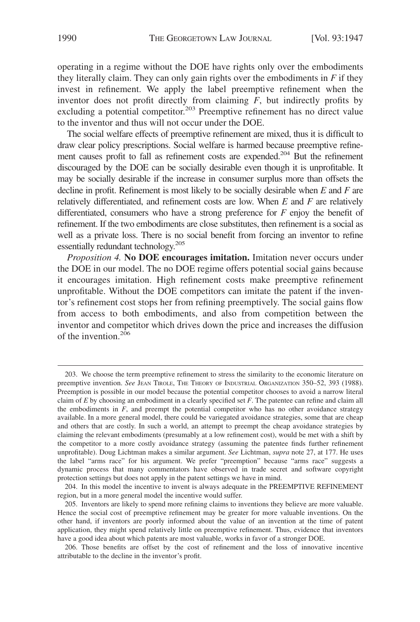operating in a regime without the DOE have rights only over the embodiments they literally claim. They can only gain rights over the embodiments in  $F$  if they invest in refinement. We apply the label preemptive refinement when the inventor does not profit directly from claiming *F*, but indirectly profits by excluding a potential competitor.<sup>203</sup> Preemptive refinement has no direct value to the inventor and thus will not occur under the DOE.

The social welfare effects of preemptive refinement are mixed, thus it is difficult to draw clear policy prescriptions. Social welfare is harmed because preemptive refinement causes profit to fall as refinement costs are expended.<sup>204</sup> But the refinement discouraged by the DOE can be socially desirable even though it is unprofitable. It may be socially desirable if the increase in consumer surplus more than offsets the decline in profit. Refinement is most likely to be socially desirable when *E* and *F* are relatively differentiated, and refinement costs are low. When *E* and *F* are relatively differentiated, consumers who have a strong preference for *F* enjoy the benefit of refinement. If the two embodiments are close substitutes, then refinement is a social as well as a private loss. There is no social benefit from forcing an inventor to refine essentially redundant technology.<sup>205</sup>

*Proposition 4.* **No DOE encourages imitation.** Imitation never occurs under the DOE in our model. The no DOE regime offers potential social gains because it encourages imitation. High refinement costs make preemptive refinement unprofitable. Without the DOE competitors can imitate the patent if the inventor's refinement cost stops her from refining preemptively. The social gains flow from access to both embodiments, and also from competition between the inventor and competitor which drives down the price and increases the diffusion of the invention. $206$ 

<sup>203.</sup> We choose the term preemptive refinement to stress the similarity to the economic literature on preemptive invention. *See* JEAN TIROLE, THE THEORY OF INDUSTRIAL ORGANIZATION 350–52, 393 (1988). Preemption is possible in our model because the potential competitor chooses to avoid a narrow literal claim of *E* by choosing an embodiment in a clearly specified set *F*. The patentee can refine and claim all the embodiments in  $F$ , and preempt the potential competitor who has no other avoidance strategy available. In a more general model, there could be variegated avoidance strategies, some that are cheap and others that are costly. In such a world, an attempt to preempt the cheap avoidance strategies by claiming the relevant embodiments (presumably at a low refinement cost), would be met with a shift by the competitor to a more costly avoidance strategy (assuming the patentee finds further refinement unprofitable). Doug Lichtman makes a similar argument. *See* Lichtman, *supra* note 27, at 177. He uses the label "arms race" for his argument. We prefer "preemption" because "arms race" suggests a dynamic process that many commentators have observed in trade secret and software copyright protection settings but does not apply in the patent settings we have in mind.

<sup>204.</sup> In this model the incentive to invent is always adequate in the PREEMPTIVE REFINEMENT region, but in a more general model the incentive would suffer.

<sup>205.</sup> Inventors are likely to spend more refining claims to inventions they believe are more valuable. Hence the social cost of preemptive refinement may be greater for more valuable inventions. On the other hand, if inventors are poorly informed about the value of an invention at the time of patent application, they might spend relatively little on preemptive refinement. Thus, evidence that inventors have a good idea about which patents are most valuable, works in favor of a stronger DOE.

<sup>206.</sup> Those benefits are offset by the cost of refinement and the loss of innovative incentive attributable to the decline in the inventor's profit.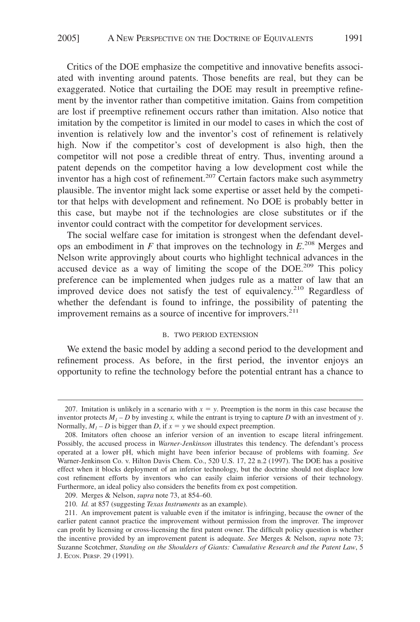Critics of the DOE emphasize the competitive and innovative benefits associated with inventing around patents. Those benefits are real, but they can be exaggerated. Notice that curtailing the DOE may result in preemptive refinement by the inventor rather than competitive imitation. Gains from competition are lost if preemptive refinement occurs rather than imitation. Also notice that imitation by the competitor is limited in our model to cases in which the cost of invention is relatively low and the inventor's cost of refinement is relatively high. Now if the competitor's cost of development is also high, then the competitor will not pose a credible threat of entry. Thus, inventing around a patent depends on the competitor having a low development cost while the inventor has a high cost of refinement.<sup>207</sup> Certain factors make such asymmetry plausible. The inventor might lack some expertise or asset held by the competitor that helps with development and refinement. No DOE is probably better in this case, but maybe not if the technologies are close substitutes or if the inventor could contract with the competitor for development services.

The social welfare case for imitation is strongest when the defendant develops an embodiment in  $F$  that improves on the technology in  $E^{208}$  Merges and Nelson write approvingly about courts who highlight technical advances in the accused device as a way of limiting the scope of the DOE.<sup>209</sup> This policy preference can be implemented when judges rule as a matter of law that an improved device does not satisfy the test of equivalency.<sup>210</sup> Regardless of whether the defendant is found to infringe, the possibility of patenting the improvement remains as a source of incentive for improvers.<sup>211</sup>

#### B. TWO PERIOD EXTENSION

We extend the basic model by adding a second period to the development and refinement process. As before, in the first period, the inventor enjoys an opportunity to refine the technology before the potential entrant has a chance to

<sup>207.</sup> Imitation is unlikely in a scenario with  $x = y$ . Preemption is the norm in this case because the inventor protects  $M<sub>1</sub> - D$  by investing *x*, while the entrant is trying to capture *D* with an investment of *y*. Normally,  $M_1 - D$  is bigger than *D*, if  $x = y$  we should expect preemption.

<sup>208.</sup> Imitators often choose an inferior version of an invention to escape literal infringement. Possibly, the accused process in *Warner-Jenkinson* illustrates this tendency. The defendant's process operated at a lower pH, which might have been inferior because of problems with foaming. *See* Warner-Jenkinson Co. v. Hilton Davis Chem. Co., 520 U.S. 17, 22 n.2 (1997). The DOE has a positive effect when it blocks deployment of an inferior technology, but the doctrine should not displace low cost refinement efforts by inventors who can easily claim inferior versions of their technology. Furthermore, an ideal policy also considers the benefits from ex post competition.

<sup>209.</sup> Merges & Nelson, *supra* note 73, at 854–60.

<sup>210.</sup> *Id.* at 857 (suggesting *Texas Instruments* as an example).

<sup>211.</sup> An improvement patent is valuable even if the imitator is infringing, because the owner of the earlier patent cannot practice the improvement without permission from the improver. The improver can profit by licensing or cross-licensing the first patent owner. The difficult policy question is whether the incentive provided by an improvement patent is adequate. *See* Merges & Nelson, *supra* note 73; Suzanne Scotchmer, *Standing on the Shoulders of Giants: Cumulative Research and the Patent Law*, 5 J. ECON. PERSP. 29 (1991).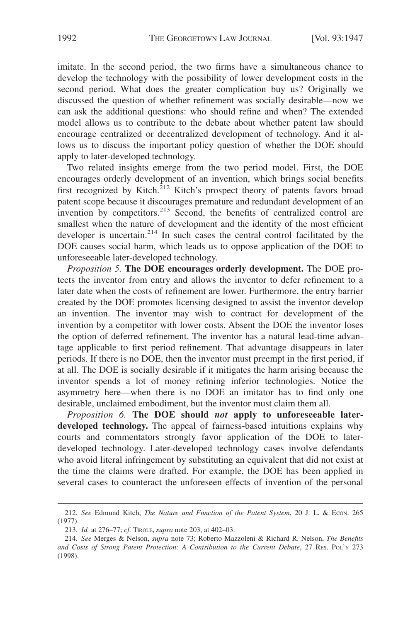imitate. In the second period, the two firms have a simultaneous chance to develop the technology with the possibility of lower development costs in the second period. What does the greater complication buy us? Originally we discussed the question of whether refinement was socially desirable—now we can ask the additional questions: who should refine and when? The extended model allows us to contribute to the debate about whether patent law should encourage centralized or decentralized development of technology. And it allows us to discuss the important policy question of whether the DOE should apply to later-developed technology.

Two related insights emerge from the two period model. First, the DOE encourages orderly development of an invention, which brings social benefits first recognized by Kitch.<sup>212</sup> Kitch's prospect theory of patents favors broad patent scope because it discourages premature and redundant development of an invention by competitors.<sup>213</sup> Second, the benefits of centralized control are smallest when the nature of development and the identity of the most efficient developer is uncertain.<sup>214</sup> In such cases the central control facilitated by the DOE causes social harm, which leads us to oppose application of the DOE to unforeseeable later-developed technology.

*Proposition 5.* **The DOE encourages orderly development.** The DOE protects the inventor from entry and allows the inventor to defer refinement to a later date when the costs of refinement are lower. Furthermore, the entry barrier created by the DOE promotes licensing designed to assist the inventor develop an invention. The inventor may wish to contract for development of the invention by a competitor with lower costs. Absent the DOE the inventor loses the option of deferred refinement. The inventor has a natural lead-time advantage applicable to first period refinement. That advantage disappears in later periods. If there is no DOE, then the inventor must preempt in the first period, if at all. The DOE is socially desirable if it mitigates the harm arising because the inventor spends a lot of money refining inferior technologies. Notice the asymmetry here—when there is no DOE an imitator has to find only one desirable, unclaimed embodiment, but the inventor must claim them all.

*Proposition 6.* **The DOE should** *not* **apply to unforeseeable laterdeveloped technology.** The appeal of fairness-based intuitions explains why courts and commentators strongly favor application of the DOE to laterdeveloped technology. Later-developed technology cases involve defendants who avoid literal infringement by substituting an equivalent that did not exist at the time the claims were drafted. For example, the DOE has been applied in several cases to counteract the unforeseen effects of invention of the personal

<sup>212.</sup> *See* Edmund Kitch, *The Nature and Function of the Patent System*, 20 J. L. & ECON. 265 (1977).

<sup>213.</sup> *Id.* at 276–77; *cf.* TIROLE, *supra* note 203, at 402–03.

<sup>214.</sup> *See* Merges & Nelson, *supra* note 73; Roberto Mazzoleni & Richard R. Nelson, *The Benefits and Costs of Strong Patent Protection: A Contribution to the Current Debate*, 27 RES. POL'Y 273 (1998).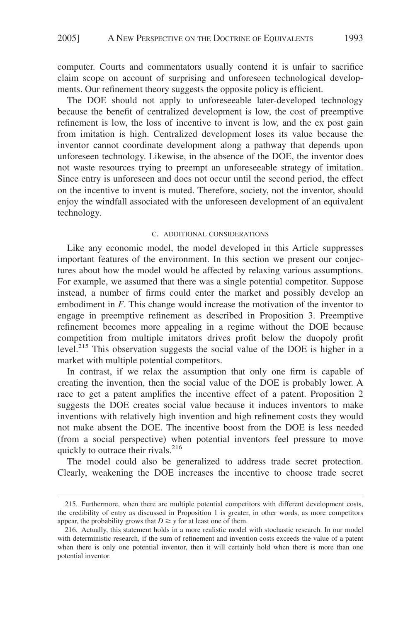computer. Courts and commentators usually contend it is unfair to sacrifice claim scope on account of surprising and unforeseen technological developments. Our refinement theory suggests the opposite policy is efficient.

The DOE should not apply to unforeseeable later-developed technology because the benefit of centralized development is low, the cost of preemptive refinement is low, the loss of incentive to invent is low, and the ex post gain from imitation is high. Centralized development loses its value because the inventor cannot coordinate development along a pathway that depends upon unforeseen technology. Likewise, in the absence of the DOE, the inventor does not waste resources trying to preempt an unforeseeable strategy of imitation. Since entry is unforeseen and does not occur until the second period, the effect on the incentive to invent is muted. Therefore, society, not the inventor, should enjoy the windfall associated with the unforeseen development of an equivalent technology.

#### C. ADDITIONAL CONSIDERATIONS

Like any economic model, the model developed in this Article suppresses important features of the environment. In this section we present our conjectures about how the model would be affected by relaxing various assumptions. For example, we assumed that there was a single potential competitor. Suppose instead, a number of firms could enter the market and possibly develop an embodiment in *F*. This change would increase the motivation of the inventor to engage in preemptive refinement as described in Proposition 3. Preemptive refinement becomes more appealing in a regime without the DOE because competition from multiple imitators drives profit below the duopoly profit level.<sup>215</sup> This observation suggests the social value of the DOE is higher in a market with multiple potential competitors.

In contrast, if we relax the assumption that only one firm is capable of creating the invention, then the social value of the DOE is probably lower. A race to get a patent amplifies the incentive effect of a patent. Proposition 2 suggests the DOE creates social value because it induces inventors to make inventions with relatively high invention and high refinement costs they would not make absent the DOE. The incentive boost from the DOE is less needed (from a social perspective) when potential inventors feel pressure to move quickly to outrace their rivals.<sup>216</sup>

The model could also be generalized to address trade secret protection. Clearly, weakening the DOE increases the incentive to choose trade secret

<sup>215.</sup> Furthermore, when there are multiple potential competitors with different development costs, the credibility of entry as discussed in Proposition 1 is greater, in other words, as more competitors appear, the probability grows that  $D \geq y$  for at least one of them.

<sup>216.</sup> Actually, this statement holds in a more realistic model with stochastic research. In our model with deterministic research, if the sum of refinement and invention costs exceeds the value of a patent when there is only one potential inventor, then it will certainly hold when there is more than one potential inventor.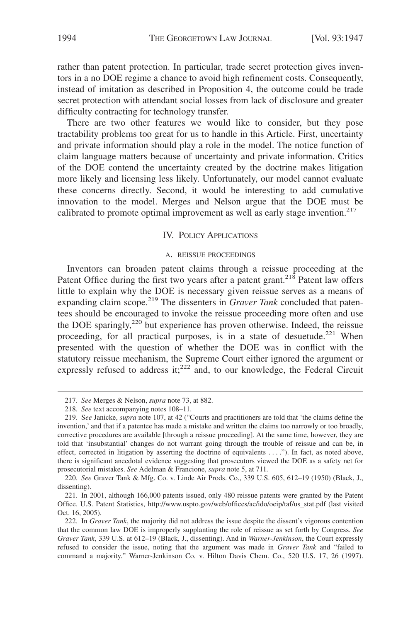rather than patent protection. In particular, trade secret protection gives inventors in a no DOE regime a chance to avoid high refinement costs. Consequently, instead of imitation as described in Proposition 4, the outcome could be trade secret protection with attendant social losses from lack of disclosure and greater difficulty contracting for technology transfer.

There are two other features we would like to consider, but they pose tractability problems too great for us to handle in this Article. First, uncertainty and private information should play a role in the model. The notice function of claim language matters because of uncertainty and private information. Critics of the DOE contend the uncertainty created by the doctrine makes litigation more likely and licensing less likely. Unfortunately, our model cannot evaluate these concerns directly. Second, it would be interesting to add cumulative innovation to the model. Merges and Nelson argue that the DOE must be calibrated to promote optimal improvement as well as early stage invention.<sup>217</sup>

#### IV. POLICY APPLICATIONS

#### A. REISSUE PROCEEDINGS

Inventors can broaden patent claims through a reissue proceeding at the Patent Office during the first two years after a patent grant.<sup>218</sup> Patent law offers little to explain why the DOE is necessary given reissue serves as a means of expanding claim scope.<sup>219</sup> The dissenters in *Graver Tank* concluded that patentees should be encouraged to invoke the reissue proceeding more often and use the DOE sparingly,<sup>220</sup> but experience has proven otherwise. Indeed, the reissue proceeding, for all practical purposes, is in a state of desuetude.<sup>221</sup> When presented with the question of whether the DOE was in conflict with the statutory reissue mechanism, the Supreme Court either ignored the argument or expressly refused to address it; $^{222}$  and, to our knowledge, the Federal Circuit

<sup>217.</sup> *See* Merges & Nelson, *supra* note 73, at 882.

<sup>218.</sup> *See* text accompanying notes 108–11.

<sup>219.</sup> S*ee* Janicke, *supra* note 107, at 42 ("Courts and practitioners are told that 'the claims define the invention,' and that if a patentee has made a mistake and written the claims too narrowly or too broadly, corrective procedures are available [through a reissue proceeding]. At the same time, however, they are told that 'insubstantial' changes do not warrant going through the trouble of reissue and can be, in effect, corrected in litigation by asserting the doctrine of equivalents . . . ."). In fact, as noted above, there is significant anecdotal evidence suggesting that prosecutors viewed the DOE as a safety net for prosecutorial mistakes. *See* Adelman & Francione, *supra* note 5, at 711*.*

<sup>220.</sup> *See* Graver Tank & Mfg. Co. v. Linde Air Prods. Co., 339 U.S. 605, 612–19 (1950) (Black, J., dissenting).

<sup>221.</sup> In 2001, although 166,000 patents issued, only 480 reissue patents were granted by the Patent Office. U.S. Patent Statistics, http://www.uspto.gov/web/offices/ac/ido/oeip/taf/us\_stat.pdf (last visited Oct. 16, 2005).

<sup>222.</sup> In *Graver Tank*, the majority did not address the issue despite the dissent's vigorous contention that the common law DOE is improperly supplanting the role of reissue as set forth by Congress. *See Graver Tank*, 339 U.S. at 612–19 (Black, J., dissenting). And in *Warner-Jenkinson*, the Court expressly refused to consider the issue, noting that the argument was made in *Graver Tank* and "failed to command a majority." Warner-Jenkinson Co. v. Hilton Davis Chem. Co., 520 U.S. 17, 26 (1997).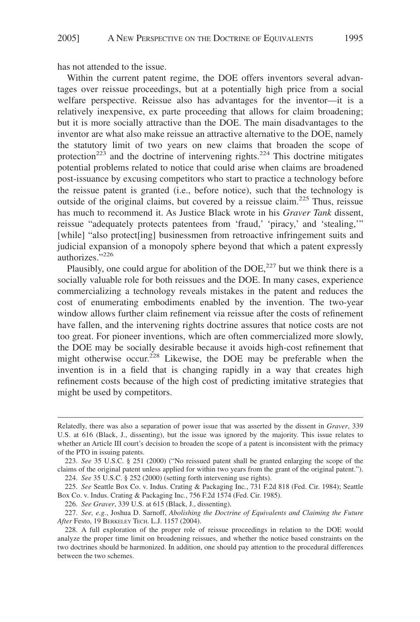has not attended to the issue.

Within the current patent regime, the DOE offers inventors several advantages over reissue proceedings, but at a potentially high price from a social welfare perspective. Reissue also has advantages for the inventor—it is a relatively inexpensive, ex parte proceeding that allows for claim broadening; but it is more socially attractive than the DOE. The main disadvantages to the inventor are what also make reissue an attractive alternative to the DOE, namely the statutory limit of two years on new claims that broaden the scope of protection<sup>223</sup> and the doctrine of intervening rights.<sup>224</sup> This doctrine mitigates potential problems related to notice that could arise when claims are broadened post-issuance by excusing competitors who start to practice a technology before the reissue patent is granted (i.e., before notice), such that the technology is outside of the original claims, but covered by a reissue claim.225 Thus, reissue has much to recommend it. As Justice Black wrote in his *Graver Tank* dissent, reissue "adequately protects patentees from 'fraud,' 'piracy,' and 'stealing,'" [while] "also protect[ing] businessmen from retroactive infringement suits and judicial expansion of a monopoly sphere beyond that which a patent expressly authorizes."226

Plausibly, one could argue for abolition of the  $DOE<sub>1</sub><sup>227</sup>$  but we think there is a socially valuable role for both reissues and the DOE. In many cases, experience commercializing a technology reveals mistakes in the patent and reduces the cost of enumerating embodiments enabled by the invention. The two-year window allows further claim refinement via reissue after the costs of refinement have fallen, and the intervening rights doctrine assures that notice costs are not too great. For pioneer inventions, which are often commercialized more slowly, the DOE may be socially desirable because it avoids high-cost refinement that might otherwise occur.<sup>228</sup> Likewise, the DOE may be preferable when the invention is in a field that is changing rapidly in a way that creates high refinement costs because of the high cost of predicting imitative strategies that might be used by competitors.

224. *See* 35 U.S.C. § 252 (2000) (setting forth intervening use rights).

226. *See Graver*, 339 U.S. at 615 (Black, J., dissenting).

Relatedly, there was also a separation of power issue that was asserted by the dissent in *Graver*, 339 U.S. at 616 (Black, J., dissenting), but the issue was ignored by the majority. This issue relates to whether an Article III court's decision to broaden the scope of a patent is inconsistent with the primacy of the PTO in issuing patents.

<sup>223.</sup> *See* 35 U.S.C. § 251 (2000) ("No reissued patent shall be granted enlarging the scope of the claims of the original patent unless applied for within two years from the grant of the original patent.").

<sup>225.</sup> *See* Seattle Box Co. v. Indus. Crating & Packaging Inc*.*, 731 F.2d 818 (Fed. Cir. 1984); Seattle Box Co. v. Indus. Crating & Packaging Inc*.*, 756 F.2d 1574 (Fed. Cir. 1985).

<sup>227.</sup> *See, e.g.*, Joshua D. Sarnoff, *Abolishing the Doctrine of Equivalents and Claiming the Future After* Festo, 19 BERKELEY TECH. L.J. 1157 (2004).

<sup>228.</sup> A full exploration of the proper role of reissue proceedings in relation to the DOE would analyze the proper time limit on broadening reissues, and whether the notice based constraints on the two doctrines should be harmonized. In addition, one should pay attention to the procedural differences between the two schemes.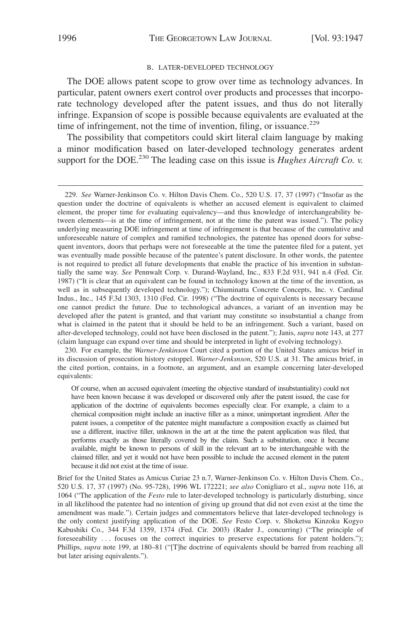#### B. LATER-DEVELOPED TECHNOLOGY

The DOE allows patent scope to grow over time as technology advances. In particular, patent owners exert control over products and processes that incorporate technology developed after the patent issues, and thus do not literally infringe. Expansion of scope is possible because equivalents are evaluated at the time of infringement, not the time of invention, filing, or issuance.<sup>229</sup>

The possibility that competitors could skirt literal claim language by making a minor modification based on later-developed technology generates ardent support for the DOE.<sup>230</sup> The leading case on this issue is *Hughes Aircraft Co. v.* 

230. For example, the *Warner-Jenkinson* Court cited a portion of the United States amicus brief in its discussion of prosecution history estoppel. *Warner-Jenksnson*, 520 U.S. at 31. The amicus brief, in the cited portion, contains, in a footnote, an argument, and an example concerning later-developed equivalents:

<sup>229.</sup> *See* Warner-Jenkinson Co. v. Hilton Davis Chem. Co., 520 U.S. 17, 37 (1997) ("Insofar as the question under the doctrine of equivalents is whether an accused element is equivalent to claimed element, the proper time for evaluating equivalency—and thus knowledge of interchangeability between elements—is at the time of infringement, not at the time the patent was issued."). The policy underlying measuring DOE infringement at time of infringement is that because of the cumulative and unforeseeable nature of complex and ramified technologies, the patentee has opened doors for subsequent inventors, doors that perhaps were not foreseeable at the time the patentee filed for a patent, yet was eventually made possible because of the patentee's patent disclosure. In other words, the patentee is not required to predict all future developments that enable the practice of his invention in substantially the same way. *See* Pennwalt Corp. v. Durand-Wayland, Inc., 833 F.2d 931, 941 n.4 (Fed. Cir. 1987) ("It is clear that an equivalent can be found in technology known at the time of the invention, as well as in subsequently developed technology."); Chiuminatta Concrete Concepts, Inc. v. Cardinal Indus., Inc., 145 F.3d 1303, 1310 (Fed. Cir. 1998) ("The doctrine of equivalents is necessary because one cannot predict the future. Due to technological advances, a variant of an invention may be developed after the patent is granted, and that variant may constitute so insubstantial a change from what is claimed in the patent that it should be held to be an infringement. Such a variant, based on after-developed technology, could not have been disclosed in the patent."); Janis, *supra* note 143, at 277 (claim language can expand over time and should be interpreted in light of evolving technology).

Of course, when an accused equivalent (meeting the objective standard of insubstantiality) could not have been known because it was developed or discovered only after the patent issued, the case for application of the doctrine of equivalents becomes especially clear. For example, a claim to a chemical composition might include an inactive filler as a minor, unimportant ingredient. After the patent issues, a competitor of the patentee might manufacture a composition exactly as claimed but use a different, inactive filler, unknown in the art at the time the patent application was filed, that performs exactly as those literally covered by the claim. Such a substitution, once it became available, might be known to persons of skill in the relevant art to be interchangeable with the claimed filler, and yet it would not have been possible to include the accused element in the patent because it did not exist at the time of issue.

Brief for the United States as Amicus Curiae 23 n.7, Warner-Jenkinson Co. v. Hilton Davis Chem. Co., 520 U.S. 17, 37 (1997) (No. 95-728), 1996 WL 172221; *see also* Conigliaro et al., *supra* note 116, at 1064 ("The application of the *Festo* rule to later-developed technology is particularly disturbing, since in all likelihood the patentee had no intention of giving up ground that did not even exist at the time the amendment was made."). Certain judges and commentators believe that later-developed technology is the only context justifying application of the DOE. *See* Festo Corp. v. Shoketsu Kinzoku Kogyo Kabushiki Co., 344 F.3d 1359, 1374 (Fed. Cir. 2003) (Rader J., concurring) ("The principle of foreseeability ... focuses on the correct inquiries to preserve expectations for patent holders."); Phillips, *supra* note 199, at 180–81 ("[T]he doctrine of equivalents should be barred from reaching all but later arising equivalents.").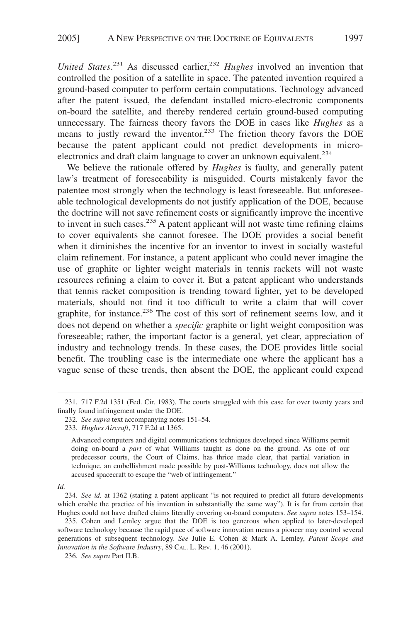United States.<sup>231</sup> As discussed earlier,<sup>232</sup> *Hughes* involved an invention that controlled the position of a satellite in space. The patented invention required a ground-based computer to perform certain computations. Technology advanced after the patent issued, the defendant installed micro-electronic components on-board the satellite, and thereby rendered certain ground-based computing unnecessary. The fairness theory favors the DOE in cases like *Hughes* as a means to justly reward the inventor.<sup>233</sup> The friction theory favors the DOE because the patent applicant could not predict developments in microelectronics and draft claim language to cover an unknown equivalent.<sup>234</sup>

We believe the rationale offered by *Hughes* is faulty, and generally patent law's treatment of foreseeability is misguided. Courts mistakenly favor the patentee most strongly when the technology is least foreseeable. But unforeseeable technological developments do not justify application of the DOE, because the doctrine will not save refinement costs or significantly improve the incentive to invent in such cases. $^{235}$  A patent applicant will not waste time refining claims to cover equivalents she cannot foresee. The DOE provides a social benefit when it diminishes the incentive for an inventor to invest in socially wasteful claim refinement. For instance, a patent applicant who could never imagine the use of graphite or lighter weight materials in tennis rackets will not waste resources refining a claim to cover it. But a patent applicant who understands that tennis racket composition is trending toward lighter, yet to be developed materials, should not find it too difficult to write a claim that will cover graphite, for instance.<sup>236</sup> The cost of this sort of refinement seems low, and it does not depend on whether a *specific* graphite or light weight composition was foreseeable; rather, the important factor is a general, yet clear, appreciation of industry and technology trends. In these cases, the DOE provides little social benefit. The troubling case is the intermediate one where the applicant has a vague sense of these trends, then absent the DOE, the applicant could expend

*Id.*

<sup>231. 717</sup> F.2d 1351 (Fed. Cir. 1983). The courts struggled with this case for over twenty years and finally found infringement under the DOE.

<sup>232.</sup> *See supra* text accompanying notes 151–54.

<sup>233.</sup> *Hughes Aircraft*, 717 F.2d at 1365.

Advanced computers and digital communications techniques developed since Williams permit doing on-board a *part* of what Williams taught as done on the ground. As one of our predecessor courts, the Court of Claims, has thrice made clear, that partial variation in technique, an embellishment made possible by post-Williams technology, does not allow the accused spacecraft to escape the "web of infringement."

<sup>234.</sup> *See id.* at 1362 (stating a patent applicant "is not required to predict all future developments which enable the practice of his invention in substantially the same way"). It is far from certain that Hughes could not have drafted claims literally covering on-board computers. *See supra* notes 153–154.

<sup>235.</sup> Cohen and Lemley argue that the DOE is too generous when applied to later-developed software technology because the rapid pace of software innovation means a pioneer may control several generations of subsequent technology. *See* Julie E. Cohen & Mark A. Lemley, *Patent Scope and Innovation in the Software Industry*, 89 CAL. L. REV. 1, 46 (2001).

<sup>236.</sup> *See supra* Part II.B.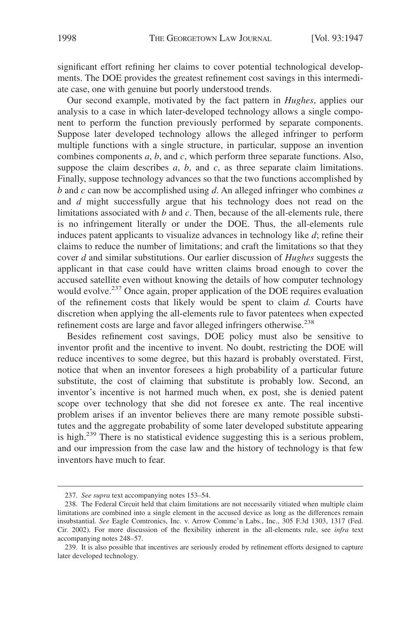significant effort refining her claims to cover potential technological developments. The DOE provides the greatest refinement cost savings in this intermediate case, one with genuine but poorly understood trends.

Our second example, motivated by the fact pattern in *Hughes*, applies our analysis to a case in which later-developed technology allows a single component to perform the function previously performed by separate components. Suppose later developed technology allows the alleged infringer to perform multiple functions with a single structure, in particular, suppose an invention combines components *a*, *b*, and *c*, which perform three separate functions. Also, suppose the claim describes  $a, b$ , and  $c$ , as three separate claim limitations. Finally, suppose technology advances so that the two functions accomplished by *b* and *c* can now be accomplished using *d*. An alleged infringer who combines *a* and *d* might successfully argue that his technology does not read on the limitations associated with *b* and *c*. Then, because of the all-elements rule, there is no infringement literally or under the DOE. Thus, the all-elements rule induces patent applicants to visualize advances in technology like *d*; refine their claims to reduce the number of limitations; and craft the limitations so that they cover *d* and similar substitutions. Our earlier discussion of *Hughes* suggests the applicant in that case could have written claims broad enough to cover the accused satellite even without knowing the details of how computer technology would evolve.<sup>237</sup> Once again, proper application of the DOE requires evaluation of the refinement costs that likely would be spent to claim *d.* Courts have discretion when applying the all-elements rule to favor patentees when expected refinement costs are large and favor alleged infringers otherwise.<sup>238</sup>

Besides refinement cost savings, DOE policy must also be sensitive to inventor profit and the incentive to invent. No doubt, restricting the DOE will reduce incentives to some degree, but this hazard is probably overstated. First, notice that when an inventor foresees a high probability of a particular future substitute, the cost of claiming that substitute is probably low. Second, an inventor's incentive is not harmed much when, ex post, she is denied patent scope over technology that she did not foresee ex ante. The real incentive problem arises if an inventor believes there are many remote possible substitutes and the aggregate probability of some later developed substitute appearing is high.<sup>239</sup> There is no statistical evidence suggesting this is a serious problem, and our impression from the case law and the history of technology is that few inventors have much to fear.

<sup>237.</sup> *See supra* text accompanying notes 153–54.

<sup>238.</sup> The Federal Circuit held that claim limitations are not necessarily vitiated when multiple claim limitations are combined into a single element in the accused device as long as the differences remain insubstantial. *See* Eagle Comtronics, Inc. v. Arrow Commc'n Labs., Inc., 305 F.3d 1303, 1317 (Fed. Cir. 2002). For more discussion of the flexibility inherent in the all-elements rule, see *infra* text accompanying notes 248–57.

<sup>239.</sup> It is also possible that incentives are seriously eroded by refinement efforts designed to capture later developed technology.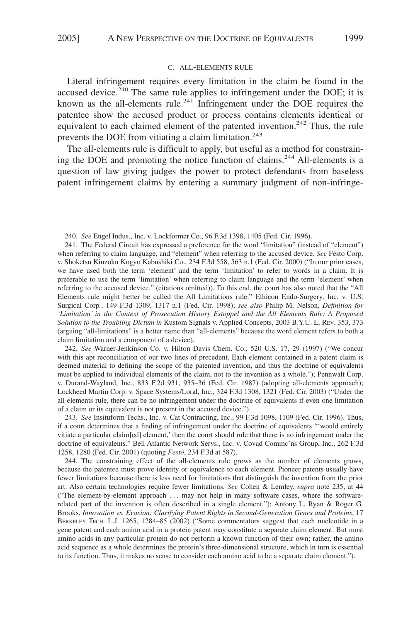#### C. ALL-ELEMENTS RULE

Literal infringement requires every limitation in the claim be found in the accused device. $240$  The same rule applies to infringement under the DOE; it is known as the all-elements rule.<sup>241</sup> Infringement under the DOE requires the patentee show the accused product or process contains elements identical or equivalent to each claimed element of the patented invention.<sup>242</sup> Thus, the rule prevents the DOE from vitiating a claim limitation.<sup>243</sup>

The all-elements rule is difficult to apply, but useful as a method for constraining the DOE and promoting the notice function of claims.244 All-elements is a question of law giving judges the power to protect defendants from baseless patent infringement claims by entering a summary judgment of non-infringe-

242. *See* Warner-Jenkinson Co. v. Hilton Davis Chem. Co., 520 U.S. 17, 29 (1997) ("We concur with this apt reconciliation of our two lines of precedent. Each element contained in a patent claim is deemed material to defining the scope of the patented invention, and thus the doctrine of equivalents must be applied to individual elements of the claim, not to the invention as a whole."); Pennwalt Corp. v. Durand-Wayland, Inc., 833 F.2d 931, 935–36 (Fed. Cir. 1987) (adopting all-elements approach); Lockheed Martin Corp. v. Space Systems/Loral, Inc., 324 F.3d 1308, 1321 (Fed. Cir. 2003) ("Under the all elements rule, there can be no infringement under the doctrine of equivalents if even one limitation of a claim or its equivalent is not present in the accused device.").

243. *See* Insituform Techs., Inc. v. Cat Contracting, Inc., 99 F.3d 1098, 1109 (Fed. Cir. 1996). Thus, if a court determines that a finding of infringement under the doctrine of equivalents "'would entirely vitiate a particular claim[ed] element,' then the court should rule that there is no infringement under the doctrine of equivalents." Bell Atlantic Network Servs., Inc. v. Covad Commc'ns Group, Inc., 262 F.3d 1258, 1280 (Fed. Cir. 2001) (quoting *Festo*, 234 F.3d at 587).

244. The constraining effect of the all-elements rule grows as the number of elements grows, because the patentee must prove identity or equivalence to each element. Pioneer patents usually have fewer limitations because there is less need for limitations that distinguish the invention from the prior art. Also certain technologies require fewer limitations. *See* Cohen & Lemley, *supra* note 235, at 44 ("The element-by-element approach . . . may not help in many software cases, where the softwarerelated part of the invention is often described in a single element."); Antony L. Ryan & Roger G. Brooks, *Innovation vs. Evasion: Clarifying Patent Rights in Second-Generation Genes and Proteins*, 17 BERKELEY TECH. L.J. 1265, 1284–85 (2002) ("Some commentators suggest that each nucleotide in a gene patent and each amino acid in a protein patent may constitute a separate claim element. But most amino acids in any particular protein do not perform a known function of their own; rather, the amino acid sequence as a whole determines the protein's three-dimensional structure, which in turn is essential to its function. Thus, it makes no sense to consider each amino acid to be a separate claim element.").

<sup>240.</sup> *See* Engel Indus., Inc. v. Lockformer Co., 96 F.3d 1398, 1405 (Fed. Cir. 1996).

<sup>241.</sup> The Federal Circuit has expressed a preference for the word "limitation" (instead of "element") when referring to claim language, and "element" when referring to the accused device. *See* Festo Corp. v. Shoketsu Kinzoku Kogyo Kabushiki Co., 234 F.3d 558, 563 n.1 (Fed. Cir. 2000) ("In our prior cases, we have used both the term 'element' and the term 'limitation' to refer to words in a claim. It is preferable to use the term 'limitation' when referring to claim language and the term 'element' when referring to the accused device." (citations omitted)). To this end, the court has also noted that the "All Elements rule might better be called the All Limitations rule." Ethicon Endo-Surgery, Inc. v. U.S. Surgical Corp*.*, 149 F.3d 1309, 1317 n.1 (Fed. Cir. 1998); *see also* Philip M. Nelson, *Definition for 'Limitation' in the Context of Prosecution History Estoppel and the All Elements Rule: A Proposed Solution to the Troubling Dictum in* Kustom Signals v. Applied Concepts, 2003 B.Y.U. L. REV. 353, 373 (arguing "all-limitations" is a better name than "all-elements" because the word element refers to both a claim limitation and a component of a device).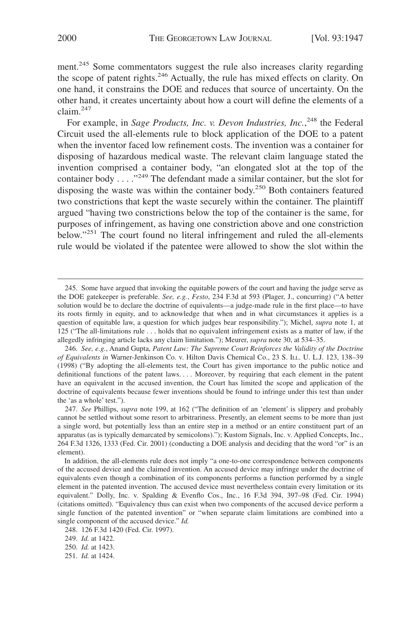ment.<sup>245</sup> Some commentators suggest the rule also increases clarity regarding the scope of patent rights.<sup>246</sup> Actually, the rule has mixed effects on clarity. On one hand, it constrains the DOE and reduces that source of uncertainty. On the other hand, it creates uncertainty about how a court will define the elements of a  $claim.<sup>247</sup>$ 

For example, in *Sage Products, Inc. v. Devon Industries, Inc.*<sup>248</sup> the Federal Circuit used the all-elements rule to block application of the DOE to a patent when the inventor faced low refinement costs. The invention was a container for disposing of hazardous medical waste. The relevant claim language stated the invention comprised a container body, "an elongated slot at the top of the container body . . . . "<sup>249</sup> The defendant made a similar container, but the slot for disposing the waste was within the container body.<sup>250</sup> Both containers featured two constrictions that kept the waste securely within the container. The plaintiff argued "having two constrictions below the top of the container is the same, for purposes of infringement, as having one constriction above and one constriction below."<sup>251</sup> The court found no literal infringement and ruled the all-elements rule would be violated if the patentee were allowed to show the slot within the

<sup>245.</sup> Some have argued that invoking the equitable powers of the court and having the judge serve as the DOE gatekeeper is preferable. *See, e.g.*, *Festo*, 234 F.3d at 593 (Plager, J., concurring) ("A better solution would be to declare the doctrine of equivalents—a judge-made rule in the first place—to have its roots firmly in equity, and to acknowledge that when and in what circumstances it applies is a question of equitable law, a question for which judges bear responsibility."); Michel, *supra* note 1, at 125 ("The all-limitations rule . . . holds that no equivalent infringement exists as a matter of law, if the allegedly infringing article lacks any claim limitation."); Meurer, *supra* note 30, at 534–35.

<sup>246.</sup> *See, e.g.*, Anand Gupta, *Patent Law: The Supreme Court Reinforces the Validity of the Doctrine of Equivalents in* Warner-Jenkinson Co. v. Hilton Davis Chemical Co., 23 S. ILL. U. L.J. 123, 138–39 (1998) ("By adopting the all-elements test, the Court has given importance to the public notice and definitional functions of the patent laws.... Moreover, by requiring that each element in the patent have an equivalent in the accused invention, the Court has limited the scope and application of the doctrine of equivalents because fewer inventions should be found to infringe under this test than under the 'as a whole' test.").

<sup>247.</sup> *See* Phillips, *supra* note 199, at 162 ("The definition of an 'element' is slippery and probably cannot be settled without some resort to arbitrariness. Presently, an element seems to be more than just a single word, but potentially less than an entire step in a method or an entire constituent part of an apparatus (as is typically demarcated by semicolons)."); Kustom Signals, Inc. v. Applied Concepts, Inc., 264 F.3d 1326, 1333 (Fed. Cir. 2001) (conducting a DOE analysis and deciding that the word "or" is an element).

In addition, the all-elements rule does not imply "a one-to-one correspondence between components of the accused device and the claimed invention. An accused device may infringe under the doctrine of equivalents even though a combination of its components performs a function performed by a single element in the patented invention. The accused device must nevertheless contain every limitation or its equivalent." Dolly, Inc. v. Spalding & Evenflo Cos., Inc., 16 F.3d 394, 397–98 (Fed. Cir. 1994) (citations omitted). "Equivalency thus can exist when two components of the accused device perform a single function of the patented invention" or "when separate claim limitations are combined into a single component of the accused device." *Id.*

<sup>248. 126</sup> F.3d 1420 (Fed. Cir. 1997).

<sup>249.</sup> *Id.* at 1422.

<sup>250.</sup> *Id.* at 1423.

<sup>251.</sup> *Id.* at 1424.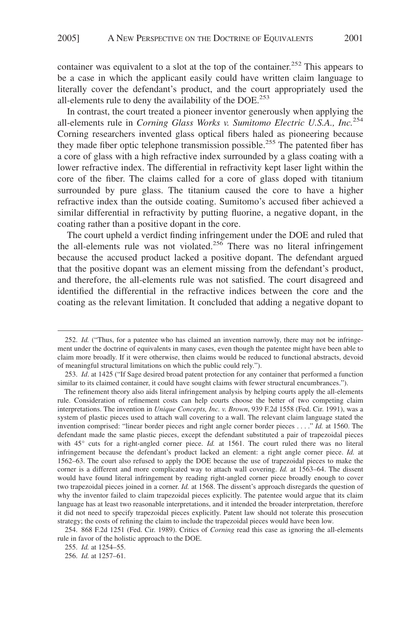container was equivalent to a slot at the top of the container.<sup>252</sup> This appears to be a case in which the applicant easily could have written claim language to literally cover the defendant's product, and the court appropriately used the all-elements rule to deny the availability of the DOE.<sup>253</sup>

In contrast, the court treated a pioneer inventor generously when applying the all-elements rule in *Corning Glass Works v. Sumitomo Electric U.S.A., Inc.*<sup>254</sup> Corning researchers invented glass optical fibers haled as pioneering because they made fiber optic telephone transmission possible.<sup>255</sup> The patented fiber has a core of glass with a high refractive index surrounded by a glass coating with a lower refractive index. The differential in refractivity kept laser light within the core of the fiber. The claims called for a core of glass doped with titanium surrounded by pure glass. The titanium caused the core to have a higher refractive index than the outside coating. Sumitomo's accused fiber achieved a similar differential in refractivity by putting fluorine, a negative dopant, in the coating rather than a positive dopant in the core.

The court upheld a verdict finding infringement under the DOE and ruled that the all-elements rule was not violated.<sup>256</sup> There was no literal infringement because the accused product lacked a positive dopant. The defendant argued that the positive dopant was an element missing from the defendant's product, and therefore, the all-elements rule was not satisfied. The court disagreed and identified the differential in the refractive indices between the core and the coating as the relevant limitation. It concluded that adding a negative dopant to

254. 868 F.2d 1251 (Fed. Cir. 1989). Critics of *Corning* read this case as ignoring the all-elements rule in favor of the holistic approach to the DOE.

<sup>252.</sup> *Id.* ("Thus, for a patentee who has claimed an invention narrowly, there may not be infringement under the doctrine of equivalents in many cases, even though the patentee might have been able to claim more broadly. If it were otherwise, then claims would be reduced to functional abstracts, devoid of meaningful structural limitations on which the public could rely.").

<sup>253.</sup> *Id*. at 1425 ("If Sage desired broad patent protection for any container that performed a function similar to its claimed container, it could have sought claims with fewer structural encumbrances.").

The refinement theory also aids literal infringement analysis by helping courts apply the all-elements rule. Consideration of refinement costs can help courts choose the better of two competing claim interpretations. The invention in *Unique Concepts, Inc. v. Brown*, 939 F.2d 1558 (Fed. Cir. 1991), was a system of plastic pieces used to attach wall covering to a wall. The relevant claim language stated the invention comprised: "linear border pieces and right angle corner border pieces . . . ." *Id.* at 1560. The defendant made the same plastic pieces, except the defendant substituted a pair of trapezoidal pieces with 45° cuts for a right-angled corner piece. *Id.* at 1561. The court ruled there was no literal infringement because the defendant's product lacked an element: a right angle corner piece. *Id.* at 1562–63. The court also refused to apply the DOE because the use of trapezoidal pieces to make the corner is a different and more complicated way to attach wall covering. *Id.* at 1563–64. The dissent would have found literal infringement by reading right-angled corner piece broadly enough to cover two trapezoidal pieces joined in a corner. *Id.* at 1568. The dissent's approach disregards the question of why the inventor failed to claim trapezoidal pieces explicitly. The patentee would argue that its claim language has at least two reasonable interpretations, and it intended the broader interpretation, therefore it did not need to specify trapezoidal pieces explicitly. Patent law should not tolerate this prosecution strategy; the costs of refining the claim to include the trapezoidal pieces would have been low.

<sup>255.</sup> *Id.* at 1254–55.

<sup>256.</sup> *Id.* at 1257–61.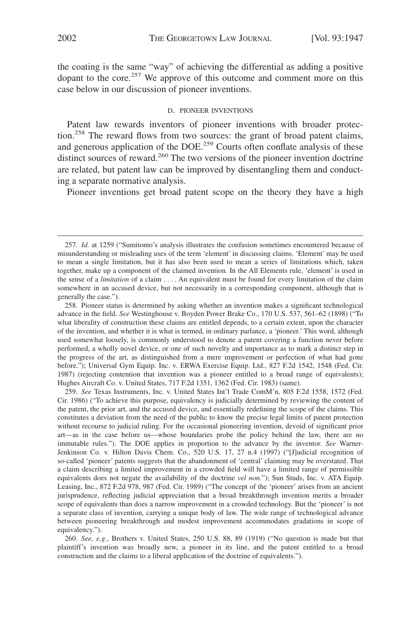the coating is the same "way" of achieving the differential as adding a positive dopant to the core.<sup>257</sup> We approve of this outcome and comment more on this case below in our discussion of pioneer inventions.

#### D. PIONEER INVENTIONS

Patent law rewards inventors of pioneer inventions with broader protection.258 The reward flows from two sources: the grant of broad patent claims, and generous application of the DOE.<sup>259</sup> Courts often conflate analysis of these distinct sources of reward.<sup>260</sup> The two versions of the pioneer invention doctrine are related, but patent law can be improved by disentangling them and conducting a separate normative analysis.

Pioneer inventions get broad patent scope on the theory they have a high

258. Pioneer status is determined by asking whether an invention makes a significant technological advance in the field. *See* Westinghouse v. Boyden Power Brake Co., 170 U.S. 537, 561–62 (1898) ("To what liberality of construction these claims are entitled depends, to a certain extent, upon the character of the invention, and whether it is what is termed, in ordinary parlance, a 'pioneer.' This word, although used somewhat loosely, is commonly understood to denote a patent covering a function never before performed, a wholly novel device, or one of such novelty and importance as to mark a distinct step in the progress of the art, as distinguished from a mere improvement or perfection of what had gone before."); Universal Gym Equip. Inc. v. ERWA Exercise Equip. Ltd., 827 F.2d 1542, 1548 (Fed. Cir. 1987) (rejecting contention that invention was a pioneer entitled to a broad range of equivalents); Hughes Aircraft Co. v. United States, 717 F.2d 1351, 1362 (Fed. Cir. 1983) (same).

259. *See* Texas Instruments, Inc. v. United States Int'l Trade ComM'n, 805 F.2d 1558, 1572 (Fed. Cir. 1986) ("To achieve this purpose, equivalency is judicially determined by reviewing the content of the patent, the prior art, and the accused device, and essentially redefining the scope of the claims. This constitutes a deviation from the need of the public to know the precise legal limits of patent protection without recourse to judicial ruling. For the occasional pioneering invention, devoid of significant prior art—as in the case before us—whose boundaries probe the policy behind the law, there are no immutable rules."). The DOE applies in proportion to the advance by the inventor. *See* Warner-Jenkinson Co. v. Hilton Davis Chem. Co., 520 U.S. 17, 27 n.4 (1997) ("[J]udicial recognition of so-called 'pioneer' patents suggests that the abandonment of 'central' claiming may be overstated. That a claim describing a limited improvement in a crowded field will have a limited range of permissible equivalents does not negate the availability of the doctrine *vel non.*"); Sun Studs, Inc. v. ATA Equip. Leasing, Inc., 872 F.2d 978, 987 (Fed. Cir. 1989) ("The concept of the 'pioneer' arises from an ancient jurisprudence, reflecting judicial appreciation that a broad breakthrough invention merits a broader scope of equivalents than does a narrow improvement in a crowded technology. But the 'pioneer' is not a separate class of invention, carrying a unique body of law. The wide range of technological advance between pioneering breakthrough and modest improvement accommodates gradations in scope of equivalency.").

260. *See, e.g.*, Brothers v. United States, 250 U.S. 88, 89 (1919) ("No question is made but that plaintiff's invention was broadly new, a pioneer in its line, and the patent entitled to a broad construction and the claims to a liberal application of the doctrine of equivalents.").

<sup>257.</sup> *Id.* at 1259 ("Sumitomo's analysis illustrates the confusion sometimes encountered because of misunderstanding or misleading uses of the term 'element' in discussing claims. 'Element' may be used to mean a single limitation, but it has also been used to mean a series of limitations which, taken together, make up a component of the claimed invention. In the All Elements rule, 'element' is used in the sense of a *limitation* of a claim . . . . An equivalent must be found for every limitation of the claim somewhere in an accused device, but not necessarily in a corresponding component, although that is generally the case.").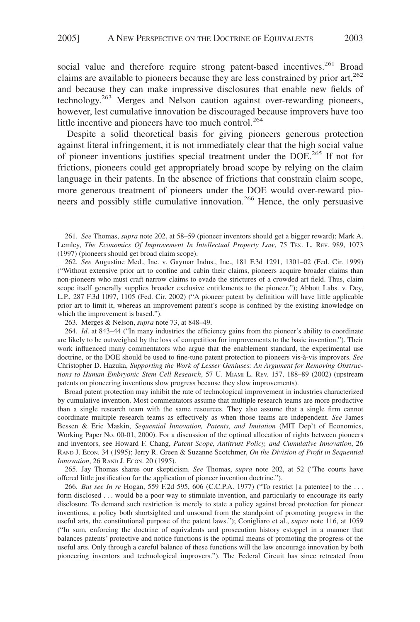social value and therefore require strong patent-based incentives.<sup>261</sup> Broad claims are available to pioneers because they are less constrained by prior art,<sup>262</sup> and because they can make impressive disclosures that enable new fields of technology.263 Merges and Nelson caution against over-rewarding pioneers, however, lest cumulative innovation be discouraged because improvers have too little incentive and pioneers have too much control.<sup>264</sup>

Despite a solid theoretical basis for giving pioneers generous protection against literal infringement, it is not immediately clear that the high social value of pioneer inventions justifies special treatment under the DOE.265 If not for frictions, pioneers could get appropriately broad scope by relying on the claim language in their patents. In the absence of frictions that constrain claim scope, more generous treatment of pioneers under the DOE would over-reward pioneers and possibly stifle cumulative innovation.<sup>266</sup> Hence, the only persuasive

263. Merges & Nelson, *supra* note 73, at 848–49.

264. *Id*. at 843–44 ("In many industries the efficiency gains from the pioneer's ability to coordinate are likely to be outweighed by the loss of competition for improvements to the basic invention."). Their work influenced many commentators who argue that the enablement standard, the experimental use doctrine, or the DOE should be used to fine-tune patent protection to pioneers vis-a`-vis improvers. *See* Christopher D. Hazuka, *Supporting the Work of Lesser Geniuses: An Argument for Removing Obstructions to Human Embryonic Stem Cell Research*, 57 U. MIAMI L. REV. 157, 188–89 (2002) (upstream patents on pioneering inventions slow progress because they slow improvements).

Broad patent protection may inhibit the rate of technological improvement in industries characterized by cumulative invention. Most commentators assume that multiple research teams are more productive than a single research team with the same resources. They also assume that a single firm cannot coordinate multiple research teams as effectively as when those teams are independent. *See* James Bessen & Eric Maskin, *Sequential Innovation, Patents, and Imitation* (MIT Dep't of Economics, Working Paper No. 00-01, 2000). For a discussion of the optimal allocation of rights between pioneers and inventors, see Howard F. Chang, *Patent Scope, Antitrust Policy, and Cumulative Innovation*, 26 RAND J. ECON. 34 (1995); Jerry R. Green & Suzanne Scotchmer, *On the Division of Profit in Sequential Innovation*, 26 RAND J. ECON. 20 (1995).

265. Jay Thomas shares our skepticism. *See* Thomas, *supra* note 202, at 52 ("The courts have offered little justification for the application of pioneer invention doctrine.").

266. *But see In re* Hogan, 559 F.2d 595, 606 (C.C.P.A. 1977) ("To restrict [a patentee] to the . . . form disclosed . . . would be a poor way to stimulate invention, and particularly to encourage its early disclosure. To demand such restriction is merely to state a policy against broad protection for pioneer inventions, a policy both shortsighted and unsound from the standpoint of promoting progress in the useful arts, the constitutional purpose of the patent laws."); Conigliaro et al., *supra* note 116, at 1059 ("In sum, enforcing the doctrine of equivalents and prosecution history estoppel in a manner that balances patents' protective and notice functions is the optimal means of promoting the progress of the useful arts. Only through a careful balance of these functions will the law encourage innovation by both pioneering inventors and technological improvers."). The Federal Circuit has since retreated from

<sup>261.</sup> *See* Thomas, *supra* note 202, at 58–59 (pioneer inventors should get a bigger reward); Mark A. Lemley, *The Economics Of Improvement In Intellectual Property Law*, 75 TEX. L. REV. 989, 1073 (1997) (pioneers should get broad claim scope).

<sup>262.</sup> *See* Augustine Med., Inc. v. Gaymar Indus., Inc., 181 F.3d 1291, 1301–02 (Fed. Cir. 1999) ("Without extensive prior art to confine and cabin their claims, pioneers acquire broader claims than non-pioneers who must craft narrow claims to evade the strictures of a crowded art field. Thus, claim scope itself generally supplies broader exclusive entitlements to the pioneer."); Abbott Labs. v. Dey, L.P., 287 F.3d 1097, 1105 (Fed. Cir. 2002) ("A pioneer patent by definition will have little applicable prior art to limit it, whereas an improvement patent's scope is confined by the existing knowledge on which the improvement is based.").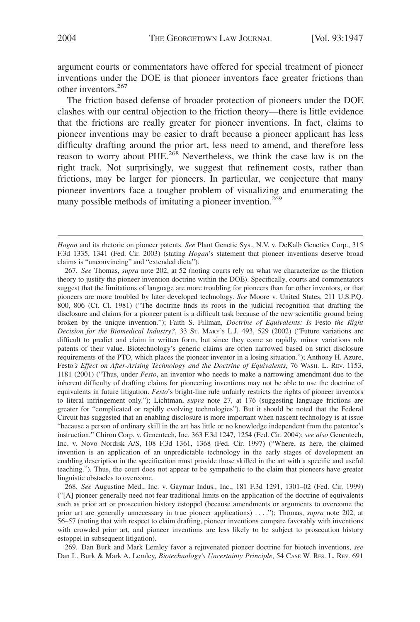argument courts or commentators have offered for special treatment of pioneer inventions under the DOE is that pioneer inventors face greater frictions than other inventors.<sup>267</sup>

The friction based defense of broader protection of pioneers under the DOE clashes with our central objection to the friction theory—there is little evidence that the frictions are really greater for pioneer inventions. In fact, claims to pioneer inventions may be easier to draft because a pioneer applicant has less difficulty drafting around the prior art, less need to amend, and therefore less reason to worry about PHE.<sup>268</sup> Nevertheless, we think the case law is on the right track. Not surprisingly, we suggest that refinement costs, rather than frictions, may be larger for pioneers. In particular, we conjecture that many pioneer inventors face a tougher problem of visualizing and enumerating the many possible methods of imitating a pioneer invention.<sup>269</sup>

268. *See* Augustine Med., Inc. v. Gaymar Indus., Inc., 181 F.3d 1291, 1301–02 (Fed. Cir. 1999) ("[A] pioneer generally need not fear traditional limits on the application of the doctrine of equivalents such as prior art or prosecution history estoppel (because amendments or arguments to overcome the prior art are generally unnecessary in true pioneer applications) . . . ."); Thomas, *supra* note 202, at 56–57 (noting that with respect to claim drafting, pioneer inventions compare favorably with inventions with crowded prior art, and pioneer inventions are less likely to be subject to prosecution history estoppel in subsequent litigation).

269. Dan Burk and Mark Lemley favor a rejuvenated pioneer doctrine for biotech inventions, *see* Dan L. Burk & Mark A. Lemley, *Biotechnology's Uncertainty Principle*, 54 CASE W. RES. L. REV. 691

*Hogan* and its rhetoric on pioneer patents. *See* Plant Genetic Sys., N.V. v. DeKalb Genetics Corp., 315 F.3d 1335, 1341 (Fed. Cir. 2003) (stating *Hogan*'s statement that pioneer inventions deserve broad claims is "unconvincing" and "extended dicta").

<sup>267.</sup> *See* Thomas, *supra* note 202, at 52 (noting courts rely on what we characterize as the friction theory to justify the pioneer invention doctrine within the DOE). Specifically, courts and commentators suggest that the limitations of language are more troubling for pioneers than for other inventors, or that pioneers are more troubled by later developed technology. *See* Moore v. United States, 211 U.S.P.Q. 800, 806 (Ct. Cl. 1981) ("The doctrine finds its roots in the judicial recognition that drafting the disclosure and claims for a pioneer patent is a difficult task because of the new scientific ground being broken by the unique invention."); Faith S. Fillman, *Doctrine of Equivalents: Is* Festo *the Right Decision for the Biomedical Industry?*, 33 ST. MARY'S L.J. 493, 529 (2002) ("Future variations are difficult to predict and claim in written form, but since they come so rapidly, minor variations rob patents of their value. Biotechnology's generic claims are often narrowed based on strict disclosure requirements of the PTO, which places the pioneer inventor in a losing situation."); Anthony H. Azure, Festo*'s Effect on After-Arising Technology and the Doctrine of Equivalents*, 76 WASH. L. REV. 1153, 1181 (2001) ("Thus, under *Festo*, an inventor who needs to make a narrowing amendment due to the inherent difficulty of drafting claims for pioneering inventions may not be able to use the doctrine of equivalents in future litigation. *Festo*'s bright-line rule unfairly restricts the rights of pioneer inventors to literal infringement only."); Lichtman, *supra* note 27, at 176 (suggesting language frictions are greater for "complicated or rapidly evolving technologies"). But it should be noted that the Federal Circuit has suggested that an enabling disclosure is more important when nascent technology is at issue "because a person of ordinary skill in the art has little or no knowledge independent from the patentee's instruction." Chiron Corp. v. Genentech, Inc. 363 F.3d 1247, 1254 (Fed. Cir. 2004); *see also* Genentech, Inc. v. Novo Nordisk A/S, 108 F.3d 1361, 1368 (Fed. Cir. 1997) ("Where, as here, the claimed invention is an application of an unpredictable technology in the early stages of development an enabling description in the specification must provide those skilled in the art with a specific and useful teaching."). Thus, the court does not appear to be sympathetic to the claim that pioneers have greater linguistic obstacles to overcome.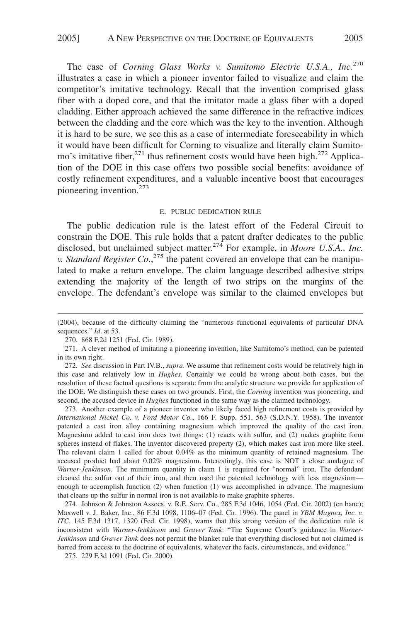The case of *Corning Glass Works v. Sumitomo Electric U.S.A., Inc.*<sup>270</sup> illustrates a case in which a pioneer inventor failed to visualize and claim the competitor's imitative technology. Recall that the invention comprised glass fiber with a doped core, and that the imitator made a glass fiber with a doped cladding. Either approach achieved the same difference in the refractive indices between the cladding and the core which was the key to the invention. Although it is hard to be sure, we see this as a case of intermediate foreseeability in which it would have been difficult for Corning to visualize and literally claim Sumitomo's imitative fiber,<sup>271</sup> thus refinement costs would have been high.<sup>272</sup> Application of the DOE in this case offers two possible social benefits: avoidance of costly refinement expenditures, and a valuable incentive boost that encourages pioneering invention.<sup>273</sup>

#### E. PUBLIC DEDICATION RULE

The public dedication rule is the latest effort of the Federal Circuit to constrain the DOE. This rule holds that a patent drafter dedicates to the public disclosed, but unclaimed subject matter.<sup>274</sup> For example, in *Moore U.S.A., Inc. v. Standard Register Co.*,<sup>275</sup> the patent covered an envelope that can be manipulated to make a return envelope. The claim language described adhesive strips extending the majority of the length of two strips on the margins of the envelope. The defendant's envelope was similar to the claimed envelopes but

273. Another example of a pioneer inventor who likely faced high refinement costs is provided by *International Nickel Co. v. Ford Motor Co.*, 166 F. Supp. 551, 563 (S.D.N.Y. 1958). The inventor patented a cast iron alloy containing magnesium which improved the quality of the cast iron. Magnesium added to cast iron does two things: (1) reacts with sulfur, and (2) makes graphite form spheres instead of flakes. The inventor discovered property (2), which makes cast iron more like steel. The relevant claim 1 called for about 0.04% as the minimum quantity of retained magnesium. The accused product had about 0.02% magnesium. Interestingly, this case is NOT a close analogue of *Warner-Jenkinson*. The minimum quantity in claim 1 is required for "normal" iron. The defendant cleaned the sulfur out of their iron, and then used the patented technology with less magnesium enough to accomplish function (2) when function (1) was accomplished in advance. The magnesium that cleans up the sulfur in normal iron is not available to make graphite spheres.

274. Johnson & Johnston Assocs. v. R.E. Serv. Co., 285 F.3d 1046, 1054 (Fed. Cir. 2002) (en banc); Maxwell v. J. Baker, Inc., 86 F.3d 1098, 1106–07 (Fed. Cir. 1996). The panel in *YBM Magnex, Inc. v. ITC*, 145 F.3d 1317, 1320 (Fed. Cir. 1998), warns that this strong version of the dedication rule is inconsistent with *Warner-Jenkinson* and *Graver Tank*: "The Supreme Court's guidance in *Warner-Jenkinson* and *Graver Tank* does not permit the blanket rule that everything disclosed but not claimed is barred from access to the doctrine of equivalents, whatever the facts, circumstances, and evidence."

275. 229 F.3d 1091 (Fed. Cir. 2000).

<sup>(2004),</sup> because of the difficulty claiming the "numerous functional equivalents of particular DNA sequences." *Id*. at 53.

<sup>270. 868</sup> F.2d 1251 (Fed. Cir. 1989).

<sup>271.</sup> A clever method of imitating a pioneering invention, like Sumitomo's method, can be patented in its own right.

<sup>272.</sup> *See* discussion in Part IV.B., *supra*. We assume that refinement costs would be relatively high in this case and relatively low in *Hughes*. Certainly we could be wrong about both cases, but the resolution of these factual questions is separate from the analytic structure we provide for application of the DOE. We distinguish these cases on two grounds. First, the *Corning* invention was pioneering, and second, the accused device in *Hughes* functioned in the same way as the claimed technology.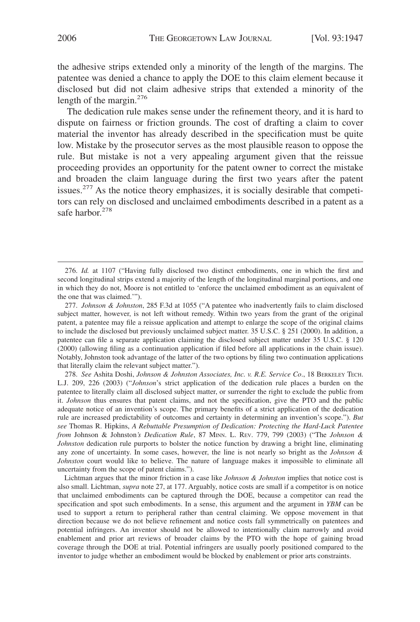the adhesive strips extended only a minority of the length of the margins. The patentee was denied a chance to apply the DOE to this claim element because it disclosed but did not claim adhesive strips that extended a minority of the length of the margin.<sup>276</sup>

The dedication rule makes sense under the refinement theory, and it is hard to dispute on fairness or friction grounds. The cost of drafting a claim to cover material the inventor has already described in the specification must be quite low. Mistake by the prosecutor serves as the most plausible reason to oppose the rule. But mistake is not a very appealing argument given that the reissue proceeding provides an opportunity for the patent owner to correct the mistake and broaden the claim language during the first two years after the patent issues.<sup>277</sup> As the notice theory emphasizes, it is socially desirable that competitors can rely on disclosed and unclaimed embodiments described in a patent as a safe harbor.<sup>278</sup>

278. *See* Ashita Doshi, *Johnson & Johnston Associates, Inc. v. R.E. Service Co*., 18 BERKELEY TECH. L.J. 209, 226 (2003) ("*Johnson*'s strict application of the dedication rule places a burden on the patentee to literally claim all disclosed subject matter, or surrender the right to exclude the public from it. *Johnson* thus ensures that patent claims, and not the specification, give the PTO and the public adequate notice of an invention's scope. The primary benefits of a strict application of the dedication rule are increased predictability of outcomes and certainty in determining an invention's scope."). *But see* Thomas R. Hipkins, *A Rebuttable Presumption of Dedication: Protecting the Hard-Luck Patentee from* Johnson & Johnston*'s Dedication Rule*, 87 MINN. L. REV. 779, 799 (2003) ("The *Johnson & Johnston* dedication rule purports to bolster the notice function by drawing a bright line, eliminating any zone of uncertainty. In some cases, however, the line is not nearly so bright as the *Johnson & Johnston* court would like to believe. The nature of language makes it impossible to eliminate all uncertainty from the scope of patent claims.").

Lichtman argues that the minor friction in a case like *Johnson & Johnston* implies that notice cost is also small. Lichtman, *supra* note 27, at 177. Arguably, notice costs are small if a competitor is on notice that unclaimed embodiments can be captured through the DOE, because a competitor can read the specification and spot such embodiments. In a sense, this argument and the argument in *YBM* can be used to support a return to peripheral rather than central claiming. We oppose movement in that direction because we do not believe refinement and notice costs fall symmetrically on patentees and potential infringers. An inventor should not be allowed to intentionally claim narrowly and avoid enablement and prior art reviews of broader claims by the PTO with the hope of gaining broad coverage through the DOE at trial. Potential infringers are usually poorly positioned compared to the inventor to judge whether an embodiment would be blocked by enablement or prior arts constraints.

<sup>276.</sup> *Id.* at 1107 ("Having fully disclosed two distinct embodiments, one in which the first and second longitudinal strips extend a majority of the length of the longitudinal marginal portions, and one in which they do not, Moore is not entitled to 'enforce the unclaimed embodiment as an equivalent of the one that was claimed.'").

<sup>277.</sup> *Johnson & Johnston*, 285 F.3d at 1055 ("A patentee who inadvertently fails to claim disclosed subject matter, however, is not left without remedy. Within two years from the grant of the original patent, a patentee may file a reissue application and attempt to enlarge the scope of the original claims to include the disclosed but previously unclaimed subject matter. 35 U.S.C. § 251 (2000). In addition, a patentee can file a separate application claiming the disclosed subject matter under 35 U.S.C. § 120 (2000) (allowing filing as a continuation application if filed before all applications in the chain issue). Notably, Johnston took advantage of the latter of the two options by filing two continuation applications that literally claim the relevant subject matter.").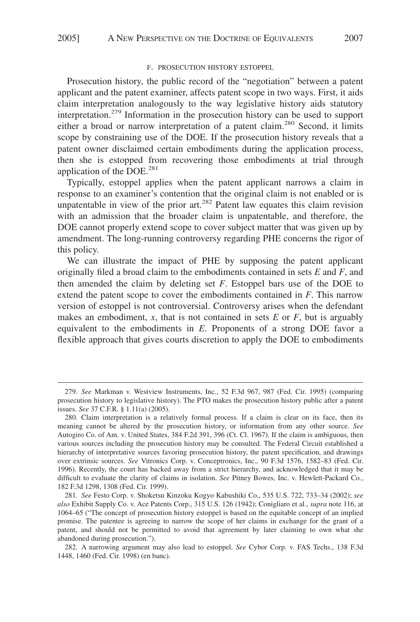#### F. PROSECUTION HISTORY ESTOPPEL

Prosecution history, the public record of the "negotiation" between a patent applicant and the patent examiner, affects patent scope in two ways. First, it aids claim interpretation analogously to the way legislative history aids statutory interpretation.279 Information in the prosecution history can be used to support either a broad or narrow interpretation of a patent claim.<sup>280</sup> Second, it limits scope by constraining use of the DOE. If the prosecution history reveals that a patent owner disclaimed certain embodiments during the application process, then she is estopped from recovering those embodiments at trial through application of the DOE. $^{281}$ 

Typically, estoppel applies when the patent applicant narrows a claim in response to an examiner's contention that the original claim is not enabled or is unpatentable in view of the prior art. $^{282}$  Patent law equates this claim revision with an admission that the broader claim is unpatentable, and therefore, the DOE cannot properly extend scope to cover subject matter that was given up by amendment. The long-running controversy regarding PHE concerns the rigor of this policy.

We can illustrate the impact of PHE by supposing the patent applicant originally filed a broad claim to the embodiments contained in sets *E* and *F*, and then amended the claim by deleting set *F*. Estoppel bars use of the DOE to extend the patent scope to cover the embodiments contained in *F*. This narrow version of estoppel is not controversial. Controversy arises when the defendant makes an embodiment,  $x$ , that is not contained in sets  $E$  or  $F$ , but is arguably equivalent to the embodiments in *E*. Proponents of a strong DOE favor a flexible approach that gives courts discretion to apply the DOE to embodiments

<sup>279.</sup> *See* Markman v. Westview Instruments, Inc., 52 F.3d 967, 987 (Fed. Cir. 1995) (comparing prosecution history to legislative history). The PTO makes the prosecution history public after a patent issues. *See* 37 C.F.R. § 1.11(a) (2005).

<sup>280.</sup> Claim interpretation is a relatively formal process. If a claim is clear on its face, then its meaning cannot be altered by the prosecution history, or information from any other source. *See* Autogiro Co. of Am. v. United States, 384 F.2d 391, 396 (Ct. Cl. 1967). If the claim is ambiguous, then various sources including the prosecution history may be consulted. The Federal Circuit established a hierarchy of interpretative sources favoring prosecution history, the patent specification, and drawings over extrinsic sources. *See* Vitronics Corp. v. Conceptronics, Inc., 90 F.3d 1576, 1582–83 (Fed. Cir. 1996). Recently, the court has backed away from a strict hierarchy, and acknowledged that it may be difficult to evaluate the clarity of claims in isolation. *See* Pitney Bowes, Inc. v. Hewlett-Packard Co*.*, 182 F.3d 1298, 1308 (Fed. Cir. 1999).

<sup>281.</sup> *See* Festo Corp. v. Shoketsu Kinzoku Kogyo Kabushiki Co., 535 U.S. 722, 733–34 (2002); *see also* Exhibit Supply Co. v. Ace Patents Corp., 315 U.S. 126 (1942); Conigliaro et al., *supra* note 116, at 1064–65 ("The concept of prosecution history estoppel is based on the equitable concept of an implied promise. The patentee is agreeing to narrow the scope of her claims in exchange for the grant of a patent, and should not be permitted to avoid that agreement by later claiming to own what she abandoned during prosecution.").

<sup>282.</sup> A narrowing argument may also lead to estoppel. *See* Cybor Corp. v. FAS Techs., 138 F.3d 1448, 1460 (Fed. Cir. 1998) (en banc).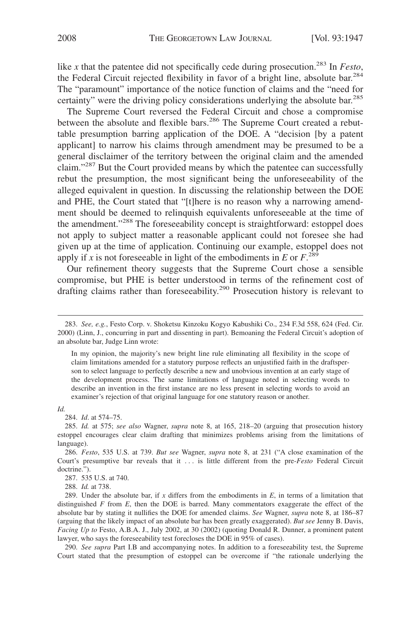like *x* that the patentee did not specifically cede during prosecution.<sup>283</sup> In *Festo*, the Federal Circuit rejected flexibility in favor of a bright line, absolute bar.<sup>284</sup> The "paramount" importance of the notice function of claims and the "need for certainty" were the driving policy considerations underlying the absolute bar.<sup>285</sup>

The Supreme Court reversed the Federal Circuit and chose a compromise between the absolute and flexible bars.<sup>286</sup> The Supreme Court created a rebuttable presumption barring application of the DOE. A "decision [by a patent applicant] to narrow his claims through amendment may be presumed to be a general disclaimer of the territory between the original claim and the amended claim."<sup>287</sup> But the Court provided means by which the patentee can successfully rebut the presumption, the most significant being the unforeseeability of the alleged equivalent in question. In discussing the relationship between the DOE and PHE, the Court stated that "[t]here is no reason why a narrowing amendment should be deemed to relinquish equivalents unforeseeable at the time of the amendment."<sup>288</sup> The foreseeability concept is straightforward: estoppel does not apply to subject matter a reasonable applicant could not foresee she had given up at the time of application. Continuing our example, estoppel does not apply if *x* is not foreseeable in light of the embodiments in *E* or  $F^{289}$ .

Our refinement theory suggests that the Supreme Court chose a sensible compromise, but PHE is better understood in terms of the refinement cost of drafting claims rather than foreseeability.<sup>290</sup> Prosecution history is relevant to

*Id.*

<sup>283.</sup> *See, e.g.*, Festo Corp. v. Shoketsu Kinzoku Kogyo Kabushiki Co., 234 F.3d 558, 624 (Fed. Cir. 2000) (Linn, J., concurring in part and dissenting in part). Bemoaning the Federal Circuit's adoption of an absolute bar, Judge Linn wrote:

In my opinion, the majority's new bright line rule eliminating all flexibility in the scope of claim limitations amended for a statutory purpose reflects an unjustified faith in the draftsperson to select language to perfectly describe a new and unobvious invention at an early stage of the development process. The same limitations of language noted in selecting words to describe an invention in the first instance are no less present in selecting words to avoid an examiner's rejection of that original language for one statutory reason or another.

<sup>284.</sup> *Id*. at 574–75.

<sup>285.</sup> *Id.* at 575; *see also* Wagner, *supra* note 8, at 165, 218–20 (arguing that prosecution history estoppel encourages clear claim drafting that minimizes problems arising from the limitations of language).

<sup>286.</sup> *Festo*, 535 U.S. at 739. *But see* Wagner, *supra* note 8, at 231 ("A close examination of the Court's presumptive bar reveals that it . . . is little different from the pre-*Festo* Federal Circuit doctrine.").

<sup>287. 535</sup> U.S. at 740.

<sup>288.</sup> *Id.* at 738.

<sup>289.</sup> Under the absolute bar, if *x* differs from the embodiments in *E*, in terms of a limitation that distinguished *F* from *E*, then the DOE is barred. Many commentators exaggerate the effect of the absolute bar by stating it nullifies the DOE for amended claims. *See* Wagner, *supra* note 8, at 186–87 (arguing that the likely impact of an absolute bar has been greatly exaggerated). *But see* Jenny B. Davis, *Facing Up to* Festo, A.B.A. J., July 2002, at 30 (2002) (quoting Donald R. Dunner, a prominent patent lawyer, who says the foreseeability test forecloses the DOE in 95% of cases).

<sup>290.</sup> *See supra* Part I.B and accompanying notes. In addition to a foreseeability test, the Supreme Court stated that the presumption of estoppel can be overcome if "the rationale underlying the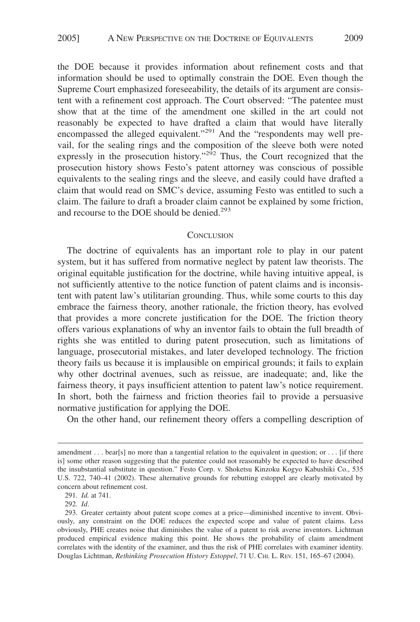the DOE because it provides information about refinement costs and that information should be used to optimally constrain the DOE. Even though the Supreme Court emphasized foreseeability, the details of its argument are consistent with a refinement cost approach. The Court observed: "The patentee must show that at the time of the amendment one skilled in the art could not reasonably be expected to have drafted a claim that would have literally encompassed the alleged equivalent."<sup>291</sup> And the "respondents may well prevail, for the sealing rings and the composition of the sleeve both were noted expressly in the prosecution history."<sup>292</sup> Thus, the Court recognized that the prosecution history shows Festo's patent attorney was conscious of possible equivalents to the sealing rings and the sleeve, and easily could have drafted a claim that would read on SMC's device, assuming Festo was entitled to such a claim. The failure to draft a broader claim cannot be explained by some friction, and recourse to the DOE should be denied.<sup>293</sup>

#### **CONCLUSION**

The doctrine of equivalents has an important role to play in our patent system, but it has suffered from normative neglect by patent law theorists. The original equitable justification for the doctrine, while having intuitive appeal, is not sufficiently attentive to the notice function of patent claims and is inconsistent with patent law's utilitarian grounding. Thus, while some courts to this day embrace the fairness theory, another rationale, the friction theory, has evolved that provides a more concrete justification for the DOE. The friction theory offers various explanations of why an inventor fails to obtain the full breadth of rights she was entitled to during patent prosecution, such as limitations of language, prosecutorial mistakes, and later developed technology. The friction theory fails us because it is implausible on empirical grounds; it fails to explain why other doctrinal avenues, such as reissue, are inadequate; and, like the fairness theory, it pays insufficient attention to patent law's notice requirement. In short, both the fairness and friction theories fail to provide a persuasive normative justification for applying the DOE.

On the other hand, our refinement theory offers a compelling description of

291. *Id.* at 741.

292. *Id*.

amendment . . . bear[s] no more than a tangential relation to the equivalent in question; or . . . [if there is] some other reason suggesting that the patentee could not reasonably be expected to have described the insubstantial substitute in question." Festo Corp. v. Shoketsu Kinzoku Kogyo Kabushiki Co., 535 U.S. 722, 740–41 (2002). These alternative grounds for rebutting estoppel are clearly motivated by concern about refinement cost.

<sup>293.</sup> Greater certainty about patent scope comes at a price—diminished incentive to invent. Obviously, any constraint on the DOE reduces the expected scope and value of patent claims. Less obviously, PHE creates noise that diminishes the value of a patent to risk averse inventors. Lichtman produced empirical evidence making this point. He shows the probability of claim amendment correlates with the identity of the examiner, and thus the risk of PHE correlates with examiner identity. Douglas Lichtman, *Rethinking Prosecution History Estoppel*, 71 U. CHI. L. REV. 151, 165–67 (2004).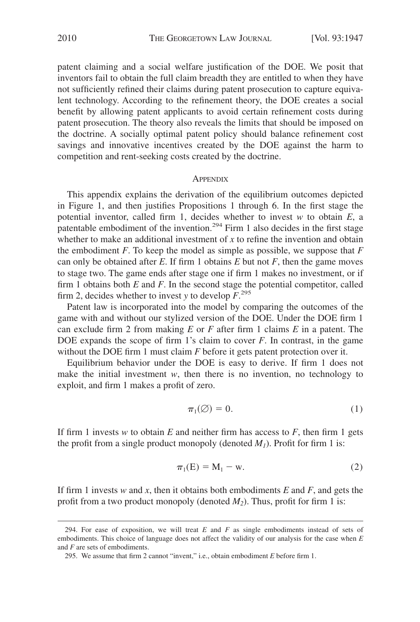patent claiming and a social welfare justification of the DOE. We posit that inventors fail to obtain the full claim breadth they are entitled to when they have not sufficiently refined their claims during patent prosecution to capture equivalent technology. According to the refinement theory, the DOE creates a social benefit by allowing patent applicants to avoid certain refinement costs during patent prosecution. The theory also reveals the limits that should be imposed on the doctrine. A socially optimal patent policy should balance refinement cost savings and innovative incentives created by the DOE against the harm to competition and rent-seeking costs created by the doctrine.

#### **APPENDIX**

This appendix explains the derivation of the equilibrium outcomes depicted in Figure 1, and then justifies Propositions 1 through 6. In the first stage the potential inventor, called firm 1, decides whether to invest *w* to obtain *E*, a patentable embodiment of the invention.<sup>294</sup> Firm 1 also decides in the first stage whether to make an additional investment of *x* to refine the invention and obtain the embodiment *F*. To keep the model as simple as possible, we suppose that *F* can only be obtained after  $E$ . If firm 1 obtains  $E$  but not  $F$ , then the game moves to stage two. The game ends after stage one if firm 1 makes no investment, or if firm 1 obtains both *E* and *F*. In the second stage the potential competitor, called firm 2, decides whether to invest *y* to develop  $\overline{F}^{295}$ .

Patent law is incorporated into the model by comparing the outcomes of the game with and without our stylized version of the DOE. Under the DOE firm 1 can exclude firm 2 from making *E* or *F* after firm 1 claims *E* in a patent. The DOE expands the scope of firm 1's claim to cover *F*. In contrast, in the game without the DOE firm 1 must claim *F* before it gets patent protection over it.

Equilibrium behavior under the DOE is easy to derive. If firm 1 does not make the initial investment *w*, then there is no invention, no technology to exploit, and firm 1 makes a profit of zero.

$$
\pi_1(\emptyset) = 0. \tag{1}
$$

If firm 1 invests  $w$  to obtain  $E$  and neither firm has access to  $F$ , then firm 1 gets the profit from a single product monopoly (denoted  $M_l$ ). Profit for firm 1 is:

$$
\pi_1(E) = M_1 - w. \tag{2}
$$

If firm 1 invests *w* and *x*, then it obtains both embodiments *E* and *F*, and gets the profit from a two product monopoly (denoted  $M_2$ ). Thus, profit for firm 1 is:

<sup>294.</sup> For ease of exposition, we will treat *E* and *F* as single embodiments instead of sets of embodiments. This choice of language does not affect the validity of our analysis for the case when *E* and *F* are sets of embodiments.

<sup>295.</sup> We assume that firm 2 cannot "invent," i.e., obtain embodiment *E* before firm 1.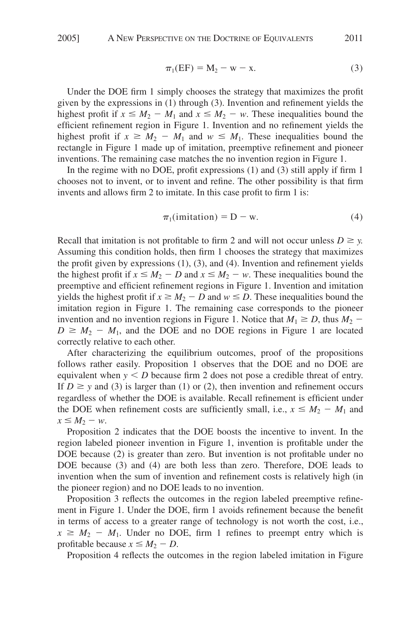$$
\pi_1(EF) = M_2 - w - x. \tag{3}
$$

Under the DOE firm 1 simply chooses the strategy that maximizes the profit given by the expressions in (1) through (3). Invention and refinement yields the highest profit if  $x \leq M_2 - M_1$  and  $x \leq M_2 - w$ . These inequalities bound the efficient refinement region in Figure 1. Invention and no refinement yields the highest profit if  $x \geq M_2 - M_1$  and  $w \leq M_1$ . These inequalities bound the rectangle in Figure 1 made up of imitation, preemptive refinement and pioneer inventions. The remaining case matches the no invention region in Figure 1.

In the regime with no DOE, profit expressions (1) and (3) still apply if firm 1 chooses not to invent, or to invent and refine. The other possibility is that firm invents and allows firm 2 to imitate. In this case profit to firm 1 is:

$$
\pi_1(\text{imitation}) = D - w. \tag{4}
$$

Recall that imitation is not profitable to firm 2 and will not occur unless  $D \ge y$ . Assuming this condition holds, then firm 1 chooses the strategy that maximizes the profit given by expressions (1), (3), and (4). Invention and refinement yields the highest profit if  $x \le M_2 - D$  and  $x \le M_2 - w$ . These inequalities bound the preemptive and efficient refinement regions in Figure 1. Invention and imitation yields the highest profit if  $x \ge M_2 - D$  and  $w \le D$ . These inequalities bound the imitation region in Figure 1. The remaining case corresponds to the pioneer invention and no invention regions in Figure 1. Notice that  $M_1 \geq D$ , thus  $M_2$  –  $D \geq M_2 - M_1$ , and the DOE and no DOE regions in Figure 1 are located correctly relative to each other.

After characterizing the equilibrium outcomes, proof of the propositions follows rather easily. Proposition 1 observes that the DOE and no DOE are equivalent when  $y < D$  because firm 2 does not pose a credible threat of entry. If  $D \geq y$  and (3) is larger than (1) or (2), then invention and refinement occurs regardless of whether the DOE is available. Recall refinement is efficient under the DOE when refinement costs are sufficiently small, i.e.,  $x \le M_2 - M_1$  and  $x \leq M_2 - w$ .

Proposition 2 indicates that the DOE boosts the incentive to invent. In the region labeled pioneer invention in Figure 1, invention is profitable under the DOE because (2) is greater than zero. But invention is not profitable under no DOE because (3) and (4) are both less than zero. Therefore, DOE leads to invention when the sum of invention and refinement costs is relatively high (in the pioneer region) and no DOE leads to no invention.

Proposition 3 reflects the outcomes in the region labeled preemptive refinement in Figure 1. Under the DOE, firm 1 avoids refinement because the benefit in terms of access to a greater range of technology is not worth the cost, i.e.,  $x \geq M_2 - M_1$ . Under no DOE, firm 1 refines to preempt entry which is profitable because  $x \leq M_2 - D$ .

Proposition 4 reflects the outcomes in the region labeled imitation in Figure